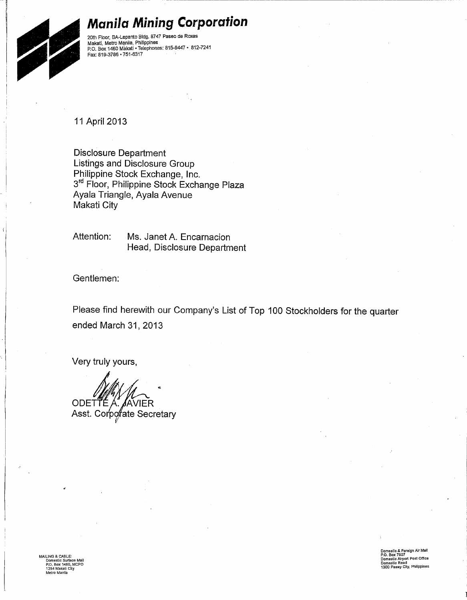#### **Manila Mining Corporation**



20th Floor, BA-Lepanto Bldg. 8747 Paseo de Roxas Makati, Metro Manila, Philippines P.O. Box 1460 Makati - Telephones: 815-9447 - 812-7241 Fax: 819-3786 · 751-6317

11 April 2013

**Disclosure Department** Listings and Disclosure Group Philippine Stock Exchange, Inc. 3rd Floor, Philippine Stock Exchange Plaza Ayala Triangle, Ayala Avenue Makati City

Attention: Ms. Janet A. Encarnacion Head, Disclosure Department

Gentlemen:

Please find herewith our Company's List of Top 100 Stockholders for the quarter ended March 31, 2013

Very truly yours,

ODETTE A A. *J*AVIER Asst. Corporate Secretary

ING & CABLE:<br>)omestic Surface M:<br>!.O. Box 1460, MCP<br>254 Makati City

Domestic & Foreign Air Mail<br>P.O. Box 7507<br>Domestic Airport Post Office<br>Domestic Road<br>1300 Pasay City, Philippines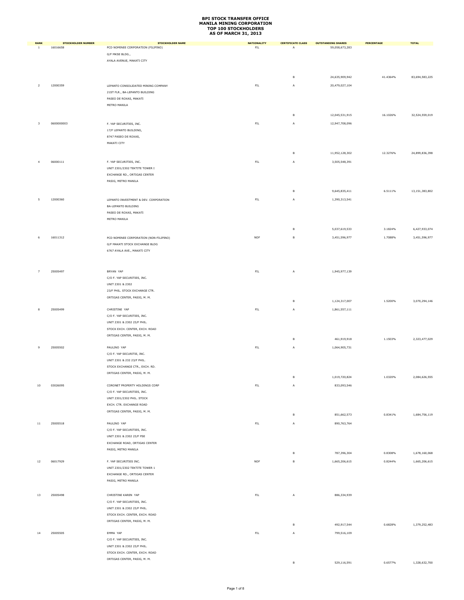| <b>RANK</b>    | <b>STOCKHOLDER NUMBER</b> | <b>STOCKHOLDER NAME</b>                                        | <b>NATIONALITY</b> | <b>CERTIFICATE CLASS</b> | <b>OUTSTANDING SHARES</b> | <b>PERCENTAGE</b> | <b>TOTAL</b>   |
|----------------|---------------------------|----------------------------------------------------------------|--------------------|--------------------------|---------------------------|-------------------|----------------|
| $\mathbf{1}$   | 16016658                  | PCD NOMINEE CORPORATION (FILIPINO)                             | ${\sf FIL}$        | A                        | 59,058,673,283            |                   |                |
|                |                           | G/F MKSE BLDG.,                                                |                    |                          |                           |                   |                |
|                |                           | AYALA AVENUE, MAKATI CITY                                      |                    |                          |                           |                   |                |
|                |                           |                                                                |                    |                          |                           |                   |                |
|                |                           |                                                                |                    | в                        | 24,635,909,942            | 41.4364%          | 83,694,583,225 |
| $\overline{2}$ | 12000359                  | LEPANTO CONSOLIDATED MINING COMPANY                            | ${\sf FIL}$        | A                        | 20,479,027,104            |                   |                |
|                |                           | 21ST FLR., BA-LEPANTO BUILDING                                 |                    |                          |                           |                   |                |
|                |                           | PASEO DE ROXAS, MAKATI                                         |                    |                          |                           |                   |                |
|                |                           | METRO MANILA                                                   |                    |                          |                           |                   |                |
|                |                           |                                                                |                    |                          |                           |                   |                |
|                |                           |                                                                |                    | в                        | 12,045,531,915            | 16.1026%          | 32,524,559,019 |
| 3              | 0600000003                | F. YAP SECURITIES, INC.                                        | ${\sf FIL}$        | Α                        | 12,947,708,096            |                   |                |
|                |                           | 17/F LEPANTO BUILDING,                                         |                    |                          |                           |                   |                |
|                |                           | 8747 PASEO DE ROXAS,                                           |                    |                          |                           |                   |                |
|                |                           | MAKATI CITY                                                    |                    |                          |                           |                   |                |
|                |                           |                                                                |                    | в                        | 11,952,128,302            | 12.3276%          | 24,899,836,398 |
|                |                           |                                                                |                    |                          |                           |                   |                |
| $\overline{4}$ | 06000111                  | F. YAP SECURITIES, INC.                                        | $\mathsf{FIL}$     | A                        | 3,505,548,391             |                   |                |
|                |                           | UNIT 2301/2302 TEKTITE TOWER I                                 |                    |                          |                           |                   |                |
|                |                           | EXCHANGE RD., ORTIGAS CENTER                                   |                    |                          |                           |                   |                |
|                |                           | PASIG, METRO MANILA                                            |                    |                          |                           |                   |                |
|                |                           |                                                                |                    | в                        | 9,645,835,411             | 6.5111%           | 13,151,383,802 |
| 5              | 12000360                  | LEPANTO INVESTMENT & DEV. CORPORATION                          | ${\sf FIL}$        |                          | 1,390,313,541             |                   |                |
|                |                           | BA-LEPANTO BUILDING                                            |                    | Α                        |                           |                   |                |
|                |                           | PASEO DE ROXAS, MAKATI                                         |                    |                          |                           |                   |                |
|                |                           | METRO MANILA                                                   |                    |                          |                           |                   |                |
|                |                           |                                                                |                    |                          |                           |                   |                |
|                |                           |                                                                |                    | в                        | 5,037,619,533             | 3.1824%           | 6,427,933,074  |
| 6              | 16011312                  | PCD NOMINEE CORPORATION (NON-FILIPINO)                         | <b>NOF</b>         | $\,$ B                   | 3,451,596,977             | 1.7088%           | 3,451,596,977  |
|                |                           | G/F MAKATI STOCK EXCHANGE BLDG                                 |                    |                          |                           |                   |                |
|                |                           | 6767 AYALA AVE., MAKATI CITY                                   |                    |                          |                           |                   |                |
|                |                           |                                                                |                    |                          |                           |                   |                |
|                |                           |                                                                |                    |                          |                           |                   |                |
| 7              | 25005497                  | BRYAN YAP                                                      | ${\sf FIL}$        | A                        | 1,945,977,139             |                   |                |
|                |                           | C/O F. YAP SECURITIES, INC.                                    |                    |                          |                           |                   |                |
|                |                           | UNIT 2301 & 2302                                               |                    |                          |                           |                   |                |
|                |                           | 23/F PHIL. STOCK EXCHANGE CTR.                                 |                    |                          |                           |                   |                |
|                |                           | ORTIGAS CENTER, PASIG, M. M.                                   |                    |                          |                           |                   |                |
|                |                           |                                                                |                    | в                        | 1,124,317,007             | 1.5200%           | 3,070,294,146  |
| 8              | 25005499                  | CHRISTINE YAP                                                  | $\mathsf{FIL}$     | A                        | 1,861,557,111             |                   |                |
|                |                           | C/O F. YAP SECURITIES, INC.                                    |                    |                          |                           |                   |                |
|                |                           | UNIT 2301 & 2302 23/F PHIL.                                    |                    |                          |                           |                   |                |
|                |                           | STOCK EXCH. CENTER, EXCH. ROAD                                 |                    |                          |                           |                   |                |
|                |                           | ORTIGAS CENTER, PASIG, M. M.                                   |                    | в                        | 461,919,918               | 1.1503%           | 2,323,477,029  |
|                |                           |                                                                |                    |                          |                           |                   |                |
| 9              | 25005502                  | PAULINO YAP                                                    | ${\sf FIL}$        | Α                        | 1,064,905,731             |                   |                |
|                |                           | C/O F. YAP SECURITIE, INC.                                     |                    |                          |                           |                   |                |
|                |                           | UNIT 2301 & 232 23/F PHIL.                                     |                    |                          |                           |                   |                |
|                |                           | STOCK EXCHANGE CTR., EXCH. RD.<br>ORTIGAS CENTER, PASIG, M. M. |                    |                          |                           |                   |                |
|                |                           |                                                                |                    | B                        | 1,019,720,824             | 1.0320%           | 2,084,626,555  |
| 10             | 03026095                  | CORONET PROPERTY HOLDINGS CORP                                 | ${\sf FIL}$        | A                        | 833,093,546               |                   |                |
|                |                           | C/O F. YAP SECURITIES, INC.                                    |                    |                          |                           |                   |                |
|                |                           | UNIT 2301/2302 PHIL. STOCK                                     |                    |                          |                           |                   |                |
|                |                           | EXCH. CTR. EXCHANGE ROAD                                       |                    |                          |                           |                   |                |
|                |                           | ORTIGAS CENTER, PASIG, M. M.                                   |                    |                          |                           |                   |                |
|                |                           |                                                                |                    | в                        | 851,662,573               | 0.8341%           | 1,684,756,119  |
| 11             | 25005518                  | PAULINO YAP                                                    | $\mathsf{FIL}$     | A                        | 890,763,764               |                   |                |
|                |                           | C/O F. YAP SECURITIES, INC.                                    |                    |                          |                           |                   |                |
|                |                           | UNIT 2301 & 2302 23/F PSE                                      |                    |                          |                           |                   |                |
|                |                           | EXCHANGE ROAD, ORTIGAS CENTER                                  |                    |                          |                           |                   |                |
|                |                           | PASIG, METRO MANILA                                            |                    | B                        | 787,396,304               | 0.8308%           | 1,678,160,068  |
|                |                           |                                                                |                    |                          |                           |                   |                |
| $12\,$         | 06017929                  | F. YAP SECURITIES INC.                                         | <b>NOF</b>         | в                        | 1,665,206,615             | 0.8244%           | 1,665,206,615  |
|                |                           | UNIT 2301/2302 TEKTITE TOWER 1                                 |                    |                          |                           |                   |                |
|                |                           | EXCHANGE RD., ORTIGAS CENTER                                   |                    |                          |                           |                   |                |
|                |                           | PASIG, METRO MANILA                                            |                    |                          |                           |                   |                |
|                |                           |                                                                |                    |                          |                           |                   |                |
| 13             | 25005498                  | CHRISTINE KAREN YAP                                            | $\mathsf{FIL}$     | Α                        | 886,334,939               |                   |                |
|                |                           | C/O F. YAP SECURITIES, INC.                                    |                    |                          |                           |                   |                |
|                |                           | UNIT 2301 & 2302 23/F PHIL.                                    |                    |                          |                           |                   |                |
|                |                           | STOCK EXCH. CENTER, EXCH. ROAD                                 |                    |                          |                           |                   |                |
|                |                           | ORTIGAS CENTER, PASIG, M. M.                                   |                    | в                        | 492,917,544               | 0.6828%           | 1,379,252,483  |
| 14             | 25005505                  | EMMA YAP                                                       | $\mathsf{FIL}$     | A                        | 799,516,109               |                   |                |
|                |                           | C/O F. YAP SECURITIES, INC.                                    |                    |                          |                           |                   |                |
|                |                           | UNIT 2301 & 2302 23/F PHIL.                                    |                    |                          |                           |                   |                |
|                |                           | STOCK EXCH. CENTER, EXCH. ROAD                                 |                    |                          |                           |                   |                |
|                |                           | ORTIGAS CENTER, PASIG, M. M.                                   |                    |                          |                           |                   |                |
|                |                           |                                                                |                    |                          | 529.116.591               | 0.6577%           | 1.328.632.700  |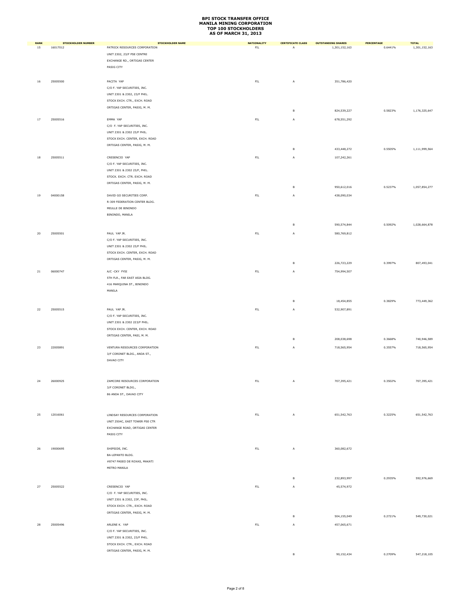| <b>RANK</b> | <b>STOCKHOLDER NUMBER</b> | <b>STOCKHOLDER NAME</b>                                        | <b>NATIONALITY</b> | <b>CERTIFICATE CLASS</b> | <b>OUTSTANDING SHARES</b> | <b>PERCENTAGE</b> | <b>TOTAL</b>  |
|-------------|---------------------------|----------------------------------------------------------------|--------------------|--------------------------|---------------------------|-------------------|---------------|
| 15          | 16017012                  | PATRICK RESOURCES CORPORATION                                  | ${\sf FIL}$        | A                        | 1,301,152,163             | 0.6441%           | 1,301,152,163 |
|             |                           | UNIT 2302, 23/F PSE CENTRE                                     |                    |                          |                           |                   |               |
|             |                           | EXCHANGE RD., ORTIGAS CENTER                                   |                    |                          |                           |                   |               |
|             |                           | PASIG CITY                                                     |                    |                          |                           |                   |               |
|             |                           |                                                                |                    |                          |                           |                   |               |
| 16          | 25005500                  | PACITA YAP                                                     | ${\sf FIL}$        | A                        | 351,786,420               |                   |               |
|             |                           | C/O F. YAP SECURITIES, INC.                                    |                    |                          |                           |                   |               |
|             |                           | UNIT 2301 & 2302, 23/F PHIL.                                   |                    |                          |                           |                   |               |
|             |                           | STOCK EXCH. CTR., EXCH. ROAD                                   |                    |                          |                           |                   |               |
|             |                           | ORTIGAS CENTER, PASIG, M. M.                                   |                    | в                        | 824,539,227               | 0.5823%           | 1,176,325,647 |
|             |                           |                                                                |                    |                          |                           |                   |               |
| 17          | 25005516                  | EMMA YAP                                                       | FIL                | A                        | 678,551,292               |                   |               |
|             |                           | C/O F. YAP SECURITIES, INC.                                    |                    |                          |                           |                   |               |
|             |                           | UNIT 2301 & 2302 23/F PHIL.                                    |                    |                          |                           |                   |               |
|             |                           | STOCK EXCH. CENTER, EXCH. ROAD<br>ORTIGAS CENTER, PASIG, M. M. |                    |                          |                           |                   |               |
|             |                           |                                                                |                    | $\,$ B                   | 433,448,272               | 0.5505%           | 1,111,999,564 |
| 18          | 25005511                  | CRESENCIO YAP                                                  | ${\sf FIL}$        | А                        | 107,242,261               |                   |               |
|             |                           | C/O F. YAP SECURITIES, INC.                                    |                    |                          |                           |                   |               |
|             |                           | UNIT 2301 & 2302 23/F, PHIL.                                   |                    |                          |                           |                   |               |
|             |                           | STOCK. EXCH. CTR. EXCH. ROAD                                   |                    |                          |                           |                   |               |
|             |                           | ORTIGAS CENTER, PASIG, M. M.                                   |                    |                          |                           |                   |               |
|             |                           |                                                                |                    | B                        | 950,612,016               | 0.5237%           | 1,057,854,277 |
| 19          | 04000158                  | DAVID GO SECURITIES CORP.                                      | ${\sf FIL}$        | A                        | 438,090,034               |                   |               |
|             |                           | R-309 FEDERATION CENTER BLDG.                                  |                    |                          |                           |                   |               |
|             |                           | MEULLE DE BINONDO                                              |                    |                          |                           |                   |               |
|             |                           | BINONDO, MANILA                                                |                    |                          |                           |                   |               |
|             |                           |                                                                |                    |                          |                           |                   |               |
|             |                           |                                                                |                    | В                        | 590,574,844               | 0.5092%           | 1,028,664,878 |
| 20          | 25005501                  | PAUL YAP JR.                                                   | ${\sf FIL}$        | A                        | 580,769,812               |                   |               |
|             |                           | C/O F. YAP SECURITIES, INC.                                    |                    |                          |                           |                   |               |
|             |                           | UNIT 2301 & 2302 23/F PHIL.                                    |                    |                          |                           |                   |               |
|             |                           | STOCK EXCH. CENTER, EXCH. ROAD                                 |                    |                          |                           |                   |               |
|             |                           | ORTIGAS CENTER, PASIG, M. M.                                   |                    | $\mathsf B$              | 226,723,229               | 0.3997%           | 807,493,041   |
|             |                           |                                                                |                    |                          |                           |                   |               |
| 21          | 06000747                  | A/C -CKY FYSI                                                  | ${\sf FIL}$        | А                        | 754,994,507               |                   |               |
|             |                           | 5TH FLR., FAR EAST ASIA BLDG.                                  |                    |                          |                           |                   |               |
|             |                           | 416 MARQUINA ST., BINONDO                                      |                    |                          |                           |                   |               |
|             |                           | MANILA                                                         |                    |                          |                           |                   |               |
|             |                           |                                                                |                    | В                        | 18,454,855                | 0.3829%           | 773,449,362   |
|             |                           |                                                                |                    |                          |                           |                   |               |
| 22          | 25005515                  | PAUL YAP JR.                                                   | $\mathsf{FIL}$     | A                        | 532,907,891               |                   |               |
|             |                           | C/O F. YAP SECURITIES, INC.                                    |                    |                          |                           |                   |               |
|             |                           | UNIT 2301 & 2302 223/F PHIL.<br>STOCK EXCH. CENTER, EXCH. ROAD |                    |                          |                           |                   |               |
|             |                           | ORTIGAS CENTER, PASI, M. M.                                    |                    |                          |                           |                   |               |
|             |                           |                                                                |                    | в                        | 208,038,698               | 0.3668%           | 740,946,589   |
| 23          | 22005891                  | VENTURA RESOURCES CORPORATION                                  | ${\sf FIL}$        | Α                        | 718,565,954               | 0.3557%           | 718,565,954   |
|             |                           | 3/F CORONET BLDG., ANDA ST.,                                   |                    |                          |                           |                   |               |
|             |                           | DAVAO CITY                                                     |                    |                          |                           |                   |               |
|             |                           |                                                                |                    |                          |                           |                   |               |
|             |                           |                                                                |                    |                          |                           |                   |               |
| 24          | 26000925                  | ZAMCORE RESOURCES CORPORATION                                  | ${\sf FIL}$        |                          | 707,395,421               | 0.3502%           | 707,395,421   |
|             |                           | 3/F CORONET BLDG.,                                             |                    | Α                        |                           |                   |               |
|             |                           | 86 ANDA ST., DAVAO CITY                                        |                    |                          |                           |                   |               |
|             |                           |                                                                |                    |                          |                           |                   |               |
|             |                           |                                                                |                    |                          |                           |                   |               |
|             |                           |                                                                |                    |                          |                           |                   |               |
| 25          | 12016061                  | LINDSAY RESOURCES CORPORATION                                  | ${\sf FIL}$        | A                        | 651, 542, 763             | 0.3225%           | 651, 542, 763 |
|             |                           | UNIT 2504C, EAST TOWER PSE CTR                                 |                    |                          |                           |                   |               |
|             |                           | EXCHANGE ROAD, ORTIGAS CENTER                                  |                    |                          |                           |                   |               |
|             |                           | PASIG CITY                                                     |                    |                          |                           |                   |               |
|             |                           |                                                                |                    |                          |                           |                   |               |
| 26          | 19000695                  | SHIPSIDE, INC.                                                 | $\mathsf{FIL}$     | A                        | 360,082,672               |                   |               |
|             |                           | BA-LEPANTO BLDG.                                               |                    |                          |                           |                   |               |
|             |                           | #8747 PASEO DE ROXAS, MAKATI                                   |                    |                          |                           |                   |               |
|             |                           | METRO MANILA                                                   |                    |                          |                           |                   |               |
|             |                           |                                                                |                    | в                        | 232,893,997               | 0.2935%           | 592,976,669   |
|             |                           |                                                                |                    |                          |                           |                   |               |
| 27          | 25005522                  | CRESENCIO YAP                                                  | $\mathsf{FIL}$     | A                        | 45,574,972                |                   |               |
|             |                           | C/O F. YAP SECURITIES, INC.                                    |                    |                          |                           |                   |               |
|             |                           | UNIT 2301 & 2302, 23F, PHIL.                                   |                    |                          |                           |                   |               |
|             |                           | STOCK EXCH. CTR., EXCH. ROAD                                   |                    |                          |                           |                   |               |
|             |                           | ORTIGAS CENTER, PASIG, M. M.                                   |                    | в                        | 504,155,049               | 0.2721%           | 549,730,021   |
| 28          | 25005496                  | ARLENE K. YAP                                                  | FL                 | Α                        | 457,065,671               |                   |               |
|             |                           | C/O F. YAP SECURITIES, INC.                                    |                    |                          |                           |                   |               |
|             |                           | UNIT 2301 & 2302, 23/F PHIL.                                   |                    |                          |                           |                   |               |
|             |                           | STOCK EXCH. CTR., EXCH. ROAD                                   |                    |                          |                           |                   |               |
|             |                           | ORTIGAS CENTER, PASIG, M. M.                                   |                    |                          |                           |                   |               |
|             |                           |                                                                |                    |                          | 90,152,434                | 0.2709%           | 547,218,105   |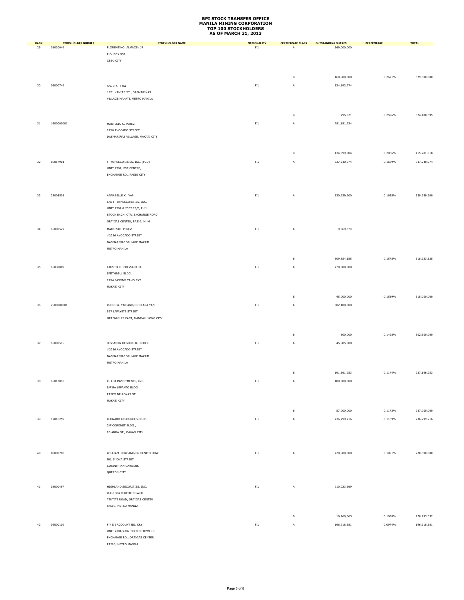| <b>RANK</b> | <b>STOCKHOLDER NUMBER</b> | <b>STOCKHOLDER NAME</b>                             | <b>NATIONALITY</b> | <b>CERTIFICATE CLASS</b> | <b>OUTSTANDING SHARES</b> | PERCENTAGE | <b>TOTAL</b> |
|-------------|---------------------------|-----------------------------------------------------|--------------------|--------------------------|---------------------------|------------|--------------|
| 29          | 01030049                  | FLORENTINO ALMACEN JR.                              | $\mathsf{FIL}$     | A                        | 369,000,000               |            |              |
|             |                           | P.O. BOX 952                                        |                    |                          |                           |            |              |
|             |                           | CEBU CITY                                           |                    |                          |                           |            |              |
|             |                           |                                                     |                    |                          |                           |            |              |
|             |                           |                                                     |                    | в                        | 160,500,000               | 0.2621%    | 529,500,000  |
| 30          | 06000749                  | A/C B.Y. FYSI                                       | ${\sf FIL}$        | А                        | 524,193,274               |            |              |
|             |                           | 1921 KAMIAS ST., DASMARIÑAS                         |                    |                          |                           |            |              |
|             |                           | VILLAGE MAKATI, METRO MANILA                        |                    |                          |                           |            |              |
|             |                           |                                                     |                    |                          |                           |            |              |
|             |                           |                                                     |                    |                          |                           |            |              |
|             |                           |                                                     |                    | в                        | 295,321                   | 0.2596%    | 524,488,595  |
| 31          | 1600000001                | MARTESIO C. PEREZ                                   | ${\sf FIL}$        | A                        | 281,181,934               |            |              |
|             |                           | 2256 AVOCADO STREET                                 |                    |                          |                           |            |              |
|             |                           | DASMARIÑAS VILLAGE, MAKATI CITY                     |                    |                          |                           |            |              |
|             |                           |                                                     |                    |                          |                           |            |              |
|             |                           |                                                     |                    | $\mathsf B$              | 134,099,084               | 0.2056%    | 415,281,018  |
|             |                           |                                                     |                    |                          |                           |            |              |
| 32          | 06017901                  | F. YAP SECURITIES, INC. (PCD)                       | FL                 | A                        | 337,240,974               | 0.1669%    | 337,240,974  |
|             |                           | UNIT 2301, PSE CENTRE,<br>EXCHANGE RD., PASIG CITY  |                    |                          |                           |            |              |
|             |                           |                                                     |                    |                          |                           |            |              |
|             |                           |                                                     |                    |                          |                           |            |              |
|             |                           |                                                     |                    |                          |                           |            |              |
| 33          | 25005508                  | ANNABELLE K. YAP<br>C/O F. YAP SECURITIES, INC.     | $\mathsf{FIL}$     | A                        | 330,939,900               | 0.1638%    | 330,939,900  |
|             |                           | UNIT 2301 & 2302 23/F, PHIL.                        |                    |                          |                           |            |              |
|             |                           | STOCK EXCH. CTR. EXCHANGE ROAD                      |                    |                          |                           |            |              |
|             |                           | ORTIGAS CENTER, PASIG, M. M.                        |                    |                          |                           |            |              |
|             | 16000522                  | MARTESIO PEREZ                                      | ${\sf FIL}$        |                          | 9,069,370                 |            |              |
| 34          |                           | #2256 AVOCADO STREET                                |                    | А                        |                           |            |              |
|             |                           | DASMARINAS VILLAGE MAKATI                           |                    |                          |                           |            |              |
|             |                           | METRO MANILA                                        |                    |                          |                           |            |              |
|             |                           |                                                     |                    |                          |                           |            |              |
|             |                           |                                                     |                    | $\mathsf B$              | 309,854,155               | 0.1578%    | 318,923,525  |
| 35          | 16030009                  | FAUSTO R. PREYSLER JR.                              | ${\sf FIL}$        | A                        | 270,000,000               |            |              |
|             |                           | SMITHBELL BLDG.                                     |                    |                          |                           |            |              |
|             |                           | 2294 PASONG TAMO EXT.                               |                    |                          |                           |            |              |
|             |                           | MAKATI CITY                                         |                    |                          |                           |            |              |
|             |                           |                                                     |                    | в                        | 45,000,000                | 0.1559%    | 315,000,000  |
|             |                           |                                                     |                    |                          |                           |            |              |
| 36          | 2500000001                | LUCIO W. YAN AND/OR CLARA YAN                       | ${\sf FIL}$        | A                        | 302,100,000               |            |              |
|             |                           | 537 LAFAYETE STREET                                 |                    |                          |                           |            |              |
|             |                           | GREENHILLS EAST, MANDALUYONG CITY                   |                    |                          |                           |            |              |
|             |                           |                                                     |                    |                          |                           |            |              |
|             |                           |                                                     |                    | $\mathsf B$              | 500,000                   | 0.1498%    | 302,600,000  |
| 37          | 16000515                  | JESSAMYN DESIREE B. PEREZ                           | $\mathsf{FIL}$     | A                        | 45,585,000                |            |              |
|             |                           | #2256 AVOCADO STREET                                |                    |                          |                           |            |              |
|             |                           | DASMARINAS VILLAGE MAKATI                           |                    |                          |                           |            |              |
|             |                           | METRO MANILA                                        |                    |                          |                           |            |              |
|             |                           |                                                     |                    |                          |                           |            |              |
|             |                           |                                                     |                    | $\mathsf B$              | 191,561,253               | 0.1174%    | 237,146,253  |
| 38          | 16017010                  | PL LIM INVESTMENTS, INC.                            | FIL                | A                        | 180,000,000               |            |              |
|             |                           | 9/F BA LEPANTO BLDG.                                |                    |                          |                           |            |              |
|             |                           | PASEO DE ROXAS ST.                                  |                    |                          |                           |            |              |
|             |                           | MAKATI CITY                                         |                    |                          |                           |            |              |
|             |                           |                                                     |                    | $\,$ B                   | 57,000,000                | 0.1173%    | 237,000,000  |
| 39          | 12016259                  | LEONARD RESOURCES CORP.                             | $\mathsf{FIL}$     | A                        | 236,299,716               | 0.1169%    | 236,299,716  |
|             |                           | 3/F CORONET BLDG.,                                  |                    |                          |                           |            |              |
|             |                           | 86 ANDA ST., DAVAO CITY                             |                    |                          |                           |            |              |
|             |                           |                                                     |                    |                          |                           |            |              |
|             |                           |                                                     |                    |                          |                           |            |              |
| 40          | 08000780                  | WILLIAM HOW AND/OR BENITO HOW                       | ${\sf FIL}$        | A                        | 220,500,000               | 0.1091%    | 220,500,000  |
|             |                           | NO. 5 JOYA STREET                                   |                    |                          |                           |            |              |
|             |                           | CORINTHIAN GARDENS                                  |                    |                          |                           |            |              |
|             |                           | QUEZON CITY                                         |                    |                          |                           |            |              |
|             |                           |                                                     |                    |                          |                           |            |              |
| 41          | 08000497                  | HIGHLAND SECURITIES, INC.                           | $\mathsf{FIL}$     | A                        | 210,023,669               |            |              |
|             |                           | U-E-1604 TEKTITE TOWER                              |                    |                          |                           |            |              |
|             |                           | TEKTITE ROAD, ORTIGAS CENTER                        |                    |                          |                           |            |              |
|             |                           | PASIG, METRO MANILA                                 |                    |                          |                           |            |              |
|             |                           |                                                     |                    | в                        |                           | 0.1090%    | 220,293,332  |
|             |                           |                                                     |                    |                          | 10,269,663                |            |              |
| 42          | 06000109                  | F Y S I ACCOUNT NO. CKY                             | ${\sf FIL}$        | A                        | 196,918,381               | 0.0974%    | 196,918,381  |
|             |                           | UNIT 2301/2302 TEKTITE TOWER I                      |                    |                          |                           |            |              |
|             |                           | EXCHANGE RD., ORTIGAS CENTER<br>PASIG, METRO MANILA |                    |                          |                           |            |              |
|             |                           |                                                     |                    |                          |                           |            |              |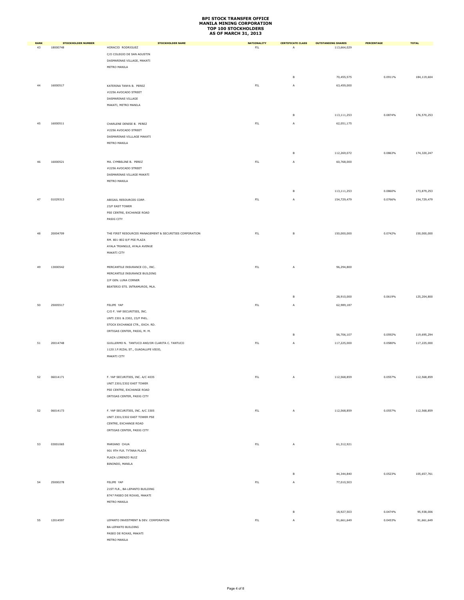| <b>RANK</b> | <b>STOCKHOLDER NUMBER</b> | <b>STOCKHOLDER NAME</b>                                           | <b>NATIONALITY</b> | <b>CERTIFICATE CLASS</b> | <b>OUTSTANDING SHARES</b> | PERCENTAGE | <b>TOTAL</b> |
|-------------|---------------------------|-------------------------------------------------------------------|--------------------|--------------------------|---------------------------|------------|--------------|
| 43          | 18000748                  | HORACIO RODRIGUEZ                                                 | ${\sf FIL}$        | A                        | 113,664,029               |            |              |
|             |                           | C/O COLEGIO DE SAN AGUSTIN                                        |                    |                          |                           |            |              |
|             |                           | DASMARINAS VILLAGE, MAKATI                                        |                    |                          |                           |            |              |
|             |                           | METRO MANILA                                                      |                    |                          |                           |            |              |
|             |                           |                                                                   |                    | в                        | 70,455,575                | 0.0911%    | 184,119,604  |
|             |                           |                                                                   |                    |                          |                           |            |              |
| 44          | 16000517                  | KATERINA TANYA B. PEREZ                                           | ${\sf FIL}$        | Α                        | 63,459,000                |            |              |
|             |                           | #2256 AVOCADO STREET                                              |                    |                          |                           |            |              |
|             |                           | DASMARINAS VILLAGE                                                |                    |                          |                           |            |              |
|             |                           | MAKATI, METRO MANILA                                              |                    |                          |                           |            |              |
|             |                           |                                                                   |                    | в                        | 113,111,253               | 0.0874%    | 176,570,253  |
|             |                           |                                                                   |                    |                          |                           |            |              |
| 45          | 16000511                  | CHARLENE DENISE B. PEREZ                                          | ${\sf FIL}$        | A                        | 62,051,175                |            |              |
|             |                           | #2256 AVOCADO STREET                                              |                    |                          |                           |            |              |
|             |                           | DASMARINAS VILLLAGE MAKATI                                        |                    |                          |                           |            |              |
|             |                           | METRO MANILA                                                      |                    |                          |                           |            |              |
|             |                           |                                                                   |                    | в                        | 112,269,072               | 0.0863%    | 174,320,247  |
|             |                           |                                                                   |                    |                          |                           |            |              |
| 46          | 16000521                  | MA. CYMBELINE B. PEREZ                                            | ${\sf FIL}$        | А                        | 60,768,000                |            |              |
|             |                           | #2256 AVOCADO STREET                                              |                    |                          |                           |            |              |
|             |                           | DASMARINAS VILLAGE MAKATI                                         |                    |                          |                           |            |              |
|             |                           | METRO MANILA                                                      |                    |                          |                           |            |              |
|             |                           |                                                                   |                    | $\,$ B                   | 113,111,253               | 0.0860%    | 173,879,253  |
|             |                           | ABIGAIL RESOURCES CORP.                                           |                    |                          | 154,729,479               |            |              |
| 47          | 01029313                  |                                                                   | ${\sf FIL}$        | A                        |                           | 0.0766%    | 154,729,479  |
|             |                           | 23/F EAST TOWER                                                   |                    |                          |                           |            |              |
|             |                           | PSE CENTRE, EXCHANGE ROAD                                         |                    |                          |                           |            |              |
|             |                           | PASIG CITY                                                        |                    |                          |                           |            |              |
|             |                           |                                                                   |                    |                          |                           |            |              |
| 48          | 20004709                  | THE FIRST RESOURCES MANAGEMENT & SECURITIES CORPORATION           | ${\sf FIL}$        | $\,$ B                   | 150,000,000               | 0.0742%    | 150,000,000  |
|             |                           | RM. 801-802 8/F PSE PLAZA                                         |                    |                          |                           |            |              |
|             |                           | AYALA TRIANGLE, AYALA AVENUE                                      |                    |                          |                           |            |              |
|             |                           | MAKATI CITY                                                       |                    |                          |                           |            |              |
|             |                           |                                                                   |                    |                          |                           |            |              |
| 49          | 13000542                  | MERCANTILE INSURANCE CO., INC.                                    | ${\sf FIL}$        | Α                        | 96,294,800                |            |              |
|             |                           | MERCANTILE INSURANCE BUILDING                                     |                    |                          |                           |            |              |
|             |                           | 2/F GEN. LUNA CORNER                                              |                    |                          |                           |            |              |
|             |                           | BEATERIO STS. INTRAMUROS, MLA.                                    |                    |                          |                           |            |              |
|             |                           |                                                                   |                    |                          |                           |            |              |
|             |                           |                                                                   |                    | в                        | 28,910,000                | 0.0619%    | 125,204,800  |
| 50          | 25005517                  | FELIPE YAP                                                        | ${\sf FIL}$        | A                        | 62,989,187                |            |              |
|             |                           | C/O F. YAP SECURITIES, INC.                                       |                    |                          |                           |            |              |
|             |                           | UNTI 2301 & 2302, 23/F PHIL.                                      |                    |                          |                           |            |              |
|             |                           | STOCK EXCHANGE CTR., EXCH. RD.                                    |                    |                          |                           |            |              |
|             |                           | ORTIGAS CENTER, PASIG, M. M.                                      |                    |                          |                           |            |              |
|             |                           |                                                                   |                    | в                        | 56,706,107                | 0.0592%    | 119,695,294  |
| 51          | 20014748                  | GUILLERMO N. TANTUCO AND/OR CLARITA C. TANTUCO                    | ${\sf FIL}$        | А                        | 117,225,000               | 0.0580%    | 117,225,000  |
|             |                           | 1120 J.P.RIZAL ST., GUADALUPE VIEJO,                              |                    |                          |                           |            |              |
|             |                           | MAKATI CITY                                                       |                    |                          |                           |            |              |
|             |                           |                                                                   |                    |                          |                           |            |              |
|             |                           |                                                                   |                    |                          |                           |            |              |
| 52          | 06014171                  | F. YAP SECURITIES, INC. A/C 4035                                  | ${\sf FIL}$        | А                        | 112,568,859               | 0.0557%    | 112,568,859  |
|             |                           | <b>UNIT 2301/2302 EAST TOWER</b>                                  |                    |                          |                           |            |              |
|             |                           | PSE CENTRE, EXCHANGE ROAD                                         |                    |                          |                           |            |              |
|             |                           | ORTIGAS CENTER, PASIG CITY                                        |                    |                          |                           |            |              |
|             |                           |                                                                   |                    |                          |                           |            |              |
|             | 06014173                  |                                                                   | $\mathsf{FIL}$     | A                        | 112,568,859               | 0.0557%    | 112,568,859  |
| 52          |                           | F. YAP SECURITIES, INC. A/C 3305<br>UNIT 2301/2302 EAST TOWER PSE |                    |                          |                           |            |              |
|             |                           |                                                                   |                    |                          |                           |            |              |
|             |                           | CENTRE, EXCHANGE ROAD                                             |                    |                          |                           |            |              |
|             |                           | ORTIGAS CENTER, PASIG CITY                                        |                    |                          |                           |            |              |
|             |                           |                                                                   |                    |                          |                           |            |              |
| 53          | 03001065                  | MARIANO CHUA                                                      | $\mathsf{FL}$      | A                        | 61,312,921                |            |              |
|             |                           | 901 9TH FLR. TYTANA PLAZA                                         |                    |                          |                           |            |              |
|             |                           | PLAZA LORENZO RUIZ                                                |                    |                          |                           |            |              |
|             |                           | BINONDO, MANILA                                                   |                    |                          |                           |            |              |
|             |                           |                                                                   |                    | $\,$ B                   | 44,344,840                | 0.0523%    | 105,657,761  |
|             |                           |                                                                   |                    |                          |                           |            |              |
| 54          | 25000278                  | FELIPE YAP                                                        | ${\sf FIL}$        | A                        | 77,010,503                |            |              |
|             |                           | 21ST FLR., BA-LEPANTO BUILDING                                    |                    |                          |                           |            |              |
|             |                           | 8747 PASEO DE ROXAS, MAKATI                                       |                    |                          |                           |            |              |
|             |                           | METRO MANILA                                                      |                    |                          |                           |            |              |
|             |                           |                                                                   |                    | в                        | 18,927,503                | 0.0474%    | 95,938,006   |
|             |                           |                                                                   |                    |                          |                           |            |              |
| 55          | 12014597                  | LEPANTO INVESTMENT & DEV. CORPORATION                             | ${\sf FIL}$        | A                        | 91,661,649                | 0.0453%    | 91,661,649   |
|             |                           | <b>BA-LEPANTO BUILDING</b>                                        |                    |                          |                           |            |              |
|             |                           | PASEO DE ROXAS, MAKATI                                            |                    |                          |                           |            |              |
|             |                           | METRO MANILA                                                      |                    |                          |                           |            |              |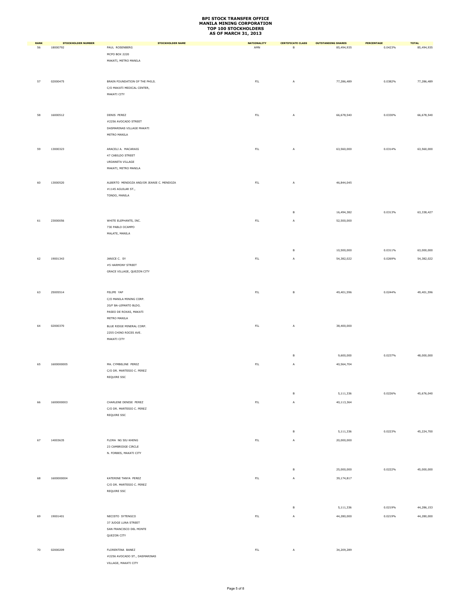| <b>RANK</b> | <b>STOCKHOLDER NUMBER</b> | <b>STOCKHOLDER NAME</b>                  | <b>NATIONALITY</b> | <b>CERTIFICATE CLASS</b> | <b>OUTSTANDING SHARES</b> | PERCENTAGE | <b>TOTAL</b> |
|-------------|---------------------------|------------------------------------------|--------------------|--------------------------|---------------------------|------------|--------------|
| 56          | 18000792                  | PAUL ROSENBERG                           | AMN                | $\,$ B                   | 85,494,935                | 0.0423%    | 85,494,935   |
|             |                           | MCPO BOX 2220                            |                    |                          |                           |            |              |
|             |                           | MAKATI, METRO MANILA                     |                    |                          |                           |            |              |
|             |                           |                                          |                    |                          |                           |            |              |
|             |                           |                                          |                    |                          |                           |            |              |
| 57          | 02000475                  | BRAIN FOUNDATION OF THE PHILS.           | ${\sf FIL}$        | A                        | 77,286,489                | 0.0382%    | 77,286,489   |
|             |                           | C/O MAKATI MEDICAL CENTER,               |                    |                          |                           |            |              |
|             |                           | MAKATI CITY                              |                    |                          |                           |            |              |
|             |                           |                                          |                    |                          |                           |            |              |
|             |                           |                                          |                    |                          |                           |            |              |
|             |                           |                                          |                    |                          |                           |            |              |
| 58          | 16000512                  | DENIS PEREZ                              | $\mathsf{FL}$      | A                        | 66,678,540                | 0.0330%    | 66,678,540   |
|             |                           | #2256 AVOCADO STREET                     |                    |                          |                           |            |              |
|             |                           | DASMARINAS VILLAGE MAKATI                |                    |                          |                           |            |              |
|             |                           | METRO MANILA                             |                    |                          |                           |            |              |
|             |                           |                                          |                    |                          |                           |            |              |
| 59          | 13000323                  | ARACELI A. MACARAIG                      | ${\sf FIL}$        | A                        | 63,560,000                | 0.0314%    | 63,560,000   |
|             |                           | 47 CABILDO STREET                        |                    |                          |                           |            |              |
|             |                           | URDANETA VILLAGE                         |                    |                          |                           |            |              |
|             |                           | MAKATI, METRO MANILA                     |                    |                          |                           |            |              |
|             |                           |                                          |                    |                          |                           |            |              |
|             |                           |                                          |                    |                          |                           |            |              |
| 60          | 13000520                  | ALBERTO MENDOZA AND/OR JEANIE C. MENDOZA | ${\sf FIL}$        | А                        | 46,844,045                |            |              |
|             |                           | #1145 AGUILAR ST.,                       |                    |                          |                           |            |              |
|             |                           | TONDO, MANILA                            |                    |                          |                           |            |              |
|             |                           |                                          |                    |                          |                           |            |              |
|             |                           |                                          |                    | $\mathsf B$              | 16,494,382                | 0.0313%    | 63,338,427   |
|             |                           |                                          |                    |                          |                           |            |              |
| 61          | 23000056                  | WHITE ELEPHANTS, INC.                    | ${\sf FIL}$        | A                        | 52,500,000                |            |              |
|             |                           | 730 PABLO OCAMPO                         |                    |                          |                           |            |              |
|             |                           | MALATE, MANILA                           |                    |                          |                           |            |              |
|             |                           |                                          |                    |                          |                           |            |              |
|             |                           |                                          |                    |                          |                           |            |              |
|             |                           |                                          |                    | в                        | 10,500,000                | 0.0311%    | 63,000,000   |
| 62          | 19001343                  | JANICE C. SY                             | ${\sf FIL}$        | А                        | 54,382,022                | 0.0269%    | 54,382,022   |
|             |                           | #5 HARMONY STREET                        |                    |                          |                           |            |              |
|             |                           | GRACE VILLAGE, QUEZON CITY               |                    |                          |                           |            |              |
|             |                           |                                          |                    |                          |                           |            |              |
|             |                           |                                          |                    |                          |                           |            |              |
| 63          | 25005514                  | FELIPE YAP                               | ${\sf FIL}$        | $\,$ B                   | 49,401,596                | 0.0244%    | 49,401,596   |
|             |                           |                                          |                    |                          |                           |            |              |
|             |                           | C/O MANILA MINING CORP.                  |                    |                          |                           |            |              |
|             |                           | 20/F BA-LEPANTO BLDG.                    |                    |                          |                           |            |              |
|             |                           | PASEO DE ROXAS, MAKATI                   |                    |                          |                           |            |              |
|             |                           | METRO MANILA                             |                    |                          |                           |            |              |
| 64          | 02000370                  | BLUE RIDGE MINERAL CORP.                 | ${\sf FIL}$        | А                        | 38,400,000                |            |              |
|             |                           | 2255 CHINO ROCES AVE.                    |                    |                          |                           |            |              |
|             |                           | MAKATI CITY                              |                    |                          |                           |            |              |
|             |                           |                                          |                    |                          |                           |            |              |
|             |                           |                                          |                    |                          |                           |            |              |
|             |                           |                                          |                    | в                        | 9,600,000                 | 0.0237%    | 48,000,000   |
| 65          | 1600000005                | MA. CYMBELINE PEREZ                      | $\mathsf{FIL}$     | A                        | 40,564,704                |            |              |
|             |                           | C/O DR. MARTESIO C. PEREZ                |                    |                          |                           |            |              |
|             |                           | REQUIRE SSC                              |                    |                          |                           |            |              |
|             |                           |                                          |                    |                          |                           |            |              |
|             |                           |                                          |                    |                          |                           |            |              |
|             |                           |                                          |                    | $\,$ B                   | 5,111,336                 | 0.0226%    | 45,676,040   |
| 66          | 1600000003                | CHARLENE DENISE PEREZ                    | ${\sf FIL}$        | А                        | 40,113,364                |            |              |
|             |                           | C/O DR. MARTESIO C. PEREZ                |                    |                          |                           |            |              |
|             |                           | REQUIRE SSC                              |                    |                          |                           |            |              |
|             |                           |                                          |                    |                          |                           |            |              |
|             |                           |                                          |                    |                          |                           |            |              |
|             |                           |                                          |                    | в                        | 5,111,336                 | 0.0223%    | 45,224,700   |
| 67          | 14003635                  | FLORA NG SIU KHENG                       | ${\sf FIL}$        | A                        | 20,000,000                |            |              |
|             |                           |                                          |                    |                          |                           |            |              |
|             |                           | 23 CAMBRIDGE CIRCLE                      |                    |                          |                           |            |              |
|             |                           | N. FORBES, MAKATI CITY                   |                    |                          |                           |            |              |
|             |                           |                                          |                    |                          |                           |            |              |
|             |                           |                                          |                    | $\,$ B                   | 25,000,000                | 0.0222%    | 45,000,000   |
|             |                           |                                          |                    |                          |                           |            |              |
| 68          | 1600000004                | KATERINE TANYA PEREZ                     | ${\sf FIL}$        | А                        | 39,174,817                |            |              |
|             |                           | C/O DR. MARTESIO C. PEREZ                |                    |                          |                           |            |              |
|             |                           | REQUIRE SSC                              |                    |                          |                           |            |              |
|             |                           |                                          |                    |                          |                           |            |              |
|             |                           |                                          |                    |                          |                           |            |              |
|             |                           |                                          |                    | $\mathsf B$              | 5,111,336                 | 0.0219%    | 44,286,153   |
| 69          | 19001401                  | NECISTO SYTENGCO                         | ${\sf FIL}$        | A                        | 44,280,000                | 0.0219%    | 44,280,000   |
|             |                           | 37 JUDGE LUNA STREET                     |                    |                          |                           |            |              |
|             |                           | SAN FRANCISCO DEL MONTE                  |                    |                          |                           |            |              |
|             |                           | QUEZON CITY                              |                    |                          |                           |            |              |
|             |                           |                                          |                    |                          |                           |            |              |
| 70          | 02000209                  | FLORENTINA BANEZ                         | ${\sf FIL}$        | A                        | 34,209,289                |            |              |
|             |                           | #2256 AVOCADO ST., DASMARINAS            |                    |                          |                           |            |              |
|             |                           | VILLAGE, MAKATI CITY                     |                    |                          |                           |            |              |
|             |                           |                                          |                    |                          |                           |            |              |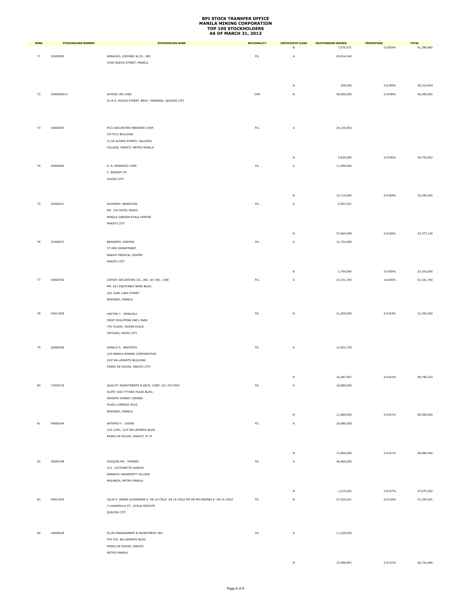| <b>RANK</b> | <b>STOCKHOLDER NUMBER</b> | <b>STOCKHOLDER NAME</b>                                                         | <b>NATIONALITY</b> | <b>CERTIFICATE CLASS</b><br>в | <b>OUTSTANDING SHARES</b> | PERCENTAGE<br>0.0204% | <b>TOTAL</b> |
|-------------|---------------------------|---------------------------------------------------------------------------------|--------------------|-------------------------------|---------------------------|-----------------------|--------------|
|             |                           |                                                                                 |                    |                               | 7,075,571                 |                       | 41,284,860   |
| $71\,$      | 01000959                  | ANSALDO, GODINEZ & CO., INC.<br>#340 NUEVA STREET, MANILA                       | ${\sf FIL}$        | A                             | 40,014,544                |                       |              |
|             |                           |                                                                                 |                    |                               |                           |                       |              |
|             |                           |                                                                                 |                    |                               |                           |                       |              |
|             |                           |                                                                                 |                    | в                             | 295,500                   | 0.0199%               | 40,310,044   |
|             | 0300000015                |                                                                                 | CHN                | $\,$ B                        |                           | 0.0198%               |              |
| 72          |                           | KAYKEE LIM CHEE<br>91-B G. ROXAS STREET, BRGY. MANRESA, QUEZON CITY             |                    |                               | 40,000,000                |                       | 40,000,000   |
|             |                           |                                                                                 |                    |                               |                           |                       |              |
|             |                           |                                                                                 |                    |                               |                           |                       |              |
|             |                           |                                                                                 |                    |                               |                           |                       |              |
| 73          | 16000387                  | PCCI SECURITIES BROKERS CORP.                                                   | $\mathsf{FIL}$     | A                             | 34,129,852                |                       |              |
|             |                           | 3/F PCCI BUILDING                                                               |                    |                               |                           |                       |              |
|             |                           | #118 ALFARO STREET, SALCEDO<br>VILLAGE, MAKATI, METRO MANILA                    |                    |                               |                           |                       |              |
|             |                           |                                                                                 |                    |                               |                           |                       |              |
|             |                           |                                                                                 |                    | в                             | 5,625,000                 | 0.0196%               | 39,754,852   |
| 74          | 05000054                  | E. N. MADRAZO CORP.                                                             | $\mathsf{FIL}$     | A                             | 11,490,000                |                       |              |
|             |                           | C. BANGOY ST.                                                                   |                    |                               |                           |                       |              |
|             |                           | DAVAO CITY                                                                      |                    |                               |                           |                       |              |
|             |                           |                                                                                 |                    |                               |                           |                       |              |
|             |                           |                                                                                 |                    | в                             | 22,710,000                | 0.0169%               | 34,200,000   |
| 75          | 02000211                  | EDUARDO BANGAYAN                                                                | FL                 | A                             | 5,907,551                 |                       |              |
|             |                           | RM. 218 HOTEL NIKKO                                                             |                    |                               |                           |                       |              |
|             |                           | MANILA GARDEN AYALA CENTER<br>MAKATI CITY                                       |                    |                               |                           |                       |              |
|             |                           |                                                                                 |                    |                               |                           |                       |              |
|             |                           |                                                                                 |                    | в                             | 27,669,589                | 0.0166%               | 33,577,140   |
| 76          | 01000671                  | BENJAMIN ADAPON                                                                 | $\mathsf{FIL}$     | A                             | 31,752,000                |                       |              |
|             |                           | CT-MRI DEPARTMENT                                                               |                    |                               |                           |                       |              |
|             |                           | MAKATI MEDICAL CENTER<br>MAKATI CITY                                            |                    |                               |                           |                       |              |
|             |                           |                                                                                 |                    |                               |                           |                       |              |
|             |                           |                                                                                 |                    | $\,$ B                        | 1,764,000                 | 0.0165%               | 33,516,000   |
| 77          | 03000702                  | CATHAY SECURITIES CO., INC. A/C NO. 1358                                        | $\mathsf{FIL}$     | Α                             | 31,531,760                | 0.0156%               | 31,531,760   |
|             |                           | RM. 621 EQUITABLE BANK BLDG.                                                    |                    |                               |                           |                       |              |
|             |                           | 262 JUAN LUNA STREET<br>BINONDO, MANILA                                         |                    |                               |                           |                       |              |
|             |                           |                                                                                 |                    |                               |                           |                       |              |
| 78          | 04011829                  | HECTOR Y. DIMACALI                                                              | $\mathsf{FIL}$     | в                             | 31,200,000                | 0.0154%               | 31,200,000   |
|             |                           | FIRST PHILIPPINE IND'L PARK                                                     |                    |                               |                           |                       |              |
|             |                           | 7TH FLOOR, TAIPAN PLACE                                                         |                    |                               |                           |                       |              |
|             |                           | ORTIGAS, PASIG CITY                                                             |                    |                               |                           |                       |              |
|             |                           |                                                                                 |                    |                               |                           |                       |              |
| 79          | 02000290                  | DANILO G. BAUTISTA                                                              | $\mathsf{FIL}$     | A                             | 12,502,755                |                       |              |
|             |                           | C/O MANILA MINING CORPORATION<br>20/F BA-LEPANTO BUILDING                       |                    |                               |                           |                       |              |
|             |                           | PASEO DE ROXAS, MAKATI CITY                                                     |                    |                               |                           |                       |              |
|             |                           |                                                                                 |                    |                               |                           |                       |              |
|             |                           |                                                                                 |                    | $\mathsf B$                   | 16,287,467                | 0.0142%               | 28,790,222   |
| 80          | 17002719                  | QUALITY INVESTMENTS & SECS. CORP. A/C #017003                                   | $\mathsf{FIL}$     | Α                             | 16,880,000                |                       |              |
|             |                           | SUITE 1602 TYTANA PLAZA BLDG.<br>ORIENTE STREET CORNER                          |                    |                               |                           |                       |              |
|             |                           | PLAZA LORENZO RUIZ                                                              |                    |                               |                           |                       |              |
|             |                           | BINONDO, MANILA                                                                 |                    |                               |                           |                       |              |
|             |                           |                                                                                 |                    | в                             | 11,680,000                | 0.0141%               | 28,560,000   |
| $^{\rm 81}$ | 04000244                  | ARTEMIO F. DISINI                                                               | ${\sf FIL}$        | A                             | 16,680,000                |                       |              |
|             |                           | C/O LCMC, 21/F BA-LEPANTO BLDG                                                  |                    |                               |                           |                       |              |
|             |                           | PASEO DE ROXAS, MAKATI, M. M.                                                   |                    |                               |                           |                       |              |
|             |                           |                                                                                 |                    |                               |                           |                       |              |
|             |                           |                                                                                 |                    | в                             | 11,800,000                | 0.0141%               | 28,480,000   |
| 82          | 20000198                  | JOAQUIN MA. TAMANO                                                              | $\mathsf{FIL}$     | A                             | 26,460,000                |                       |              |
|             |                           | #31 VICTONETTA AVENUE                                                           |                    |                               |                           |                       |              |
|             |                           | ARANETA UNIVERSITY VILLAGE<br>MALABON, METRO MANILA                             |                    |                               |                           |                       |              |
|             |                           |                                                                                 |                    |                               |                           |                       |              |
|             |                           |                                                                                 |                    | B                             | 1,215,052                 | 0.0137%               | 27,675,052   |
| 83          | 04011832                  | JULIA K. MARIA ALESANDRA K. DE LA CRUZ DE LA CRUZ OR OR MA.ANDREA K. DE LA CRUZ | $\mathsf{FIL}$     | в                             | 27,329,421                | 0.0135%               | 27,329,421   |
|             |                           | 4 LAKANDULA ST., AYALA HEIGHTS                                                  |                    |                               |                           |                       |              |
|             |                           | QUEZON CITY                                                                     |                    |                               |                           |                       |              |
|             |                           |                                                                                 |                    |                               |                           |                       |              |
| 84          | 16000638                  | PLLIM MANAGEMENT & INVESTMENT INC.                                              | ${\sf FIL}$        | Α                             | 11,235,955                |                       |              |
|             |                           | 9TH FLR. BA-LEPANTO BLDG.                                                       |                    |                               |                           |                       |              |
|             |                           | PASEO DE ROXAS, MAKATI                                                          |                    |                               |                           |                       |              |
|             |                           | METRO MANILA                                                                    |                    |                               |                           |                       |              |
|             |                           |                                                                                 |                    | в                             | 15,486,891                | 0.0132%               | 26,722,846   |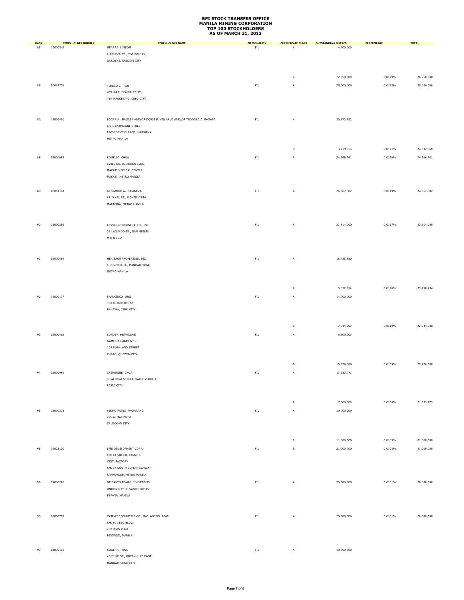| <b>RANK</b> | <b>STOCKHOLDER NUMBER</b> | <b>STOCKHOLDER NAME</b>                                           | <b>NATIONALITY</b> | <b>CERTIFICATE CLASS</b> | <b>OUTSTANDING SHARES</b> | PERCENTAGE | <b>TOTAL</b> |
|-------------|---------------------------|-------------------------------------------------------------------|--------------------|--------------------------|---------------------------|------------|--------------|
| 85          | 12000543                  | GENARA LIMSON                                                     | <b>FIL</b>         | Α                        | 4,200,000                 |            |              |
|             |                           | 8 ABUEVA ST., CORINTHIAN<br>GARDENS, QUEZON CITY                  |                    |                          |                           |            |              |
|             |                           |                                                                   |                    |                          |                           |            |              |
|             |                           |                                                                   |                    |                          |                           |            |              |
|             |                           |                                                                   |                    | в                        | 22,050,000                | 0.0129%    | 26,250,000   |
| 86          | 20014739                  | TERESO C. TAN                                                     | FIL                | A                        | 25,000,000                | 0.0123%    | 25,000,000   |
|             |                           | #72-74 F. GONZALES ST.,<br>TSK MARKETING, CEBU CITY               |                    |                          |                           |            |              |
|             |                           |                                                                   |                    |                          |                           |            |              |
|             |                           |                                                                   |                    |                          |                           |            |              |
| 87          | 18000400                  | EDGAR A. RAGASA AND/OR DORIS R. VILLARUZ AND/OR TEODORA A. RAGASA | ${\sf FIL}$        | A                        | 20,872,552                |            |              |
|             |                           | 8 ST. CATHERINE STREET                                            |                    |                          |                           |            |              |
|             |                           | PROVIDENT VILLAGE, MARIKINA                                       |                    |                          |                           |            |              |
|             |                           | METRO MANILA                                                      |                    |                          |                           |            |              |
|             |                           |                                                                   |                    | в                        | 3,719,816                 | 0.0121%    | 24,592,368   |
| 88          | 03001093                  | ROGELIO CHUA                                                      | ${\sf FIL}$        | A                        | 24,246,741                | 0.0120%    | 24,246,741   |
|             |                           | SUITE NO. 03 ANNEX BLDG.                                          |                    |                          |                           |            |              |
|             |                           | MAKATI MEDICAL CENTER                                             |                    |                          |                           |            |              |
|             |                           | MAKATI, METRO MANILA                                              |                    |                          |                           |            |              |
| 89          | 06014141                  | BERNARDO A. FRIANEZA                                              |                    |                          |                           |            | 24,067,802   |
|             |                           | 68 YAKAL ST., MONTE VISTA                                         | FIL                | A                        | 24,067,802                | 0.0119%    |              |
|             |                           | MARIKINA, METRO MANILA                                            |                    |                          |                           |            |              |
|             |                           |                                                                   |                    |                          |                           |            |              |
|             |                           |                                                                   |                    |                          |                           |            |              |
| 90          | 11000398                  | KEYSER MERCANTILE CO., INC.                                       | ${\sf FIL}$        | A                        | 23,814,000                | 0.0117%    | 23,814,000   |
|             |                           | 231 AGUADO ST., SAN MIGUEL                                        |                    |                          |                           |            |              |
|             |                           | $M$ A N I L A                                                     |                    |                          |                           |            |              |
|             |                           |                                                                   |                    |                          |                           |            |              |
| 91          | 08000469                  | HERITAGE PROPERTIES, INC.                                         | ${\sf FIL}$        | A                        | 18,425,880                |            |              |
|             |                           | 66 UNITED ST., MANDALUYONG                                        |                    |                          |                           |            |              |
|             |                           | METRO MANILA                                                      |                    |                          |                           |            |              |
|             |                           |                                                                   |                    |                          |                           |            |              |
|             |                           |                                                                   |                    | $\mathsf B$              | 5,032,554                 | 0.0116%    | 23,458,434   |
| 92          | 15000177                  | FRANCISCO ONG                                                     | ${\sf FIL}$        | A                        | 14,700,000                |            |              |
|             |                           | 303 R. DUTERTE ST.                                                |                    |                          |                           |            |              |
|             |                           | BANAWA, CEBU CITY                                                 |                    |                          |                           |            |              |
|             |                           |                                                                   |                    |                          |                           |            |              |
|             |                           |                                                                   |                    | в                        | 7,644,000                 | 0.0110%    | 22,344,000   |
| 93          | 08000463                  | SUNDER HEMANDAS                                                   | ${\sf FIL}$        | A                        | 6,300,000                 |            |              |
|             |                           | <b>GAMES &amp; GARMENTS</b>                                       |                    |                          |                           |            |              |
|             |                           | 105 MARYLAND STREET                                               |                    |                          |                           |            |              |
|             |                           | CUBAO, QUEZON CITY                                                |                    |                          |                           |            |              |
|             |                           |                                                                   |                    | в                        | 15,876,000                | 0.0109%    | 22,176,000   |
| 94          | 03000959                  | CATHERINE CHOA                                                    | FIL                | A                        | 13,933,773                |            |              |
|             |                           | 3 PALMERA STREET, VALLE VERDE 4,                                  |                    |                          |                           |            |              |
|             |                           | PASIG CITY                                                        |                    |                          |                           |            |              |
|             |                           |                                                                   |                    |                          |                           |            |              |
|             |                           |                                                                   |                    | в                        | 7,600,000                 | 0.0106%    | 21,533,773   |
| 95          | 13000331                  | PEDRO WONG MADARANG                                               | ${\sf FIL}$        | A                        | 10,000,000                |            |              |
|             |                           | 275 A. MABINI ST                                                  |                    |                          |                           |            |              |
|             |                           | CALOOCAN CITY                                                     |                    |                          |                           |            |              |
|             |                           |                                                                   |                    |                          |                           |            |              |
|             |                           |                                                                   |                    | в                        | 11,000,000                | 0.0103%    | 21,000,000   |
| 95          | 19023130                  | SMS DEVELOPMENT CORP.                                             | $\mathsf{FIL}$     | $\mathsf B$              | 21,000,000                | 0.0103%    | 21,000,000   |
|             |                           | C/O LA SUERTE CIGAR &                                             |                    |                          |                           |            |              |
|             |                           | CIGT. FACTORY<br>KM. 14 SOUTH SUPER HIGHWAY                       |                    |                          |                           |            |              |
|             |                           | PARANAQUE, METRO MANILA                                           |                    |                          |                           |            |              |
| 96          | 21000228                  | OF SANTO TOMAS UNIVERSITY                                         | FL                 | A                        | 20,580,000                | 0.0101%    | 20,580,000   |
|             |                           | UNIVERSITY OF SANTO TOMAS                                         |                    |                          |                           |            |              |
|             |                           | ESPANA, MANILA                                                    |                    |                          |                           |            |              |
|             |                           |                                                                   |                    |                          |                           |            |              |
|             |                           |                                                                   |                    |                          |                           |            |              |
| 96          | 03000757                  | CATHAY SECURITIES CO., INC. A/C NO. 1868                          | ${\sf FIL}$        | A                        | 20,580,000                | 0.0101%    | 20,580,000   |
|             |                           | RM. 621 EBC BLDG.                                                 |                    |                          |                           |            |              |
|             |                           | 262 JUAN LUNA<br>BINONDO, MANILA                                  |                    |                          |                           |            |              |
|             |                           |                                                                   |                    |                          |                           |            |              |
| 97          | 01030103                  | ROGER C. ANG                                                      | ${\sf FIL}$        | A                        | 10,000,000                |            |              |
|             |                           | 40 DUKE ST., GREENHILLS EAST                                      |                    |                          |                           |            |              |
|             |                           | MANDALUYONG CITY                                                  |                    |                          |                           |            |              |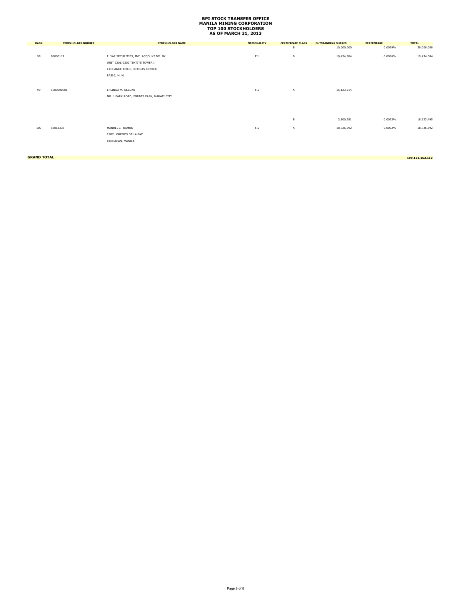| <b>RANK</b>        | <b>STOCKHOLDER NUMBER</b> | <b>STOCKHOLDER NAME</b>                   | <b>NATIONALITY</b> | <b>CERTIFICATE CLASS</b> | <b>OUTSTANDING SHARES</b> | <b>PERCENTAGE</b> | <b>TOTAL</b>    |
|--------------------|---------------------------|-------------------------------------------|--------------------|--------------------------|---------------------------|-------------------|-----------------|
|                    |                           |                                           |                    | B                        | 10,000,000                | 0.0099%           | 20,000,000      |
| 98                 | 06000117                  | F. YAP SECURITIES, INC. ACCOUNT NO. BY    | FIL                | в                        | 19,434,384                | 0.0096%           | 19,434,384      |
|                    |                           | UNIT 2301/2302 TEKTITE TOWER I            |                    |                          |                           |                   |                 |
|                    |                           | EXCHANGE ROAD, ORTIGAS CENTER             |                    |                          |                           |                   |                 |
|                    |                           | PASIG, M. M.                              |                    |                          |                           |                   |                 |
|                    |                           |                                           |                    |                          |                           |                   |                 |
| 99                 | 1500000001                | ERLINDA M. OLEDAN                         | FL                 | A                        | 15,123,214                |                   |                 |
|                    |                           | NO. 1 PARK ROAD, FORBES PARK, MAKATI CITY |                    |                          |                           |                   |                 |
|                    |                           |                                           |                    |                          |                           |                   |                 |
|                    |                           |                                           |                    |                          |                           |                   |                 |
|                    |                           |                                           |                    | в                        | 3,800,281                 | 0.0093%           | 18,923,495      |
|                    |                           |                                           |                    |                          |                           |                   |                 |
| 100                | 18012338                  | MANUEL J. RAMOS                           | FL                 | A                        | 18,726,592                | 0.0092%           | 18,726,592      |
|                    |                           | 2982 LORENZO DE LA PAZ                    |                    |                          |                           |                   |                 |
|                    |                           | PANDACAN, MANILA                          |                    |                          |                           |                   |                 |
|                    |                           |                                           |                    |                          |                           |                   |                 |
|                    |                           |                                           |                    |                          |                           |                   |                 |
| <b>GRAND TOTAL</b> |                           |                                           |                    |                          |                           |                   | 199,132,152,110 |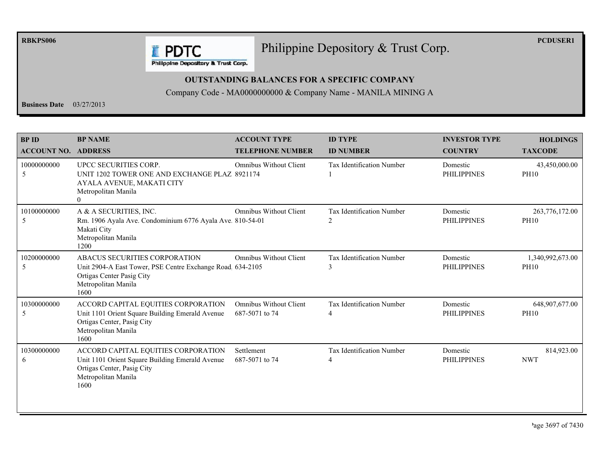**RBKPS006** 

Philippine Depository & Trust Corp.

**PCDUSER1** 

**E** PDTC Philippine Depository & Trust Corp.

#### **OUTSTANDING BALANCES FOR A SPECIFIC COMPANY**

Company Code - MA0000000000 & Company Name - MANILA MINING A

**Business Date**  $03/27/2013$ 

| <b>BPID</b><br><b>ACCOUNT NO.</b> | <b>BP NAME</b><br><b>ADDRESS</b>                                                                                                                        | <b>ACCOUNT TYPE</b><br><b>TELEPHONE NUMBER</b>  | <b>ID TYPE</b><br><b>ID NUMBER</b>    | <b>INVESTOR TYPE</b><br><b>COUNTRY</b> | <b>HOLDINGS</b><br><b>TAXCODE</b> |
|-----------------------------------|---------------------------------------------------------------------------------------------------------------------------------------------------------|-------------------------------------------------|---------------------------------------|----------------------------------------|-----------------------------------|
| 10000000000<br>5                  | UPCC SECURITIES CORP.<br>UNIT 1202 TOWER ONE AND EXCHANGE PLAZ 8921174<br>AYALA AVENUE, MAKATI CITY<br>Metropolitan Manila<br>$\theta$                  | <b>Omnibus Without Client</b>                   | <b>Tax Identification Number</b>      | Domestic<br><b>PHILIPPINES</b>         | 43,450,000.00<br><b>PH10</b>      |
| 10100000000<br>5                  | A & A SECURITIES, INC.<br>Rm. 1906 Ayala Ave. Condominium 6776 Ayala Ave. 810-54-01<br>Makati City<br>Metropolitan Manila<br>1200                       | <b>Omnibus Without Client</b>                   | <b>Tax Identification Number</b><br>2 | Domestic<br><b>PHILIPPINES</b>         | 263,776,172.00<br><b>PH10</b>     |
| 10200000000<br>5                  | ABACUS SECURITIES CORPORATION<br>Unit 2904-A East Tower, PSE Centre Exchange Road. 634-2105<br>Ortigas Center Pasig City<br>Metropolitan Manila<br>1600 | <b>Omnibus Without Client</b>                   | <b>Tax Identification Number</b><br>3 | Domestic<br><b>PHILIPPINES</b>         | 1,340,992,673.00<br><b>PH10</b>   |
| 10300000000<br>5                  | ACCORD CAPITAL EQUITIES CORPORATION<br>Unit 1101 Orient Square Building Emerald Avenue<br>Ortigas Center, Pasig City<br>Metropolitan Manila<br>1600     | <b>Omnibus Without Client</b><br>687-5071 to 74 | Tax Identification Number             | Domestic<br><b>PHILIPPINES</b>         | 648,907,677.00<br><b>PH10</b>     |
| 10300000000<br>6                  | ACCORD CAPITAL EQUITIES CORPORATION<br>Unit 1101 Orient Square Building Emerald Avenue<br>Ortigas Center, Pasig City<br>Metropolitan Manila<br>1600     | Settlement<br>687-5071 to 74                    | Tax Identification Number<br>4        | Domestic<br><b>PHILIPPINES</b>         | 814,923.00<br><b>NWT</b>          |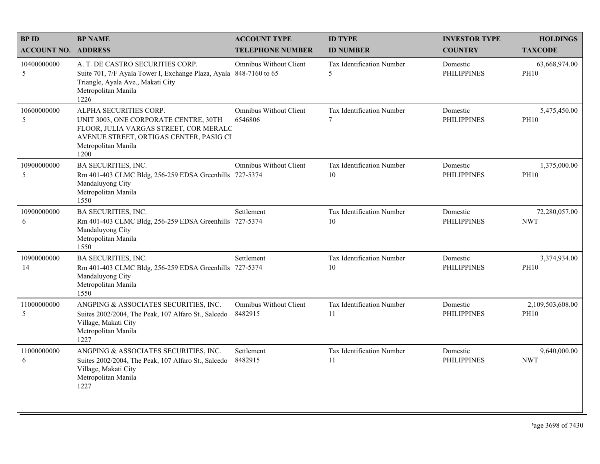| <b>BPID</b>                | <b>BP NAME</b>                                                                                                                                                                      | <b>ACCOUNT TYPE</b>                      | <b>ID TYPE</b>                              | <b>INVESTOR TYPE</b>           | <b>HOLDINGS</b>                 |
|----------------------------|-------------------------------------------------------------------------------------------------------------------------------------------------------------------------------------|------------------------------------------|---------------------------------------------|--------------------------------|---------------------------------|
| <b>ACCOUNT NO. ADDRESS</b> |                                                                                                                                                                                     | <b>TELEPHONE NUMBER</b>                  | <b>ID NUMBER</b>                            | <b>COUNTRY</b>                 | <b>TAXCODE</b>                  |
| 10400000000<br>5           | A. T. DE CASTRO SECURITIES CORP.<br>Suite 701, 7/F Ayala Tower I, Exchange Plaza, Ayala 848-7160 to 65<br>Triangle, Ayala Ave., Makati City<br>Metropolitan Manila<br>1226          | <b>Omnibus Without Client</b>            | Tax Identification Number<br>5              | Domestic<br><b>PHILIPPINES</b> | 63,668,974.00<br><b>PH10</b>    |
| 10600000000<br>5           | ALPHA SECURITIES CORP.<br>UNIT 3003, ONE CORPORATE CENTRE, 30TH<br>FLOOR, JULIA VARGAS STREET, COR MERALC<br>AVENUE STREET, ORTIGAS CENTER, PASIG CI<br>Metropolitan Manila<br>1200 | <b>Omnibus Without Client</b><br>6546806 | Tax Identification Number<br>$\overline{7}$ | Domestic<br><b>PHILIPPINES</b> | 5,475,450.00<br><b>PH10</b>     |
| 10900000000<br>5           | <b>BA SECURITIES, INC.</b><br>Rm 401-403 CLMC Bldg, 256-259 EDSA Greenhills 727-5374<br>Mandaluyong City<br>Metropolitan Manila<br>1550                                             | <b>Omnibus Without Client</b>            | Tax Identification Number<br>10             | Domestic<br><b>PHILIPPINES</b> | 1,375,000.00<br><b>PH10</b>     |
| 10900000000<br>6           | <b>BA SECURITIES, INC.</b><br>Rm 401-403 CLMC Bldg, 256-259 EDSA Greenhills 727-5374<br>Mandaluyong City<br>Metropolitan Manila<br>1550                                             | Settlement                               | Tax Identification Number<br>10             | Domestic<br><b>PHILIPPINES</b> | 72,280,057.00<br><b>NWT</b>     |
| 10900000000<br>14          | <b>BA SECURITIES, INC.</b><br>Rm 401-403 CLMC Bldg, 256-259 EDSA Greenhills 727-5374<br>Mandaluyong City<br>Metropolitan Manila<br>1550                                             | Settlement                               | Tax Identification Number<br>10             | Domestic<br><b>PHILIPPINES</b> | 3,374,934.00<br><b>PH10</b>     |
| 11000000000<br>5           | ANGPING & ASSOCIATES SECURITIES, INC.<br>Suites 2002/2004, The Peak, 107 Alfaro St., Salcedo<br>Village, Makati City<br>Metropolitan Manila<br>1227                                 | <b>Omnibus Without Client</b><br>8482915 | Tax Identification Number<br>11             | Domestic<br><b>PHILIPPINES</b> | 2,109,503,608.00<br><b>PH10</b> |
| 11000000000<br>6           | ANGPING & ASSOCIATES SECURITIES, INC.<br>Suites 2002/2004, The Peak, 107 Alfaro St., Salcedo<br>Village, Makati City<br>Metropolitan Manila<br>1227                                 | Settlement<br>8482915                    | Tax Identification Number<br>11             | Domestic<br><b>PHILIPPINES</b> | 9,640,000.00<br><b>NWT</b>      |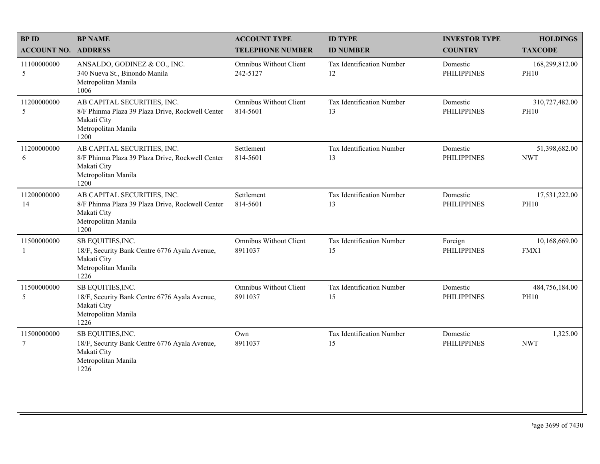| <b>BPID</b>                    | <b>BP NAME</b>                                                                                                                | <b>ACCOUNT TYPE</b>                       | <b>ID TYPE</b>                  | <b>INVESTOR TYPE</b>           | <b>HOLDINGS</b>               |
|--------------------------------|-------------------------------------------------------------------------------------------------------------------------------|-------------------------------------------|---------------------------------|--------------------------------|-------------------------------|
| <b>ACCOUNT NO. ADDRESS</b>     |                                                                                                                               | <b>TELEPHONE NUMBER</b>                   | <b>ID NUMBER</b>                | <b>COUNTRY</b>                 | <b>TAXCODE</b>                |
| 11100000000<br>5               | ANSALDO, GODINEZ & CO., INC.<br>340 Nueva St., Binondo Manila<br>Metropolitan Manila<br>1006                                  | Omnibus Without Client<br>242-5127        | Tax Identification Number<br>12 | Domestic<br><b>PHILIPPINES</b> | 168,299,812.00<br><b>PH10</b> |
| 11200000000<br>5               | AB CAPITAL SECURITIES, INC.<br>8/F Phinma Plaza 39 Plaza Drive, Rockwell Center<br>Makati City<br>Metropolitan Manila<br>1200 | <b>Omnibus Without Client</b><br>814-5601 | Tax Identification Number<br>13 | Domestic<br><b>PHILIPPINES</b> | 310,727,482.00<br><b>PH10</b> |
| 11200000000<br>6               | AB CAPITAL SECURITIES, INC.<br>8/F Phinma Plaza 39 Plaza Drive, Rockwell Center<br>Makati City<br>Metropolitan Manila<br>1200 | Settlement<br>814-5601                    | Tax Identification Number<br>13 | Domestic<br><b>PHILIPPINES</b> | 51,398,682.00<br><b>NWT</b>   |
| 11200000000<br>14              | AB CAPITAL SECURITIES, INC.<br>8/F Phinma Plaza 39 Plaza Drive, Rockwell Center<br>Makati City<br>Metropolitan Manila<br>1200 | Settlement<br>814-5601                    | Tax Identification Number<br>13 | Domestic<br><b>PHILIPPINES</b> | 17,531,222.00<br><b>PH10</b>  |
| 11500000000<br>1               | SB EQUITIES, INC.<br>18/F, Security Bank Centre 6776 Ayala Avenue,<br>Makati City<br>Metropolitan Manila<br>1226              | <b>Omnibus Without Client</b><br>8911037  | Tax Identification Number<br>15 | Foreign<br><b>PHILIPPINES</b>  | 10,168,669.00<br>FMX1         |
| 11500000000<br>5               | SB EQUITIES, INC.<br>18/F, Security Bank Centre 6776 Ayala Avenue,<br>Makati City<br>Metropolitan Manila<br>1226              | Omnibus Without Client<br>8911037         | Tax Identification Number<br>15 | Domestic<br><b>PHILIPPINES</b> | 484,756,184.00<br><b>PH10</b> |
| 11500000000<br>$7\phantom{.0}$ | SB EQUITIES, INC.<br>18/F, Security Bank Centre 6776 Ayala Avenue,<br>Makati City<br>Metropolitan Manila<br>1226              | Own<br>8911037                            | Tax Identification Number<br>15 | Domestic<br><b>PHILIPPINES</b> | 1,325.00<br><b>NWT</b>        |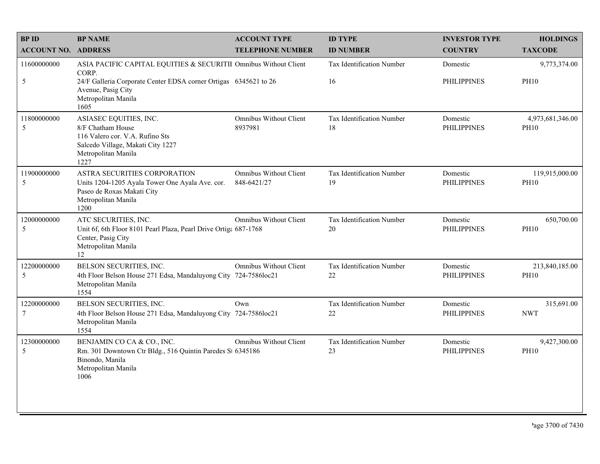| <b>BPID</b>                    | <b>BP NAME</b>                                                                                                                                     | <b>ACCOUNT TYPE</b>                          | <b>ID TYPE</b>                   | <b>INVESTOR TYPE</b>           | <b>HOLDINGS</b>                 |
|--------------------------------|----------------------------------------------------------------------------------------------------------------------------------------------------|----------------------------------------------|----------------------------------|--------------------------------|---------------------------------|
| <b>ACCOUNT NO. ADDRESS</b>     |                                                                                                                                                    | <b>TELEPHONE NUMBER</b>                      | <b>ID NUMBER</b>                 | <b>COUNTRY</b>                 | <b>TAXCODE</b>                  |
| 11600000000                    | ASIA PACIFIC CAPITAL EQUITIES & SECURITII Omnibus Without Client<br>CORP.                                                                          |                                              | <b>Tax Identification Number</b> | Domestic                       | 9,773,374.00                    |
| 5                              | 24/F Galleria Corporate Center EDSA corner Ortigas 6345621 to 26<br>Avenue, Pasig City<br>Metropolitan Manila<br>1605                              |                                              | 16                               | <b>PHILIPPINES</b>             | <b>PH10</b>                     |
| 11800000000<br>5               | ASIASEC EQUITIES, INC.<br>8/F Chatham House<br>116 Valero cor. V.A. Rufino Sts<br>Salcedo Village, Makati City 1227<br>Metropolitan Manila<br>1227 | Omnibus Without Client<br>8937981            | Tax Identification Number<br>18  | Domestic<br><b>PHILIPPINES</b> | 4,973,681,346.00<br><b>PH10</b> |
| 11900000000<br>5               | ASTRA SECURITIES CORPORATION<br>Units 1204-1205 Ayala Tower One Ayala Ave. cor.<br>Paseo de Roxas Makati City<br>Metropolitan Manila<br>1200       | <b>Omnibus Without Client</b><br>848-6421/27 | Tax Identification Number<br>19  | Domestic<br><b>PHILIPPINES</b> | 119,915,000.00<br><b>PH10</b>   |
| 12000000000<br>5               | ATC SECURITIES, INC.<br>Unit 6f, 6th Floor 8101 Pearl Plaza, Pearl Drive Ortiga 687-1768<br>Center, Pasig City<br>Metropolitan Manila<br>12        | <b>Omnibus Without Client</b>                | Tax Identification Number<br>20  | Domestic<br><b>PHILIPPINES</b> | 650,700.00<br><b>PH10</b>       |
| 12200000000<br>5               | BELSON SECURITIES, INC.<br>4th Floor Belson House 271 Edsa, Mandaluyong City 724-7586loc21<br>Metropolitan Manila<br>1554                          | <b>Omnibus Without Client</b>                | Tax Identification Number<br>22  | Domestic<br><b>PHILIPPINES</b> | 213,840,185.00<br><b>PH10</b>   |
| 12200000000<br>$7\phantom{.0}$ | BELSON SECURITIES, INC.<br>4th Floor Belson House 271 Edsa, Mandaluyong City 724-7586loc21<br>Metropolitan Manila<br>1554                          | Own                                          | Tax Identification Number<br>22  | Domestic<br><b>PHILIPPINES</b> | 315,691.00<br><b>NWT</b>        |
| 12300000000<br>5               | BENJAMIN CO CA & CO., INC.<br>Rm. 301 Downtown Ctr Bldg., 516 Quintin Paredes St 6345186<br>Binondo, Manila<br>Metropolitan Manila<br>1006         | <b>Omnibus Without Client</b>                | Tax Identification Number<br>23  | Domestic<br><b>PHILIPPINES</b> | 9,427,300.00<br><b>PH10</b>     |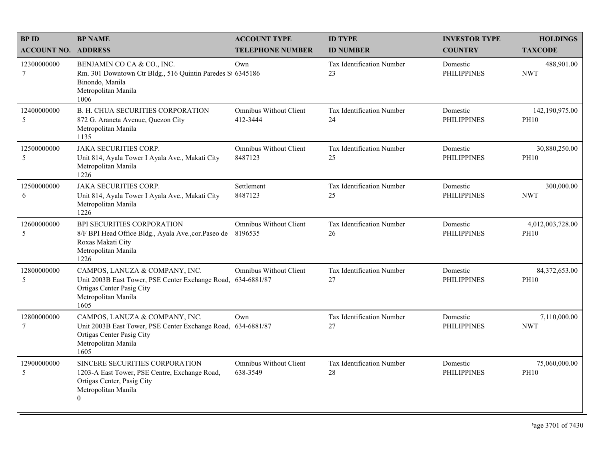| <b>BPID</b>                | <b>BP NAME</b>                                                                                                                                             | <b>ACCOUNT TYPE</b>                       | <b>ID TYPE</b>                  | <b>INVESTOR TYPE</b>           | <b>HOLDINGS</b>                 |
|----------------------------|------------------------------------------------------------------------------------------------------------------------------------------------------------|-------------------------------------------|---------------------------------|--------------------------------|---------------------------------|
| <b>ACCOUNT NO. ADDRESS</b> |                                                                                                                                                            | <b>TELEPHONE NUMBER</b>                   | <b>ID NUMBER</b>                | <b>COUNTRY</b>                 | <b>TAXCODE</b>                  |
| 12300000000<br>$\tau$      | BENJAMIN CO CA & CO., INC.<br>Rm. 301 Downtown Ctr Bldg., 516 Quintin Paredes St 6345186<br>Binondo, Manila<br>Metropolitan Manila<br>1006                 | Own                                       | Tax Identification Number<br>23 | Domestic<br><b>PHILIPPINES</b> | 488,901.00<br><b>NWT</b>        |
| 12400000000<br>5           | <b>B. H. CHUA SECURITIES CORPORATION</b><br>872 G. Araneta Avenue, Quezon City<br>Metropolitan Manila<br>1135                                              | <b>Omnibus Without Client</b><br>412-3444 | Tax Identification Number<br>24 | Domestic<br><b>PHILIPPINES</b> | 142,190,975.00<br><b>PH10</b>   |
| 12500000000<br>5           | <b>JAKA SECURITIES CORP.</b><br>Unit 814, Ayala Tower I Ayala Ave., Makati City<br>Metropolitan Manila<br>1226                                             | <b>Omnibus Without Client</b><br>8487123  | Tax Identification Number<br>25 | Domestic<br><b>PHILIPPINES</b> | 30,880,250.00<br><b>PH10</b>    |
| 12500000000<br>6           | <b>JAKA SECURITIES CORP.</b><br>Unit 814, Ayala Tower I Ayala Ave., Makati City<br>Metropolitan Manila<br>1226                                             | Settlement<br>8487123                     | Tax Identification Number<br>25 | Domestic<br><b>PHILIPPINES</b> | 300,000.00<br><b>NWT</b>        |
| 12600000000<br>5           | BPI SECURITIES CORPORATION<br>8/F BPI Head Office Bldg., Ayala Ave., cor. Paseo de<br>Roxas Makati City<br>Metropolitan Manila<br>1226                     | <b>Omnibus Without Client</b><br>8196535  | Tax Identification Number<br>26 | Domestic<br><b>PHILIPPINES</b> | 4,012,003,728.00<br><b>PH10</b> |
| 12800000000<br>5           | CAMPOS, LANUZA & COMPANY, INC.<br>Unit 2003B East Tower, PSE Center Exchange Road, 634-6881/87<br>Ortigas Center Pasig City<br>Metropolitan Manila<br>1605 | <b>Omnibus Without Client</b>             | Tax Identification Number<br>27 | Domestic<br><b>PHILIPPINES</b> | 84,372,653.00<br><b>PH10</b>    |
| 12800000000<br>$\tau$      | CAMPOS, LANUZA & COMPANY, INC.<br>Unit 2003B East Tower, PSE Center Exchange Road, 634-6881/87<br>Ortigas Center Pasig City<br>Metropolitan Manila<br>1605 | Own                                       | Tax Identification Number<br>27 | Domestic<br><b>PHILIPPINES</b> | 7,110,000.00<br><b>NWT</b>      |
| 12900000000<br>5           | SINCERE SECURITIES CORPORATION<br>1203-A East Tower, PSE Centre, Exchange Road,<br>Ortigas Center, Pasig City<br>Metropolitan Manila<br>$\overline{0}$     | Omnibus Without Client<br>638-3549        | Tax Identification Number<br>28 | Domestic<br><b>PHILIPPINES</b> | 75,060,000.00<br><b>PH10</b>    |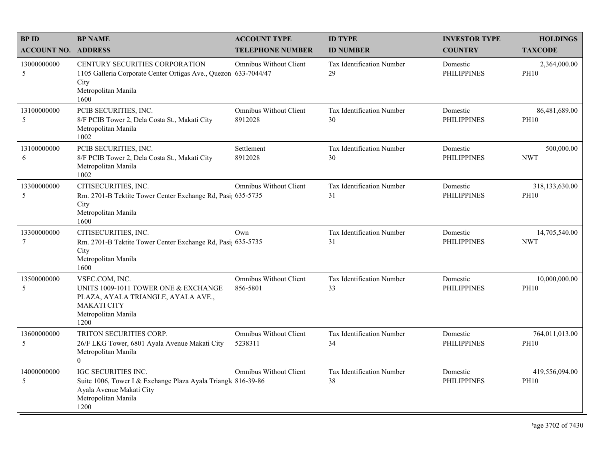| <b>BPID</b><br><b>ACCOUNT NO. ADDRESS</b> | <b>BP NAME</b>                                                                                                                                    | <b>ACCOUNT TYPE</b><br><b>TELEPHONE NUMBER</b> | <b>ID TYPE</b><br><b>ID NUMBER</b>     | <b>INVESTOR TYPE</b><br><b>COUNTRY</b> | <b>HOLDINGS</b><br><b>TAXCODE</b> |
|-------------------------------------------|---------------------------------------------------------------------------------------------------------------------------------------------------|------------------------------------------------|----------------------------------------|----------------------------------------|-----------------------------------|
| 13000000000<br>5                          | CENTURY SECURITIES CORPORATION<br>1105 Galleria Corporate Center Ortigas Ave., Quezon 633-7044/47<br>City<br>Metropolitan Manila<br>1600          | Omnibus Without Client                         | Tax Identification Number<br>29        | Domestic<br><b>PHILIPPINES</b>         | 2,364,000.00<br><b>PH10</b>       |
| 13100000000<br>5                          | PCIB SECURITIES, INC.<br>8/F PCIB Tower 2, Dela Costa St., Makati City<br>Metropolitan Manila<br>1002                                             | Omnibus Without Client<br>8912028              | Tax Identification Number<br>30        | Domestic<br><b>PHILIPPINES</b>         | 86,481,689.00<br><b>PH10</b>      |
| 13100000000<br>6                          | PCIB SECURITIES, INC.<br>8/F PCIB Tower 2, Dela Costa St., Makati City<br>Metropolitan Manila<br>1002                                             | Settlement<br>8912028                          | Tax Identification Number<br>30        | Domestic<br><b>PHILIPPINES</b>         | 500,000.00<br><b>NWT</b>          |
| 13300000000<br>5                          | CITISECURITIES, INC.<br>Rm. 2701-B Tektite Tower Center Exchange Rd, Pasi; 635-5735<br>City<br>Metropolitan Manila<br>1600                        | <b>Omnibus Without Client</b>                  | <b>Tax Identification Number</b><br>31 | Domestic<br><b>PHILIPPINES</b>         | 318,133,630.00<br><b>PH10</b>     |
| 13300000000<br>$\tau$                     | CITISECURITIES, INC.<br>Rm. 2701-B Tektite Tower Center Exchange Rd, Pasi; 635-5735<br>City<br>Metropolitan Manila<br>1600                        | Own                                            | <b>Tax Identification Number</b><br>31 | Domestic<br><b>PHILIPPINES</b>         | 14,705,540.00<br><b>NWT</b>       |
| 13500000000<br>5                          | VSEC.COM, INC.<br>UNITS 1009-1011 TOWER ONE & EXCHANGE<br>PLAZA, AYALA TRIANGLE, AYALA AVE.,<br><b>MAKATI CITY</b><br>Metropolitan Manila<br>1200 | <b>Omnibus Without Client</b><br>856-5801      | Tax Identification Number<br>33        | Domestic<br><b>PHILIPPINES</b>         | 10,000,000.00<br><b>PH10</b>      |
| 13600000000<br>5                          | TRITON SECURITIES CORP.<br>26/F LKG Tower, 6801 Ayala Avenue Makati City<br>Metropolitan Manila<br>$\theta$                                       | Omnibus Without Client<br>5238311              | Tax Identification Number<br>34        | Domestic<br><b>PHILIPPINES</b>         | 764,011,013.00<br><b>PH10</b>     |
| 14000000000<br>5                          | IGC SECURITIES INC.<br>Suite 1006, Tower I & Exchange Plaza Ayala Triangle 816-39-86<br>Ayala Avenue Makati City<br>Metropolitan Manila<br>1200   | Omnibus Without Client                         | Tax Identification Number<br>38        | Domestic<br><b>PHILIPPINES</b>         | 419,556,094.00<br><b>PH10</b>     |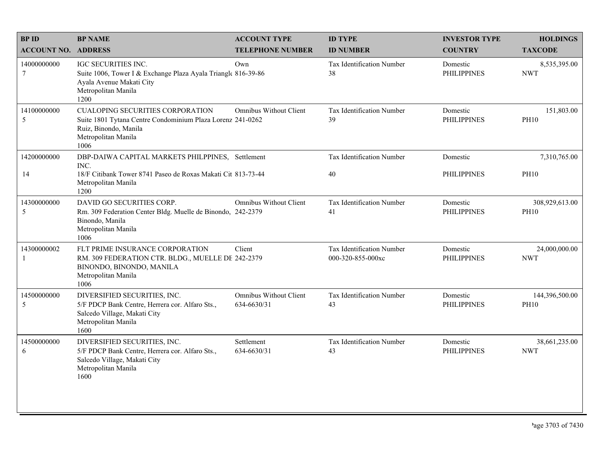| <b>BPID</b>                | <b>BP NAME</b>                                                                                                                                                | <b>ACCOUNT TYPE</b>                   | <b>ID TYPE</b>                                 | <b>INVESTOR TYPE</b>           | <b>HOLDINGS</b>               |
|----------------------------|---------------------------------------------------------------------------------------------------------------------------------------------------------------|---------------------------------------|------------------------------------------------|--------------------------------|-------------------------------|
| <b>ACCOUNT NO. ADDRESS</b> |                                                                                                                                                               | <b>TELEPHONE NUMBER</b>               | <b>ID NUMBER</b>                               | <b>COUNTRY</b>                 | <b>TAXCODE</b>                |
| 14000000000<br>$\tau$      | <b>IGC SECURITIES INC.</b><br>Suite 1006, Tower I & Exchange Plaza Ayala Triangle 816-39-86<br>Ayala Avenue Makati City<br>Metropolitan Manila<br>1200        | Own                                   | <b>Tax Identification Number</b><br>38         | Domestic<br><b>PHILIPPINES</b> | 8,535,395.00<br><b>NWT</b>    |
| 14100000000<br>5           | <b>CUALOPING SECURITIES CORPORATION</b><br>Suite 1801 Tytana Centre Condominium Plaza Lorenz 241-0262<br>Ruiz, Binondo, Manila<br>Metropolitan Manila<br>1006 | <b>Omnibus Without Client</b>         | Tax Identification Number<br>39                | Domestic<br><b>PHILIPPINES</b> | 151,803.00<br><b>PH10</b>     |
| 14200000000                | DBP-DAIWA CAPITAL MARKETS PHILPPINES, Settlement<br>INC.                                                                                                      |                                       | Tax Identification Number                      | Domestic                       | 7,310,765.00                  |
| 14                         | 18/F Citibank Tower 8741 Paseo de Roxas Makati Cit 813-73-44<br>Metropolitan Manila<br>1200                                                                   |                                       | 40                                             | <b>PHILIPPINES</b>             | <b>PH10</b>                   |
| 14300000000                | DAVID GO SECURITIES CORP.                                                                                                                                     | <b>Omnibus Without Client</b>         | Tax Identification Number                      | Domestic                       | 308,929,613.00                |
| 5                          | Rm. 309 Federation Center Bldg. Muelle de Binondo, 242-2379<br>Binondo, Manila<br>Metropolitan Manila<br>1006                                                 |                                       | 41                                             | <b>PHILIPPINES</b>             | <b>PH10</b>                   |
| 14300000002<br>-1          | FLT PRIME INSURANCE CORPORATION<br>RM. 309 FEDERATION CTR. BLDG., MUELLE DE 242-2379<br>BINONDO, BINONDO, MANILA<br>Metropolitan Manila<br>1006               | Client                                | Tax Identification Number<br>000-320-855-000xc | Domestic<br><b>PHILIPPINES</b> | 24,000,000.00<br><b>NWT</b>   |
| 14500000000<br>5           | DIVERSIFIED SECURITIES, INC.<br>5/F PDCP Bank Centre, Herrera cor. Alfaro Sts.,<br>Salcedo Village, Makati City<br>Metropolitan Manila<br>1600                | Omnibus Without Client<br>634-6630/31 | Tax Identification Number<br>43                | Domestic<br><b>PHILIPPINES</b> | 144,396,500.00<br><b>PH10</b> |
| 14500000000<br>6           | DIVERSIFIED SECURITIES, INC.<br>5/F PDCP Bank Centre, Herrera cor. Alfaro Sts.,<br>Salcedo Village, Makati City<br>Metropolitan Manila<br>1600                | Settlement<br>634-6630/31             | Tax Identification Number<br>43                | Domestic<br><b>PHILIPPINES</b> | 38,661,235.00<br><b>NWT</b>   |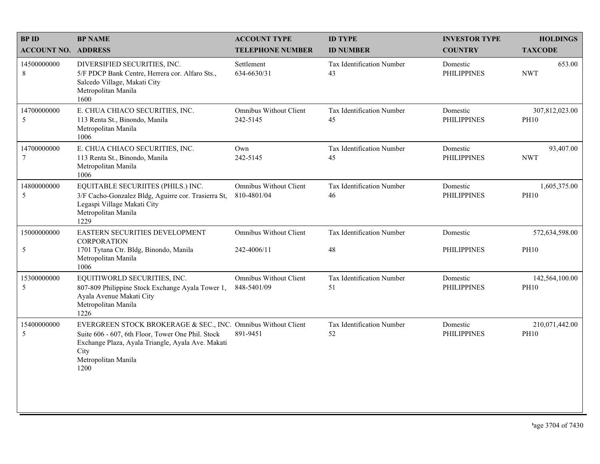| <b>BP NAME</b>                                                                                                                                          | <b>ACCOUNT TYPE</b>                                                  | <b>ID TYPE</b>                                                               | <b>INVESTOR TYPE</b>           | <b>HOLDINGS</b>               |
|---------------------------------------------------------------------------------------------------------------------------------------------------------|----------------------------------------------------------------------|------------------------------------------------------------------------------|--------------------------------|-------------------------------|
|                                                                                                                                                         | <b>TELEPHONE NUMBER</b>                                              | <b>ID NUMBER</b>                                                             | <b>COUNTRY</b>                 | <b>TAXCODE</b>                |
| DIVERSIFIED SECURITIES, INC.<br>5/F PDCP Bank Centre, Herrera cor. Alfaro Sts.,<br>Salcedo Village, Makati City<br>Metropolitan Manila<br>1600          | Settlement<br>634-6630/31                                            | Tax Identification Number<br>43                                              | Domestic<br><b>PHILIPPINES</b> | 653.00<br><b>NWT</b>          |
| E. CHUA CHIACO SECURITIES, INC.<br>113 Renta St., Binondo, Manila<br>Metropolitan Manila<br>1006                                                        | <b>Omnibus Without Client</b><br>242-5145                            | Tax Identification Number<br>45                                              | Domestic<br><b>PHILIPPINES</b> | 307,812,023.00<br><b>PH10</b> |
| E. CHUA CHIACO SECURITIES, INC.<br>113 Renta St., Binondo, Manila<br>Metropolitan Manila<br>1006                                                        | Own<br>242-5145                                                      | Tax Identification Number<br>45                                              | Domestic<br><b>PHILIPPINES</b> | 93,407.00<br><b>NWT</b>       |
| EQUITABLE SECURIITES (PHILS.) INC.<br>3/F Cacho-Gonzalez Bldg, Aguirre cor. Trasierra St,<br>Legaspi Village Makati City<br>Metropolitan Manila<br>1229 | <b>Omnibus Without Client</b><br>810-4801/04                         | Tax Identification Number<br>46                                              | Domestic<br><b>PHILIPPINES</b> | 1,605,375.00<br><b>PH10</b>   |
| EASTERN SECURITIES DEVELOPMENT<br><b>CORPORATION</b>                                                                                                    | <b>Omnibus Without Client</b>                                        | Tax Identification Number                                                    | Domestic                       | 572,634,598.00<br><b>PH10</b> |
| Metropolitan Manila<br>1006                                                                                                                             |                                                                      |                                                                              |                                |                               |
| EQUITIWORLD SECURITIES, INC.<br>807-809 Philippine Stock Exchange Ayala Tower 1,<br>Ayala Avenue Makati City<br>Metropolitan Manila<br>1226             | Omnibus Without Client<br>848-5401/09                                | Tax Identification Number<br>51                                              | Domestic<br><b>PHILIPPINES</b> | 142,564,100.00<br><b>PH10</b> |
| Suite 606 - 607, 6th Floor, Tower One Phil. Stock<br>Exchange Plaza, Ayala Triangle, Ayala Ave. Makati<br>City<br>Metropolitan Manila<br>1200           | 891-9451                                                             | Tax Identification Number<br>52                                              | Domestic<br><b>PHILIPPINES</b> | 210,071,442.00<br><b>PH10</b> |
|                                                                                                                                                         | <b>ACCOUNT NO. ADDRESS</b><br>1701 Tytana Ctr. Bldg, Binondo, Manila | 242-4006/11<br>EVERGREEN STOCK BROKERAGE & SEC., INC. Omnibus Without Client | 48                             | <b>PHILIPPINES</b>            |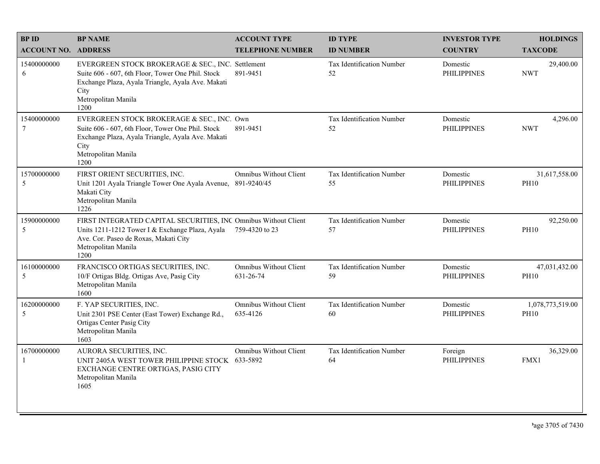| <b>BPID</b>                    | <b>BP NAME</b>                                                                                                                                                                                     | <b>ACCOUNT TYPE</b>                        | <b>ID TYPE</b>                  | <b>INVESTOR TYPE</b>           | <b>HOLDINGS</b>                 |
|--------------------------------|----------------------------------------------------------------------------------------------------------------------------------------------------------------------------------------------------|--------------------------------------------|---------------------------------|--------------------------------|---------------------------------|
| <b>ACCOUNT NO. ADDRESS</b>     |                                                                                                                                                                                                    | <b>TELEPHONE NUMBER</b>                    | <b>ID NUMBER</b>                | <b>COUNTRY</b>                 | <b>TAXCODE</b>                  |
| 15400000000<br>6               | EVERGREEN STOCK BROKERAGE & SEC., INC. Settlement<br>Suite 606 - 607, 6th Floor, Tower One Phil. Stock<br>Exchange Plaza, Ayala Triangle, Ayala Ave. Makati<br>City<br>Metropolitan Manila<br>1200 | 891-9451                                   | Tax Identification Number<br>52 | Domestic<br><b>PHILIPPINES</b> | 29,400.00<br><b>NWT</b>         |
| 15400000000<br>$7\phantom{.0}$ | EVERGREEN STOCK BROKERAGE & SEC., INC. Own<br>Suite 606 - 607, 6th Floor, Tower One Phil. Stock<br>Exchange Plaza, Ayala Triangle, Ayala Ave. Makati<br>City<br>Metropolitan Manila<br>1200        | 891-9451                                   | Tax Identification Number<br>52 | Domestic<br><b>PHILIPPINES</b> | 4,296.00<br><b>NWT</b>          |
| 15700000000<br>5               | FIRST ORIENT SECURITIES, INC.<br>Unit 1201 Ayala Triangle Tower One Ayala Avenue, 891-9240/45<br>Makati City<br>Metropolitan Manila<br>1226                                                        | <b>Omnibus Without Client</b>              | Tax Identification Number<br>55 | Domestic<br><b>PHILIPPINES</b> | 31,617,558.00<br><b>PH10</b>    |
| 15900000000<br>5               | FIRST INTEGRATED CAPITAL SECURITIES, INC Omnibus Without Client<br>Units 1211-1212 Tower I & Exchange Plaza, Ayala<br>Ave. Cor. Paseo de Roxas, Makati City<br>Metropolitan Manila<br>1200         | 759-4320 to 23                             | Tax Identification Number<br>57 | Domestic<br><b>PHILIPPINES</b> | 92,250.00<br><b>PH10</b>        |
| 16100000000<br>5               | FRANCISCO ORTIGAS SECURITIES, INC.<br>10/F Ortigas Bldg. Ortigas Ave, Pasig City<br>Metropolitan Manila<br>1600                                                                                    | <b>Omnibus Without Client</b><br>631-26-74 | Tax Identification Number<br>59 | Domestic<br><b>PHILIPPINES</b> | 47,031,432.00<br><b>PH10</b>    |
| 16200000000<br>5               | F. YAP SECURITIES, INC.<br>Unit 2301 PSE Center (East Tower) Exchange Rd.,<br>Ortigas Center Pasig City<br>Metropolitan Manila<br>1603                                                             | <b>Omnibus Without Client</b><br>635-4126  | Tax Identification Number<br>60 | Domestic<br><b>PHILIPPINES</b> | 1,078,773,519.00<br><b>PH10</b> |
| 16700000000<br>-1              | AURORA SECURITIES, INC.<br>UNIT 2405A WEST TOWER PHILIPPINE STOCK 633-5892<br>EXCHANGE CENTRE ORTIGAS, PASIG CITY<br>Metropolitan Manila<br>1605                                                   | <b>Omnibus Without Client</b>              | Tax Identification Number<br>64 | Foreign<br><b>PHILIPPINES</b>  | 36,329.00<br>FMX1               |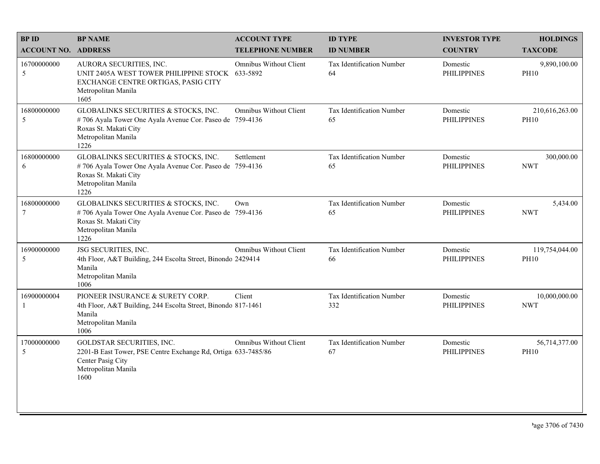| <b>BPID</b>                | <b>BP NAME</b>                                                                                                                                           | <b>ACCOUNT TYPE</b>           | <b>ID TYPE</b>                         | <b>INVESTOR TYPE</b>           | <b>HOLDINGS</b>               |
|----------------------------|----------------------------------------------------------------------------------------------------------------------------------------------------------|-------------------------------|----------------------------------------|--------------------------------|-------------------------------|
| <b>ACCOUNT NO. ADDRESS</b> |                                                                                                                                                          | <b>TELEPHONE NUMBER</b>       | <b>ID NUMBER</b>                       | <b>COUNTRY</b>                 | <b>TAXCODE</b>                |
| 16700000000<br>5           | AURORA SECURITIES, INC.<br>UNIT 2405A WEST TOWER PHILIPPINE STOCK 633-5892<br>EXCHANGE CENTRE ORTIGAS, PASIG CITY<br>Metropolitan Manila<br>1605         | <b>Omnibus Without Client</b> | <b>Tax Identification Number</b><br>64 | Domestic<br><b>PHILIPPINES</b> | 9,890,100.00<br><b>PH10</b>   |
| 16800000000<br>5           | GLOBALINKS SECURITIES & STOCKS, INC.<br>#706 Ayala Tower One Ayala Avenue Cor. Paseo de 759-4136<br>Roxas St. Makati City<br>Metropolitan Manila<br>1226 | <b>Omnibus Without Client</b> | <b>Tax Identification Number</b><br>65 | Domestic<br><b>PHILIPPINES</b> | 210,616,263.00<br><b>PH10</b> |
| 16800000000<br>6           | GLOBALINKS SECURITIES & STOCKS, INC.<br>#706 Ayala Tower One Ayala Avenue Cor. Paseo de 759-4136<br>Roxas St. Makati City<br>Metropolitan Manila<br>1226 | Settlement                    | Tax Identification Number<br>65        | Domestic<br><b>PHILIPPINES</b> | 300,000.00<br><b>NWT</b>      |
| 16800000000<br>$\tau$      | GLOBALINKS SECURITIES & STOCKS, INC.<br>#706 Ayala Tower One Ayala Avenue Cor. Paseo de 759-4136<br>Roxas St. Makati City<br>Metropolitan Manila<br>1226 | Own                           | Tax Identification Number<br>65        | Domestic<br><b>PHILIPPINES</b> | 5,434.00<br><b>NWT</b>        |
| 16900000000<br>5           | JSG SECURITIES, INC.<br>4th Floor, A&T Building, 244 Escolta Street, Binondo 2429414<br>Manila<br>Metropolitan Manila<br>1006                            | <b>Omnibus Without Client</b> | Tax Identification Number<br>66        | Domestic<br><b>PHILIPPINES</b> | 119,754,044.00<br><b>PH10</b> |
| 16900000004<br>-1          | PIONEER INSURANCE & SURETY CORP.<br>4th Floor, A&T Building, 244 Escolta Street, Binondo 817-1461<br>Manila<br>Metropolitan Manila<br>1006               | Client                        | Tax Identification Number<br>332       | Domestic<br><b>PHILIPPINES</b> | 10,000,000.00<br><b>NWT</b>   |
| 17000000000<br>5           | GOLDSTAR SECURITIES, INC.<br>2201-B East Tower, PSE Centre Exchange Rd, Ortiga 633-7485/86<br>Center Pasig City<br>Metropolitan Manila<br>1600           | <b>Omnibus Without Client</b> | Tax Identification Number<br>67        | Domestic<br><b>PHILIPPINES</b> | 56,714,377.00<br><b>PH10</b>  |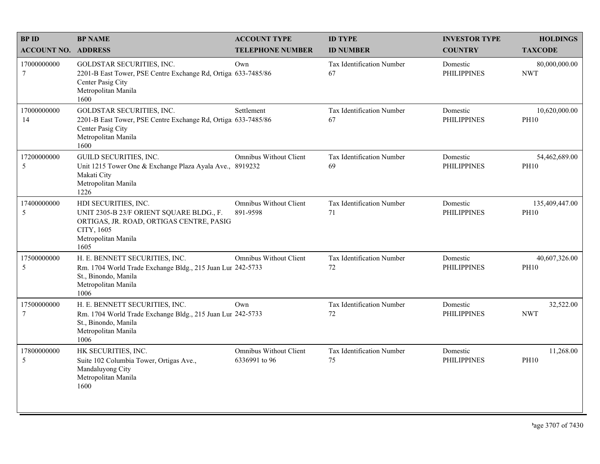| <b>BPID</b>                   | <b>BP NAME</b>                                                                                                                                            | <b>ACCOUNT TYPE</b>                            | <b>ID TYPE</b>                         | <b>INVESTOR TYPE</b>           | <b>HOLDINGS</b>               |
|-------------------------------|-----------------------------------------------------------------------------------------------------------------------------------------------------------|------------------------------------------------|----------------------------------------|--------------------------------|-------------------------------|
| <b>ACCOUNT NO. ADDRESS</b>    |                                                                                                                                                           | <b>TELEPHONE NUMBER</b>                        | <b>ID NUMBER</b>                       | <b>COUNTRY</b>                 | <b>TAXCODE</b>                |
| 17000000000<br>$\overline{7}$ | GOLDSTAR SECURITIES, INC.<br>2201-B East Tower, PSE Centre Exchange Rd, Ortiga 633-7485/86<br>Center Pasig City<br>Metropolitan Manila<br>1600            | Own                                            | <b>Tax Identification Number</b><br>67 | Domestic<br><b>PHILIPPINES</b> | 80,000,000.00<br><b>NWT</b>   |
| 17000000000<br>14             | GOLDSTAR SECURITIES, INC.<br>2201-B East Tower, PSE Centre Exchange Rd, Ortiga 633-7485/86<br>Center Pasig City<br>Metropolitan Manila<br>1600            | Settlement                                     | <b>Tax Identification Number</b><br>67 | Domestic<br><b>PHILIPPINES</b> | 10,620,000.00<br><b>PH10</b>  |
| 17200000000<br>5              | GUILD SECURITIES, INC.<br>Unit 1215 Tower One & Exchange Plaza Ayala Ave., 8919232<br>Makati City<br>Metropolitan Manila<br>1226                          | <b>Omnibus Without Client</b>                  | Tax Identification Number<br>69        | Domestic<br><b>PHILIPPINES</b> | 54,462,689.00<br><b>PH10</b>  |
| 17400000000<br>5              | HDI SECURITIES, INC.<br>UNIT 2305-B 23/F ORIENT SQUARE BLDG., F.<br>ORTIGAS, JR. ROAD, ORTIGAS CENTRE, PASIG<br>CITY, 1605<br>Metropolitan Manila<br>1605 | <b>Omnibus Without Client</b><br>891-9598      | Tax Identification Number<br>71        | Domestic<br><b>PHILIPPINES</b> | 135,409,447.00<br><b>PH10</b> |
| 17500000000<br>5              | H. E. BENNETT SECURITIES, INC.<br>Rm. 1704 World Trade Exchange Bldg., 215 Juan Lur 242-5733<br>St., Binondo, Manila<br>Metropolitan Manila<br>1006       | <b>Omnibus Without Client</b>                  | Tax Identification Number<br>72        | Domestic<br><b>PHILIPPINES</b> | 40,607,326.00<br><b>PH10</b>  |
| 17500000000<br>$\overline{7}$ | H. E. BENNETT SECURITIES, INC.<br>Rm. 1704 World Trade Exchange Bldg., 215 Juan Lur 242-5733<br>St., Binondo, Manila<br>Metropolitan Manila<br>1006       | Own                                            | Tax Identification Number<br>72        | Domestic<br><b>PHILIPPINES</b> | 32,522.00<br><b>NWT</b>       |
| 17800000000<br>5              | HK SECURITIES, INC.<br>Suite 102 Columbia Tower, Ortigas Ave.,<br>Mandaluyong City<br>Metropolitan Manila<br>1600                                         | <b>Omnibus Without Client</b><br>6336991 to 96 | Tax Identification Number<br>75        | Domestic<br><b>PHILIPPINES</b> | 11,268.00<br><b>PH10</b>      |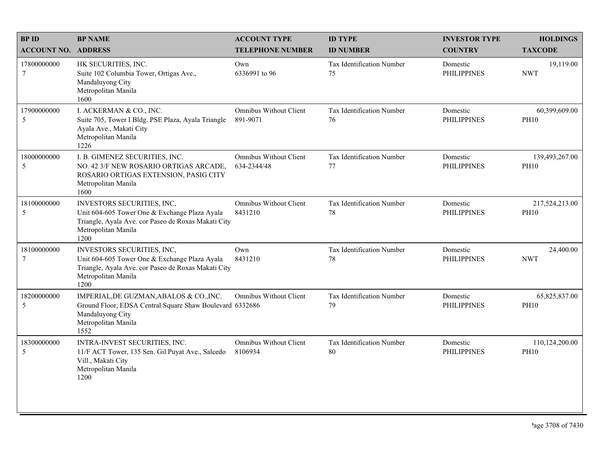| <b>BPID</b>                    | <b>BP NAME</b>                                                                                                                                                    | <b>ACCOUNT TYPE</b>                          | <b>ID TYPE</b>                  | <b>INVESTOR TYPE</b>           | <b>HOLDINGS</b>               |
|--------------------------------|-------------------------------------------------------------------------------------------------------------------------------------------------------------------|----------------------------------------------|---------------------------------|--------------------------------|-------------------------------|
| <b>ACCOUNT NO. ADDRESS</b>     |                                                                                                                                                                   | <b>TELEPHONE NUMBER</b>                      | <b>ID NUMBER</b>                | <b>COUNTRY</b>                 | <b>TAXCODE</b>                |
| 17800000000<br>$\tau$          | HK SECURITIES, INC.<br>Suite 102 Columbia Tower, Ortigas Ave.,<br>Mandaluyong City<br>Metropolitan Manila<br>1600                                                 | Own<br>6336991 to 96                         | Tax Identification Number<br>75 | Domestic<br><b>PHILIPPINES</b> | 19,119.00<br><b>NWT</b>       |
| 17900000000<br>5               | I. ACKERMAN & CO., INC.<br>Suite 705, Tower I Bldg. PSE Plaza, Ayala Triangle<br>Ayala Ave., Makati City<br>Metropolitan Manila<br>1226                           | <b>Omnibus Without Client</b><br>891-9071    | Tax Identification Number<br>76 | Domestic<br><b>PHILIPPINES</b> | 60,399,609.00<br><b>PH10</b>  |
| 18000000000<br>5               | I. B. GIMENEZ SECURITIES, INC.<br>NO. 42 3/F NEW ROSARIO ORTIGAS ARCADE,<br>ROSARIO ORTIGAS EXTENSION, PASIG CITY<br>Metropolitan Manila<br>1600                  | <b>Omnibus Without Client</b><br>634-2344/48 | Tax Identification Number<br>77 | Domestic<br><b>PHILIPPINES</b> | 139,493,267.00<br><b>PH10</b> |
| 18100000000<br>5               | INVESTORS SECURITIES, INC,<br>Unit 604-605 Tower One & Exchange Plaza Ayala<br>Triangle, Ayala Ave. cor Paseo de Roxas Makati City<br>Metropolitan Manila<br>1200 | <b>Omnibus Without Client</b><br>8431210     | Tax Identification Number<br>78 | Domestic<br><b>PHILIPPINES</b> | 217,524,213.00<br><b>PH10</b> |
| 18100000000<br>$7\phantom{.0}$ | INVESTORS SECURITIES, INC,<br>Unit 604-605 Tower One & Exchange Plaza Ayala<br>Triangle, Ayala Ave. cor Paseo de Roxas Makati City<br>Metropolitan Manila<br>1200 | Own<br>8431210                               | Tax Identification Number<br>78 | Domestic<br><b>PHILIPPINES</b> | 24,400.00<br><b>NWT</b>       |
| 18200000000<br>5               | IMPERIAL, DE GUZMAN, ABALOS & CO., INC.<br>Ground Floor, EDSA Central Square Shaw Boulevard 6332686<br>Mandaluyong City<br>Metropolitan Manila<br>1552            | <b>Omnibus Without Client</b>                | Tax Identification Number<br>79 | Domestic<br><b>PHILIPPINES</b> | 65,825,837.00<br><b>PH10</b>  |
| 18300000000<br>5               | INTRA-INVEST SECURITIES, INC.<br>11/F ACT Tower, 135 Sen. Gil Puyat Ave., Salcedo<br>Vill., Makati City<br>Metropolitan Manila<br>1200                            | <b>Omnibus Without Client</b><br>8106934     | Tax Identification Number<br>80 | Domestic<br><b>PHILIPPINES</b> | 110,124,200.00<br><b>PH10</b> |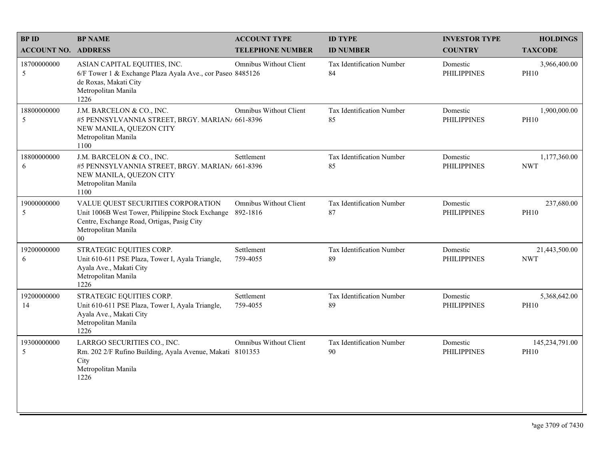| <b>BPID</b>                   | <b>BP NAME</b>                                                                                                                                                        | <b>ACCOUNT TYPE</b>                       | <b>ID TYPE</b>                         | <b>INVESTOR TYPE</b>           | <b>HOLDINGS</b>               |
|-------------------------------|-----------------------------------------------------------------------------------------------------------------------------------------------------------------------|-------------------------------------------|----------------------------------------|--------------------------------|-------------------------------|
| <b>ACCOUNT NO. ADDRESS</b>    |                                                                                                                                                                       | <b>TELEPHONE NUMBER</b>                   | <b>ID NUMBER</b>                       | <b>COUNTRY</b>                 | <b>TAXCODE</b>                |
| 18700000000<br>5              | ASIAN CAPITAL EQUITIES, INC.<br>6/F Tower 1 & Exchange Plaza Ayala Ave., cor Paseo 8485126<br>de Roxas, Makati City<br>Metropolitan Manila<br>1226                    | Omnibus Without Client                    | <b>Tax Identification Number</b><br>84 | Domestic<br><b>PHILIPPINES</b> | 3,966,400.00<br><b>PH10</b>   |
| 18800000000<br>5              | J.M. BARCELON & CO., INC.<br>#5 PENNSYLVANNIA STREET, BRGY. MARIAN/ 661-8396<br>NEW MANILA, QUEZON CITY<br>Metropolitan Manila<br>1100                                | <b>Omnibus Without Client</b>             | Tax Identification Number<br>85        | Domestic<br><b>PHILIPPINES</b> | 1,900,000.00<br><b>PH10</b>   |
| 18800000000<br>6              | J.M. BARCELON & CO., INC.<br>#5 PENNSYLVANNIA STREET, BRGY. MARIAN/ 661-8396<br>NEW MANILA, QUEZON CITY<br>Metropolitan Manila<br>1100                                | Settlement                                | Tax Identification Number<br>85        | Domestic<br><b>PHILIPPINES</b> | 1,177,360.00<br><b>NWT</b>    |
| 19000000000<br>$\overline{5}$ | VALUE QUEST SECURITIES CORPORATION<br>Unit 1006B West Tower, Philippine Stock Exchange<br>Centre, Exchange Road, Ortigas, Pasig City<br>Metropolitan Manila<br>$00\,$ | <b>Omnibus Without Client</b><br>892-1816 | Tax Identification Number<br>87        | Domestic<br><b>PHILIPPINES</b> | 237,680.00<br><b>PH10</b>     |
| 19200000000<br>6              | STRATEGIC EQUITIES CORP.<br>Unit 610-611 PSE Plaza, Tower I, Ayala Triangle,<br>Ayala Ave., Makati City<br>Metropolitan Manila<br>1226                                | Settlement<br>759-4055                    | Tax Identification Number<br>89        | Domestic<br><b>PHILIPPINES</b> | 21,443,500.00<br><b>NWT</b>   |
| 19200000000<br>14             | STRATEGIC EQUITIES CORP.<br>Unit 610-611 PSE Plaza, Tower I, Ayala Triangle,<br>Ayala Ave., Makati City<br>Metropolitan Manila<br>1226                                | Settlement<br>759-4055                    | Tax Identification Number<br>89        | Domestic<br><b>PHILIPPINES</b> | 5,368,642.00<br><b>PH10</b>   |
| 19300000000<br>5              | LARRGO SECURITIES CO., INC.<br>Rm. 202 2/F Rufino Building, Ayala Avenue, Makati 8101353<br>City<br>Metropolitan Manila<br>1226                                       | Omnibus Without Client                    | Tax Identification Number<br>90        | Domestic<br><b>PHILIPPINES</b> | 145,234,791.00<br><b>PH10</b> |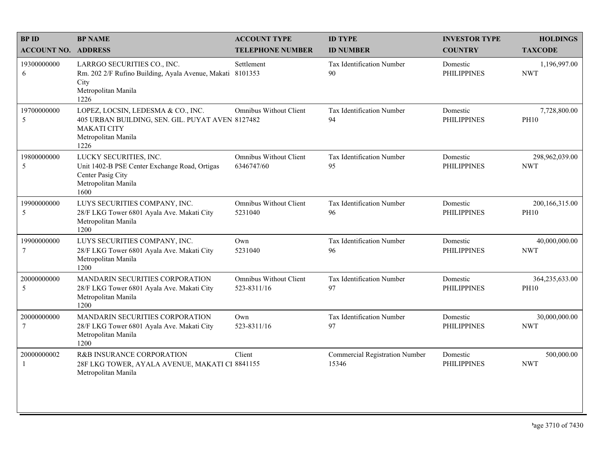| <b>BPID</b>                   | <b>BP NAME</b>                                                                                                                              | <b>ACCOUNT TYPE</b>                          | <b>ID TYPE</b>                                 | <b>INVESTOR TYPE</b>           | <b>HOLDINGS</b>               |
|-------------------------------|---------------------------------------------------------------------------------------------------------------------------------------------|----------------------------------------------|------------------------------------------------|--------------------------------|-------------------------------|
| <b>ACCOUNT NO. ADDRESS</b>    |                                                                                                                                             | <b>TELEPHONE NUMBER</b>                      | <b>ID NUMBER</b>                               | <b>COUNTRY</b>                 | <b>TAXCODE</b>                |
| 19300000000<br>6              | LARRGO SECURITIES CO., INC.<br>Rm. 202 2/F Rufino Building, Ayala Avenue, Makati 8101353<br>City<br>Metropolitan Manila<br>1226             | Settlement                                   | Tax Identification Number<br>90                | Domestic<br><b>PHILIPPINES</b> | 1,196,997.00<br><b>NWT</b>    |
| 19700000000<br>5              | LOPEZ, LOCSIN, LEDESMA & CO., INC.<br>405 URBAN BUILDING, SEN. GIL. PUYAT AVEN 8127482<br><b>MAKATI CITY</b><br>Metropolitan Manila<br>1226 | <b>Omnibus Without Client</b>                | Tax Identification Number<br>94                | Domestic<br><b>PHILIPPINES</b> | 7,728,800.00<br><b>PH10</b>   |
| 19800000000<br>5              | LUCKY SECURITIES, INC.<br>Unit 1402-B PSE Center Exchange Road, Ortigas<br>Center Pasig City<br>Metropolitan Manila<br>1600                 | <b>Omnibus Without Client</b><br>6346747/60  | Tax Identification Number<br>95                | Domestic<br><b>PHILIPPINES</b> | 298,962,039.00<br><b>NWT</b>  |
| 19900000000<br>5              | LUYS SECURITIES COMPANY, INC.<br>28/F LKG Tower 6801 Ayala Ave. Makati City<br>Metropolitan Manila<br>1200                                  | <b>Omnibus Without Client</b><br>5231040     | Tax Identification Number<br>96                | Domestic<br><b>PHILIPPINES</b> | 200,166,315.00<br><b>PH10</b> |
| 19900000000<br>$\overline{7}$ | LUYS SECURITIES COMPANY, INC.<br>28/F LKG Tower 6801 Ayala Ave. Makati City<br>Metropolitan Manila<br>1200                                  | Own<br>5231040                               | Tax Identification Number<br>96                | Domestic<br><b>PHILIPPINES</b> | 40,000,000.00<br><b>NWT</b>   |
| 20000000000<br>5              | MANDARIN SECURITIES CORPORATION<br>28/F LKG Tower 6801 Ayala Ave. Makati City<br>Metropolitan Manila<br>1200                                | <b>Omnibus Without Client</b><br>523-8311/16 | Tax Identification Number<br>97                | Domestic<br><b>PHILIPPINES</b> | 364,235,633.00<br><b>PH10</b> |
| 20000000000<br>$\overline{7}$ | MANDARIN SECURITIES CORPORATION<br>28/F LKG Tower 6801 Ayala Ave. Makati City<br>Metropolitan Manila<br>1200                                | Own<br>523-8311/16                           | Tax Identification Number<br>97                | Domestic<br><b>PHILIPPINES</b> | 30,000,000.00<br><b>NWT</b>   |
| 20000000002<br>$\mathbf{1}$   | R&B INSURANCE CORPORATION<br>28F LKG TOWER, AYALA AVENUE, MAKATI CI 8841155<br>Metropolitan Manila                                          | Client                                       | <b>Commercial Registration Number</b><br>15346 | Domestic<br><b>PHILIPPINES</b> | 500,000.00<br><b>NWT</b>      |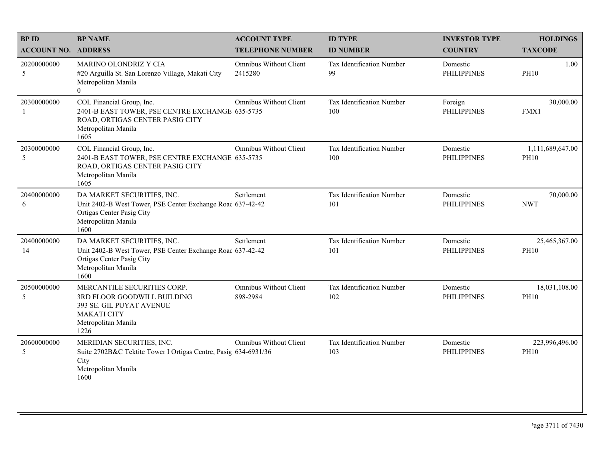| <b>BPID</b>                | <b>BP NAME</b>                                                                                                                                       | <b>ACCOUNT TYPE</b>                | <b>ID TYPE</b>                   | <b>INVESTOR TYPE</b>           | <b>HOLDINGS</b>                 |
|----------------------------|------------------------------------------------------------------------------------------------------------------------------------------------------|------------------------------------|----------------------------------|--------------------------------|---------------------------------|
| <b>ACCOUNT NO. ADDRESS</b> |                                                                                                                                                      | <b>TELEPHONE NUMBER</b>            | <b>ID NUMBER</b>                 | <b>COUNTRY</b>                 | <b>TAXCODE</b>                  |
| 20200000000<br>5           | MARINO OLONDRIZ Y CIA<br>#20 Arguilla St. San Lorenzo Village, Makati City<br>Metropolitan Manila<br>$\Omega$                                        | Omnibus Without Client<br>2415280  | Tax Identification Number<br>99  | Domestic<br><b>PHILIPPINES</b> | 1.00<br><b>PH10</b>             |
| 20300000000<br>-1          | COL Financial Group, Inc.<br>2401-B EAST TOWER, PSE CENTRE EXCHANGE 635-5735<br>ROAD, ORTIGAS CENTER PASIG CITY<br>Metropolitan Manila<br>1605       | <b>Omnibus Without Client</b>      | Tax Identification Number<br>100 | Foreign<br><b>PHILIPPINES</b>  | 30,000.00<br>FMX1               |
| 20300000000<br>5           | COL Financial Group, Inc.<br>2401-B EAST TOWER, PSE CENTRE EXCHANGE 635-5735<br>ROAD, ORTIGAS CENTER PASIG CITY<br>Metropolitan Manila<br>1605       | Omnibus Without Client             | Tax Identification Number<br>100 | Domestic<br><b>PHILIPPINES</b> | 1,111,689,647.00<br><b>PH10</b> |
| 20400000000<br>6           | DA MARKET SECURITIES, INC.<br>Unit 2402-B West Tower, PSE Center Exchange Road 637-42-42<br>Ortigas Center Pasig City<br>Metropolitan Manila<br>1600 | Settlement                         | Tax Identification Number<br>101 | Domestic<br><b>PHILIPPINES</b> | 70,000.00<br><b>NWT</b>         |
| 20400000000<br>14          | DA MARKET SECURITIES, INC.<br>Unit 2402-B West Tower, PSE Center Exchange Road 637-42-42<br>Ortigas Center Pasig City<br>Metropolitan Manila<br>1600 | Settlement                         | Tax Identification Number<br>101 | Domestic<br><b>PHILIPPINES</b> | 25,465,367.00<br><b>PH10</b>    |
| 20500000000<br>5           | MERCANTILE SECURITIES CORP.<br>3RD FLOOR GOODWILL BUILDING<br>393 SE. GIL PUYAT AVENUE<br><b>MAKATI CITY</b><br>Metropolitan Manila<br>1226          | Omnibus Without Client<br>898-2984 | Tax Identification Number<br>102 | Domestic<br><b>PHILIPPINES</b> | 18,031,108.00<br><b>PH10</b>    |
| 20600000000<br>5           | MERIDIAN SECURITIES, INC.<br>Suite 2702B&C Tektite Tower I Ortigas Centre, Pasig 634-6931/36<br>City<br>Metropolitan Manila<br>1600                  | Omnibus Without Client             | Tax Identification Number<br>103 | Domestic<br><b>PHILIPPINES</b> | 223,996,496.00<br><b>PH10</b>   |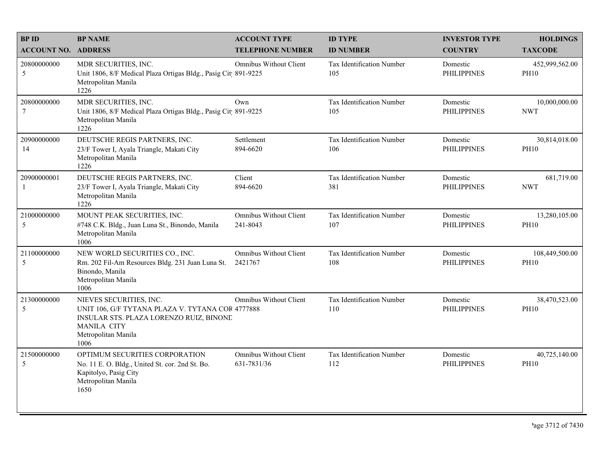| <b>BPID</b>                    | <b>BP NAME</b>                                                                                                                                                              | <b>ACCOUNT TYPE</b>                          | <b>ID TYPE</b>                   | <b>INVESTOR TYPE</b>           | <b>HOLDINGS</b>               |
|--------------------------------|-----------------------------------------------------------------------------------------------------------------------------------------------------------------------------|----------------------------------------------|----------------------------------|--------------------------------|-------------------------------|
| <b>ACCOUNT NO. ADDRESS</b>     |                                                                                                                                                                             | <b>TELEPHONE NUMBER</b>                      | <b>ID NUMBER</b>                 | <b>COUNTRY</b>                 | <b>TAXCODE</b>                |
| 20800000000<br>5               | MDR SECURITIES, INC.<br>Unit 1806, 8/F Medical Plaza Ortigas Bldg., Pasig Cit 891-9225<br>Metropolitan Manila<br>1226                                                       | Omnibus Without Client                       | Tax Identification Number<br>105 | Domestic<br><b>PHILIPPINES</b> | 452,999,562.00<br><b>PH10</b> |
| 20800000000<br>$7\phantom{.0}$ | MDR SECURITIES, INC.<br>Unit 1806, 8/F Medical Plaza Ortigas Bldg., Pasig Cit 891-9225<br>Metropolitan Manila<br>1226                                                       | Own                                          | Tax Identification Number<br>105 | Domestic<br><b>PHILIPPINES</b> | 10,000,000.00<br><b>NWT</b>   |
| 20900000000<br>14              | DEUTSCHE REGIS PARTNERS, INC.<br>23/F Tower I, Ayala Triangle, Makati City<br>Metropolitan Manila<br>1226                                                                   | Settlement<br>894-6620                       | Tax Identification Number<br>106 | Domestic<br><b>PHILIPPINES</b> | 30,814,018.00<br><b>PH10</b>  |
| 20900000001<br>-1              | DEUTSCHE REGIS PARTNERS, INC.<br>23/F Tower I, Ayala Triangle, Makati City<br>Metropolitan Manila<br>1226                                                                   | Client<br>894-6620                           | Tax Identification Number<br>381 | Domestic<br><b>PHILIPPINES</b> | 681,719.00<br><b>NWT</b>      |
| 21000000000<br>5               | MOUNT PEAK SECURITIES, INC.<br>#748 C.K. Bldg., Juan Luna St., Binondo, Manila<br>Metropolitan Manila<br>1006                                                               | Omnibus Without Client<br>241-8043           | Tax Identification Number<br>107 | Domestic<br><b>PHILIPPINES</b> | 13,280,105.00<br><b>PH10</b>  |
| 21100000000<br>5               | NEW WORLD SECURITIES CO., INC.<br>Rm. 202 Fil-Am Resources Bldg. 231 Juan Luna St.<br>Binondo, Manila<br>Metropolitan Manila<br>1006                                        | <b>Omnibus Without Client</b><br>2421767     | Tax Identification Number<br>108 | Domestic<br><b>PHILIPPINES</b> | 108,449,500.00<br><b>PH10</b> |
| 21300000000<br>5               | NIEVES SECURITIES, INC.<br>UNIT 106, G/F TYTANA PLAZA V. TYTANA COR 4777888<br>INSULAR STS. PLAZA LORENZO RUIZ, BINONE<br><b>MANILA CITY</b><br>Metropolitan Manila<br>1006 | <b>Omnibus Without Client</b>                | Tax Identification Number<br>110 | Domestic<br><b>PHILIPPINES</b> | 38,470,523.00<br><b>PH10</b>  |
| 21500000000<br>5               | OPTIMUM SECURITIES CORPORATION<br>No. 11 E. O. Bldg., United St. cor. 2nd St. Bo.<br>Kapitolyo, Pasig City<br>Metropolitan Manila<br>1650                                   | <b>Omnibus Without Client</b><br>631-7831/36 | Tax Identification Number<br>112 | Domestic<br><b>PHILIPPINES</b> | 40,725,140.00<br><b>PH10</b>  |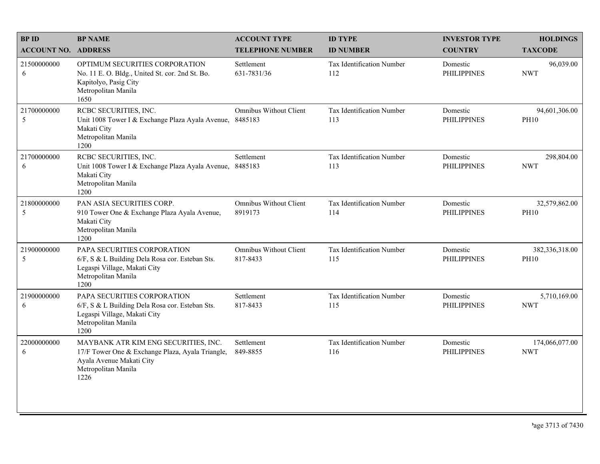| <b>BPID</b>                | <b>BP NAME</b>                                                                                                                                      | <b>ACCOUNT TYPE</b>                       | <b>ID TYPE</b>                   | <b>INVESTOR TYPE</b>           | <b>HOLDINGS</b>               |
|----------------------------|-----------------------------------------------------------------------------------------------------------------------------------------------------|-------------------------------------------|----------------------------------|--------------------------------|-------------------------------|
| <b>ACCOUNT NO. ADDRESS</b> |                                                                                                                                                     | <b>TELEPHONE NUMBER</b>                   | <b>ID NUMBER</b>                 | <b>COUNTRY</b>                 | <b>TAXCODE</b>                |
| 21500000000<br>6           | OPTIMUM SECURITIES CORPORATION<br>No. 11 E. O. Bldg., United St. cor. 2nd St. Bo.<br>Kapitolyo, Pasig City<br>Metropolitan Manila<br>1650           | Settlement<br>631-7831/36                 | Tax Identification Number<br>112 | Domestic<br><b>PHILIPPINES</b> | 96,039.00<br><b>NWT</b>       |
| 21700000000<br>5           | RCBC SECURITIES, INC.<br>Unit 1008 Tower I & Exchange Plaza Ayala Avenue, 8485183<br>Makati City<br>Metropolitan Manila<br>1200                     | <b>Omnibus Without Client</b>             | Tax Identification Number<br>113 | Domestic<br><b>PHILIPPINES</b> | 94,601,306.00<br><b>PH10</b>  |
| 21700000000<br>6           | RCBC SECURITIES, INC.<br>Unit 1008 Tower I & Exchange Plaza Ayala Avenue,<br>Makati City<br>Metropolitan Manila<br>1200                             | Settlement<br>8485183                     | Tax Identification Number<br>113 | Domestic<br><b>PHILIPPINES</b> | 298,804.00<br><b>NWT</b>      |
| 21800000000<br>5           | PAN ASIA SECURITIES CORP.<br>910 Tower One & Exchange Plaza Ayala Avenue,<br>Makati City<br>Metropolitan Manila<br>1200                             | <b>Omnibus Without Client</b><br>8919173  | Tax Identification Number<br>114 | Domestic<br><b>PHILIPPINES</b> | 32,579,862.00<br><b>PH10</b>  |
| 21900000000<br>5           | PAPA SECURITIES CORPORATION<br>6/F, S & L Building Dela Rosa cor. Esteban Sts.<br>Legaspi Village, Makati City<br>Metropolitan Manila<br>1200       | <b>Omnibus Without Client</b><br>817-8433 | Tax Identification Number<br>115 | Domestic<br><b>PHILIPPINES</b> | 382,336,318.00<br><b>PH10</b> |
| 21900000000<br>6           | PAPA SECURITIES CORPORATION<br>6/F, S & L Building Dela Rosa cor. Esteban Sts.<br>Legaspi Village, Makati City<br>Metropolitan Manila<br>1200       | Settlement<br>817-8433                    | Tax Identification Number<br>115 | Domestic<br><b>PHILIPPINES</b> | 5,710,169.00<br><b>NWT</b>    |
| 22000000000<br>6           | MAYBANK ATR KIM ENG SECURITIES, INC.<br>17/F Tower One & Exchange Plaza, Ayala Triangle,<br>Ayala Avenue Makati City<br>Metropolitan Manila<br>1226 | Settlement<br>849-8855                    | Tax Identification Number<br>116 | Domestic<br><b>PHILIPPINES</b> | 174,066,077.00<br><b>NWT</b>  |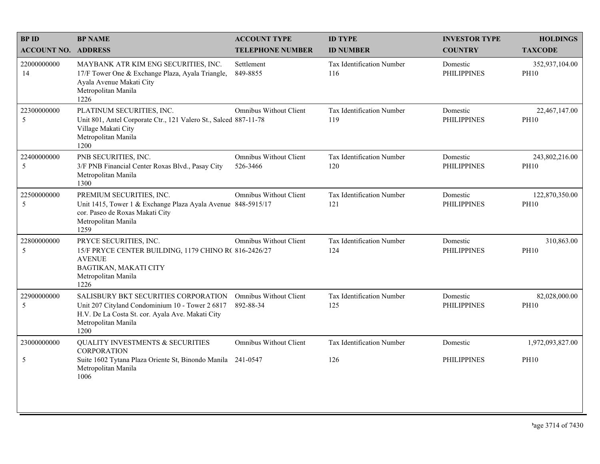| <b>BPID</b>                | <b>BP NAME</b>                                                                                                                                                             | <b>ACCOUNT TYPE</b>                        | <b>ID TYPE</b>                   | <b>INVESTOR TYPE</b>           | <b>HOLDINGS</b>               |
|----------------------------|----------------------------------------------------------------------------------------------------------------------------------------------------------------------------|--------------------------------------------|----------------------------------|--------------------------------|-------------------------------|
| <b>ACCOUNT NO. ADDRESS</b> |                                                                                                                                                                            | <b>TELEPHONE NUMBER</b>                    | <b>ID NUMBER</b>                 | <b>COUNTRY</b>                 | <b>TAXCODE</b>                |
| 22000000000<br>14          | MAYBANK ATR KIM ENG SECURITIES, INC.<br>17/F Tower One & Exchange Plaza, Ayala Triangle,<br>Ayala Avenue Makati City<br>Metropolitan Manila<br>1226                        | Settlement<br>849-8855                     | Tax Identification Number<br>116 | Domestic<br><b>PHILIPPINES</b> | 352,937,104.00<br><b>PH10</b> |
| 22300000000<br>5           | PLATINUM SECURITIES, INC.<br>Unit 801, Antel Corporate Ctr., 121 Valero St., Salced 887-11-78<br>Village Makati City<br>Metropolitan Manila<br>1200                        | <b>Omnibus Without Client</b>              | Tax Identification Number<br>119 | Domestic<br><b>PHILIPPINES</b> | 22,467,147.00<br><b>PH10</b>  |
| 22400000000<br>5           | PNB SECURITIES, INC.<br>3/F PNB Financial Center Roxas Blvd., Pasay City<br>Metropolitan Manila<br>1300                                                                    | <b>Omnibus Without Client</b><br>526-3466  | Tax Identification Number<br>120 | Domestic<br><b>PHILIPPINES</b> | 243,802,216.00<br><b>PH10</b> |
| 22500000000<br>5           | PREMIUM SECURITIES, INC.<br>Unit 1415, Tower 1 & Exchange Plaza Ayala Avenue 848-5915/17<br>cor. Paseo de Roxas Makati City<br>Metropolitan Manila<br>1259                 | <b>Omnibus Without Client</b>              | Tax Identification Number<br>121 | Domestic<br><b>PHILIPPINES</b> | 122,870,350.00<br><b>PH10</b> |
| 22800000000<br>5           | PRYCE SECURITIES, INC.<br>15/F PRYCE CENTER BUILDING, 1179 CHINO R( 816-2426/27<br><b>AVENUE</b><br>BAGTIKAN, MAKATI CITY<br>Metropolitan Manila<br>1226                   | <b>Omnibus Without Client</b>              | Tax Identification Number<br>124 | Domestic<br><b>PHILIPPINES</b> | 310,863.00<br><b>PH10</b>     |
| 22900000000<br>5           | SALISBURY BKT SECURITIES CORPORATION<br>Unit 207 Cityland Condominium 10 - Tower 2 6817<br>H.V. De La Costa St. cor. Ayala Ave. Makati City<br>Metropolitan Manila<br>1200 | <b>Omnibus Without Client</b><br>892-88-34 | Tax Identification Number<br>125 | Domestic<br><b>PHILIPPINES</b> | 82,028,000.00<br><b>PH10</b>  |
| 23000000000                | <b>QUALITY INVESTMENTS &amp; SECURITIES</b><br><b>CORPORATION</b>                                                                                                          | <b>Omnibus Without Client</b>              | Tax Identification Number        | Domestic                       | 1,972,093,827.00              |
| 5                          | Suite 1602 Tytana Plaza Oriente St, Binondo Manila 241-0547<br>Metropolitan Manila<br>1006                                                                                 |                                            | 126                              | <b>PHILIPPINES</b>             | <b>PH10</b>                   |
|                            |                                                                                                                                                                            |                                            |                                  |                                |                               |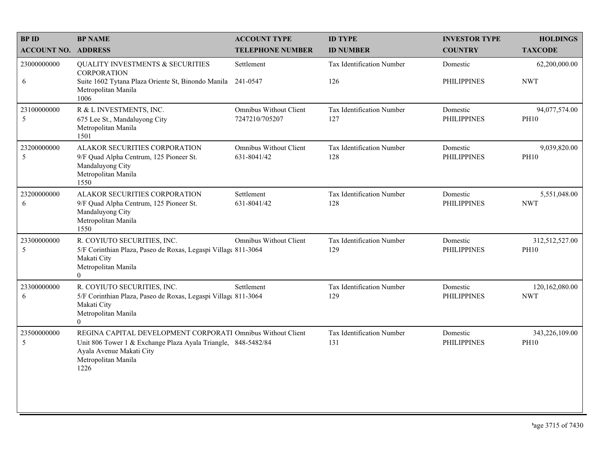| <b>BP NAME</b>                                                                                                              | <b>ACCOUNT TYPE</b>                          | <b>ID TYPE</b>                                                                                                                                                                                                                                                                                                                  | <b>INVESTOR TYPE</b>           | <b>HOLDINGS</b>               |
|-----------------------------------------------------------------------------------------------------------------------------|----------------------------------------------|---------------------------------------------------------------------------------------------------------------------------------------------------------------------------------------------------------------------------------------------------------------------------------------------------------------------------------|--------------------------------|-------------------------------|
| <b>ACCOUNT NO. ADDRESS</b>                                                                                                  | <b>TELEPHONE NUMBER</b>                      | <b>ID NUMBER</b>                                                                                                                                                                                                                                                                                                                | <b>COUNTRY</b>                 | <b>TAXCODE</b>                |
| <b>QUALITY INVESTMENTS &amp; SECURITIES</b><br><b>CORPORATION</b>                                                           | Settlement                                   | Tax Identification Number                                                                                                                                                                                                                                                                                                       | Domestic                       | 62,200,000.00                 |
| Metropolitan Manila<br>1006                                                                                                 |                                              | 126                                                                                                                                                                                                                                                                                                                             | <b>PHILIPPINES</b>             | <b>NWT</b>                    |
| R & L INVESTMENTS, INC.<br>675 Lee St., Mandaluyong City<br>Metropolitan Manila<br>1501                                     | Omnibus Without Client<br>7247210/705207     | Tax Identification Number<br>127                                                                                                                                                                                                                                                                                                | Domestic<br><b>PHILIPPINES</b> | 94,077,574.00<br><b>PH10</b>  |
| ALAKOR SECURITIES CORPORATION<br>9/F Quad Alpha Centrum, 125 Pioneer St.<br>Mandaluyong City<br>Metropolitan Manila<br>1550 | <b>Omnibus Without Client</b><br>631-8041/42 | Tax Identification Number<br>128                                                                                                                                                                                                                                                                                                | Domestic<br><b>PHILIPPINES</b> | 9,039,820.00<br><b>PH10</b>   |
| ALAKOR SECURITIES CORPORATION<br>9/F Quad Alpha Centrum, 125 Pioneer St.<br>Mandaluyong City<br>Metropolitan Manila<br>1550 | Settlement<br>631-8041/42                    | Tax Identification Number<br>128                                                                                                                                                                                                                                                                                                | Domestic<br><b>PHILIPPINES</b> | 5,551,048.00<br><b>NWT</b>    |
| R. COYIUTO SECURITIES, INC.<br>Makati City<br>Metropolitan Manila<br>$\theta$                                               | <b>Omnibus Without Client</b>                | Tax Identification Number<br>129                                                                                                                                                                                                                                                                                                | Domestic<br><b>PHILIPPINES</b> | 312,512,527.00<br><b>PH10</b> |
| R. COYIUTO SECURITIES, INC.<br>Makati City<br>Metropolitan Manila<br>$\Omega$                                               | Settlement                                   | Tax Identification Number<br>129                                                                                                                                                                                                                                                                                                | Domestic<br><b>PHILIPPINES</b> | 120,162,080.00<br><b>NWT</b>  |
| Ayala Avenue Makati City<br>Metropolitan Manila<br>1226                                                                     |                                              | Tax Identification Number<br>131                                                                                                                                                                                                                                                                                                | Domestic<br><b>PHILIPPINES</b> | 343,226,109.00<br><b>PH10</b> |
|                                                                                                                             |                                              | Suite 1602 Tytana Plaza Oriente St, Binondo Manila 241-0547<br>5/F Corinthian Plaza, Paseo de Roxas, Legaspi Village 811-3064<br>5/F Corinthian Plaza, Paseo de Roxas, Legaspi Village 811-3064<br>REGINA CAPITAL DEVELOPMENT CORPORATI Omnibus Without Client<br>Unit 806 Tower 1 & Exchange Plaza Ayala Triangle, 848-5482/84 |                                |                               |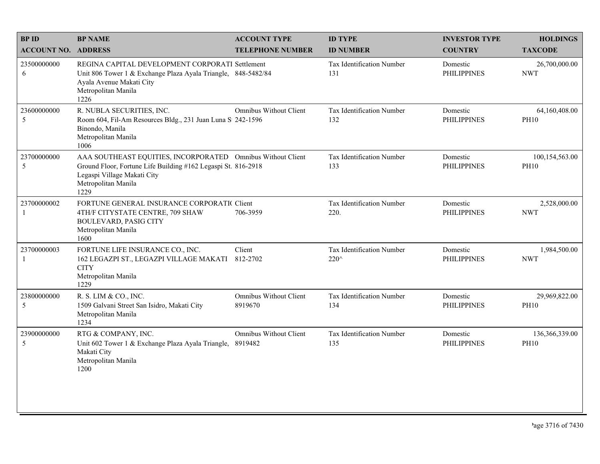| <b>BPID</b>                 | <b>BP NAME</b>                                                                                                                                                                             | <b>ACCOUNT TYPE</b>               | <b>ID TYPE</b>                           | <b>INVESTOR TYPE</b>           | <b>HOLDINGS</b>               |
|-----------------------------|--------------------------------------------------------------------------------------------------------------------------------------------------------------------------------------------|-----------------------------------|------------------------------------------|--------------------------------|-------------------------------|
| <b>ACCOUNT NO. ADDRESS</b>  |                                                                                                                                                                                            | <b>TELEPHONE NUMBER</b>           | <b>ID NUMBER</b>                         | <b>COUNTRY</b>                 | <b>TAXCODE</b>                |
| 23500000000<br>6            | REGINA CAPITAL DEVELOPMENT CORPORATI Settlement<br>Unit 806 Tower 1 & Exchange Plaza Ayala Triangle, 848-5482/84<br>Ayala Avenue Makati City<br>Metropolitan Manila<br>1226                |                                   | <b>Tax Identification Number</b><br>131  | Domestic<br><b>PHILIPPINES</b> | 26,700,000.00<br><b>NWT</b>   |
| 23600000000<br>5            | R. NUBLA SECURITIES, INC.<br>Room 604, Fil-Am Resources Bldg., 231 Juan Luna S 242-1596<br>Binondo, Manila<br>Metropolitan Manila<br>1006                                                  | Omnibus Without Client            | Tax Identification Number<br>132         | Domestic<br><b>PHILIPPINES</b> | 64,160,408.00<br><b>PH10</b>  |
| 23700000000<br>5            | AAA SOUTHEAST EQUITIES, INCORPORATED Omnibus Without Client<br>Ground Floor, Fortune Life Building #162 Legaspi St. 816-2918<br>Legaspi Village Makati City<br>Metropolitan Manila<br>1229 |                                   | Tax Identification Number<br>133         | Domestic<br><b>PHILIPPINES</b> | 100,154,563.00<br><b>PH10</b> |
| 23700000002<br>$\mathbf{1}$ | FORTUNE GENERAL INSURANCE CORPORATIC Client<br>4TH/F CITYSTATE CENTRE, 709 SHAW<br><b>BOULEVARD, PASIG CITY</b><br>Metropolitan Manila<br>1600                                             | 706-3959                          | <b>Tax Identification Number</b><br>220. | Domestic<br><b>PHILIPPINES</b> | 2,528,000.00<br><b>NWT</b>    |
| 23700000003<br>-1           | FORTUNE LIFE INSURANCE CO., INC.<br>162 LEGAZPI ST., LEGAZPI VILLAGE MAKATI<br><b>CITY</b><br>Metropolitan Manila<br>1229                                                                  | Client<br>812-2702                | Tax Identification Number<br>220^        | Domestic<br><b>PHILIPPINES</b> | 1,984,500.00<br><b>NWT</b>    |
| 23800000000<br>5            | R. S. LIM & CO., INC.<br>1509 Galvani Street San Isidro, Makati City<br>Metropolitan Manila<br>1234                                                                                        | Omnibus Without Client<br>8919670 | Tax Identification Number<br>134         | Domestic<br><b>PHILIPPINES</b> | 29,969,822.00<br><b>PH10</b>  |
| 23900000000<br>5            | RTG & COMPANY, INC.<br>Unit 602 Tower 1 & Exchange Plaza Ayala Triangle, 8919482<br>Makati City<br>Metropolitan Manila<br>1200                                                             | Omnibus Without Client            | Tax Identification Number<br>135         | Domestic<br><b>PHILIPPINES</b> | 136,366,339.00<br><b>PH10</b> |
|                             |                                                                                                                                                                                            |                                   |                                          |                                |                               |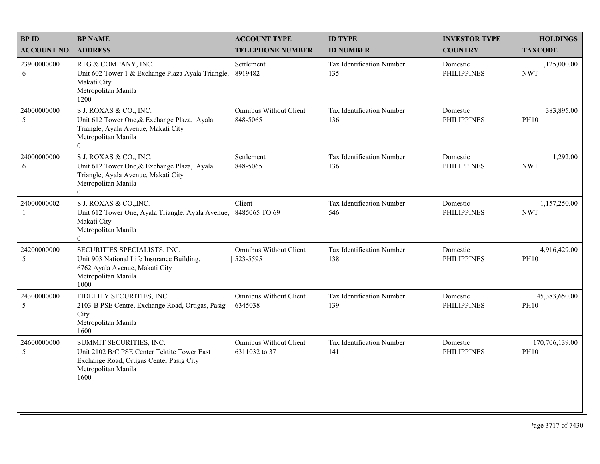| <b>BPID</b>                | <b>BP NAME</b>                                                                                                                                        | <b>ACCOUNT TYPE</b>                       | <b>ID TYPE</b>                          | <b>INVESTOR TYPE</b>           | <b>HOLDINGS</b>               |
|----------------------------|-------------------------------------------------------------------------------------------------------------------------------------------------------|-------------------------------------------|-----------------------------------------|--------------------------------|-------------------------------|
| <b>ACCOUNT NO. ADDRESS</b> |                                                                                                                                                       | <b>TELEPHONE NUMBER</b>                   | <b>ID NUMBER</b>                        | <b>COUNTRY</b>                 | <b>TAXCODE</b>                |
| 23900000000<br>6           | RTG & COMPANY, INC.<br>Unit 602 Tower 1 & Exchange Plaza Ayala Triangle,<br>Makati City<br>Metropolitan Manila<br>1200                                | Settlement<br>8919482                     | <b>Tax Identification Number</b><br>135 | Domestic<br><b>PHILIPPINES</b> | 1,125,000.00<br><b>NWT</b>    |
| 24000000000<br>5           | S.J. ROXAS & CO., INC.<br>Unit 612 Tower One, & Exchange Plaza, Ayala<br>Triangle, Ayala Avenue, Makati City<br>Metropolitan Manila<br>$\overline{0}$ | <b>Omnibus Without Client</b><br>848-5065 | Tax Identification Number<br>136        | Domestic<br><b>PHILIPPINES</b> | 383,895.00<br><b>PH10</b>     |
| 24000000000<br>6           | S.J. ROXAS & CO., INC.<br>Unit 612 Tower One, & Exchange Plaza, Ayala<br>Triangle, Ayala Avenue, Makati City<br>Metropolitan Manila<br>$\theta$       | Settlement<br>848-5065                    | Tax Identification Number<br>136        | Domestic<br><b>PHILIPPINES</b> | 1,292.00<br><b>NWT</b>        |
| 24000000002<br>-1          | S.J. ROXAS & CO., INC.<br>Unit 612 Tower One, Ayala Triangle, Ayala Avenue,<br>Makati City<br>Metropolitan Manila<br>$\theta$                         | Client<br>8485065 TO 69                   | Tax Identification Number<br>546        | Domestic<br><b>PHILIPPINES</b> | 1,157,250.00<br><b>NWT</b>    |
| 24200000000<br>5           | SECURITIES SPECIALISTS, INC.<br>Unit 903 National Life Insurance Building,<br>6762 Ayala Avenue, Makati City<br>Metropolitan Manila<br>1000           | Omnibus Without Client<br>523-5595        | Tax Identification Number<br>138        | Domestic<br><b>PHILIPPINES</b> | 4,916,429.00<br><b>PH10</b>   |
| 24300000000<br>5           | FIDELITY SECURITIES, INC.<br>2103-B PSE Centre, Exchange Road, Ortigas, Pasig<br>City<br>Metropolitan Manila<br>1600                                  | <b>Omnibus Without Client</b><br>6345038  | Tax Identification Number<br>139        | Domestic<br><b>PHILIPPINES</b> | 45,383,650.00<br><b>PH10</b>  |
| 24600000000<br>5           | SUMMIT SECURITIES, INC.<br>Unit 2102 B/C PSE Center Tektite Tower East<br>Exchange Road, Ortigas Center Pasig City<br>Metropolitan Manila<br>1600     | Omnibus Without Client<br>6311032 to 37   | Tax Identification Number<br>141        | Domestic<br><b>PHILIPPINES</b> | 170,706,139.00<br><b>PH10</b> |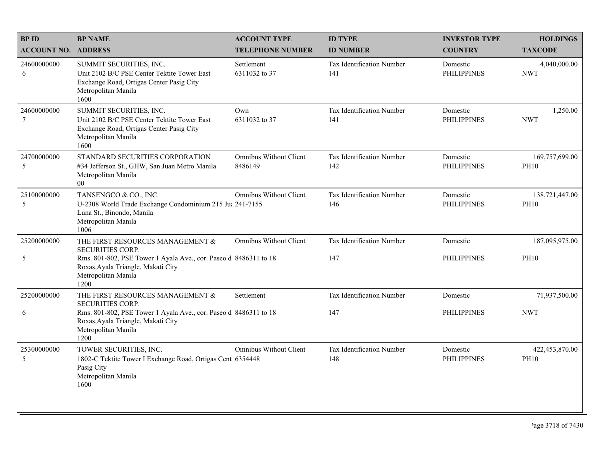| <b>BPID</b>                | <b>BP NAME</b>                                                                                                                                    | <b>ACCOUNT TYPE</b>                      | <b>ID TYPE</b>                          | <b>INVESTOR TYPE</b>           | <b>HOLDINGS</b>               |
|----------------------------|---------------------------------------------------------------------------------------------------------------------------------------------------|------------------------------------------|-----------------------------------------|--------------------------------|-------------------------------|
| <b>ACCOUNT NO. ADDRESS</b> |                                                                                                                                                   | <b>TELEPHONE NUMBER</b>                  | <b>ID NUMBER</b>                        | <b>COUNTRY</b>                 | <b>TAXCODE</b>                |
| 24600000000<br>6           | SUMMIT SECURITIES, INC.<br>Unit 2102 B/C PSE Center Tektite Tower East<br>Exchange Road, Ortigas Center Pasig City<br>Metropolitan Manila<br>1600 | Settlement<br>6311032 to 37              | Tax Identification Number<br>141        | Domestic<br><b>PHILIPPINES</b> | 4,040,000.00<br><b>NWT</b>    |
| 24600000000<br>$\tau$      | SUMMIT SECURITIES, INC.<br>Unit 2102 B/C PSE Center Tektite Tower East<br>Exchange Road, Ortigas Center Pasig City<br>Metropolitan Manila<br>1600 | Own<br>6311032 to 37                     | Tax Identification Number<br>141        | Domestic<br><b>PHILIPPINES</b> | 1,250.00<br><b>NWT</b>        |
| 24700000000<br>5           | STANDARD SECURITIES CORPORATION<br>#34 Jefferson St., GHW, San Juan Metro Manila<br>Metropolitan Manila<br>$00\,$                                 | <b>Omnibus Without Client</b><br>8486149 | Tax Identification Number<br>142        | Domestic<br><b>PHILIPPINES</b> | 169,757,699.00<br><b>PH10</b> |
| 25100000000<br>5           | TANSENGCO & CO., INC.<br>U-2308 World Trade Exchange Condominium 215 Ju: 241-7155<br>Luna St., Binondo, Manila<br>Metropolitan Manila<br>1006     | <b>Omnibus Without Client</b>            | <b>Tax Identification Number</b><br>146 | Domestic<br><b>PHILIPPINES</b> | 138,721,447.00<br><b>PH10</b> |
| 25200000000                | THE FIRST RESOURCES MANAGEMENT &<br><b>SECURITIES CORP.</b>                                                                                       | <b>Omnibus Without Client</b>            | Tax Identification Number               | Domestic                       | 187,095,975.00                |
| 5                          | Rms. 801-802, PSE Tower 1 Ayala Ave., cor. Paseo d 8486311 to 18<br>Roxas, Ayala Triangle, Makati City<br>Metropolitan Manila<br>1200             |                                          | 147                                     | <b>PHILIPPINES</b>             | <b>PH10</b>                   |
| 25200000000                | THE FIRST RESOURCES MANAGEMENT &<br><b>SECURITIES CORP.</b>                                                                                       | Settlement                               | Tax Identification Number               | Domestic                       | 71,937,500.00                 |
| 6                          | Rms. 801-802, PSE Tower 1 Ayala Ave., cor. Paseo d 8486311 to 18<br>Roxas, Ayala Triangle, Makati City<br>Metropolitan Manila<br>1200             |                                          | 147                                     | <b>PHILIPPINES</b>             | <b>NWT</b>                    |
| 25300000000<br>5           | TOWER SECURITIES, INC.<br>1802-C Tektite Tower I Exchange Road, Ortigas Cent 6354448<br>Pasig City<br>Metropolitan Manila<br>1600                 | <b>Omnibus Without Client</b>            | Tax Identification Number<br>148        | Domestic<br><b>PHILIPPINES</b> | 422,453,870.00<br><b>PH10</b> |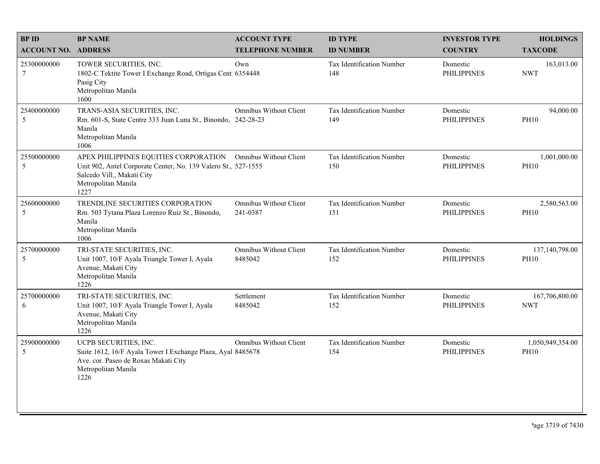| <b>BPID</b>                    | <b>BP NAME</b>                                                                                                                                                                              | <b>ACCOUNT TYPE</b>                       | <b>ID TYPE</b>                   | <b>INVESTOR TYPE</b>           | <b>HOLDINGS</b>                 |
|--------------------------------|---------------------------------------------------------------------------------------------------------------------------------------------------------------------------------------------|-------------------------------------------|----------------------------------|--------------------------------|---------------------------------|
| <b>ACCOUNT NO. ADDRESS</b>     |                                                                                                                                                                                             | <b>TELEPHONE NUMBER</b>                   | <b>ID NUMBER</b>                 | <b>COUNTRY</b>                 | <b>TAXCODE</b>                  |
| 25300000000<br>$7\phantom{.0}$ | TOWER SECURITIES, INC.<br>1802-C Tektite Tower I Exchange Road, Ortigas Cent 6354448<br>Pasig City<br>Metropolitan Manila<br>1600                                                           | Own                                       | Tax Identification Number<br>148 | Domestic<br><b>PHILIPPINES</b> | 163,013.00<br><b>NWT</b>        |
| 25400000000<br>5               | TRANS-ASIA SECURITIES, INC.<br>Rm. 601-S, State Centre 333 Juan Luna St., Binondo, 242-28-23<br>Manila<br>Metropolitan Manila<br>1006                                                       | <b>Omnibus Without Client</b>             | Tax Identification Number<br>149 | Domestic<br><b>PHILIPPINES</b> | 94,000.00<br><b>PH10</b>        |
| 25500000000<br>5               | APEX PHILIPPINES EQUITIES CORPORATION Omnibus Without Client<br>Unit 902, Antel Corporate Center, No. 139 Valero St., 527-1555<br>Salcedo Vill., Makati City<br>Metropolitan Manila<br>1227 |                                           | Tax Identification Number<br>150 | Domestic<br><b>PHILIPPINES</b> | 1,001,000.00<br><b>PH10</b>     |
| 25600000000<br>5               | TRENDLINE SECURITIES CORPORATION<br>Rm. 503 Tytana Plaza Lorenzo Ruiz St., Binondo,<br>Manila<br>Metropolitan Manila<br>1006                                                                | <b>Omnibus Without Client</b><br>241-0387 | Tax Identification Number<br>151 | Domestic<br><b>PHILIPPINES</b> | 2,580,563.00<br><b>PH10</b>     |
| 25700000000<br>5               | TRI-STATE SECURITIES, INC.<br>Unit 1007, 10/F Ayala Triangle Tower I, Ayala<br>Avenue, Makati City<br>Metropolitan Manila<br>1226                                                           | Omnibus Without Client<br>8485042         | Tax Identification Number<br>152 | Domestic<br><b>PHILIPPINES</b> | 137,140,798.00<br><b>PH10</b>   |
| 25700000000<br>6               | TRI-STATE SECURITIES, INC.<br>Unit 1007, 10/F Ayala Triangle Tower I, Ayala<br>Avenue, Makati City<br>Metropolitan Manila<br>1226                                                           | Settlement<br>8485042                     | Tax Identification Number<br>152 | Domestic<br><b>PHILIPPINES</b> | 167,706,800.00<br><b>NWT</b>    |
| 25900000000<br>5               | UCPB SECURITIES, INC.<br>Suite 1612, 16/F Ayala Tower I Exchange Plaza, Ayal 8485678<br>Ave. cor. Paseo de Roxas Makati City<br>Metropolitan Manila<br>1226                                 | <b>Omnibus Without Client</b>             | Tax Identification Number<br>154 | Domestic<br><b>PHILIPPINES</b> | 1,050,949,354.00<br><b>PH10</b> |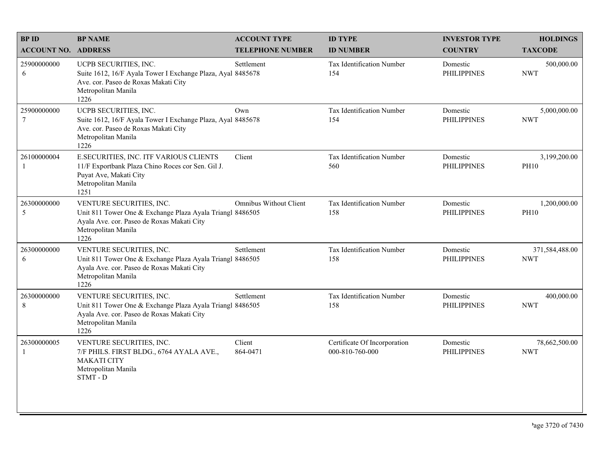| <b>BPID</b>                 | <b>BP NAME</b>                                                                                                                                                     | <b>ACCOUNT TYPE</b>     | <b>ID TYPE</b>                                  | <b>INVESTOR TYPE</b>           | <b>HOLDINGS</b>              |
|-----------------------------|--------------------------------------------------------------------------------------------------------------------------------------------------------------------|-------------------------|-------------------------------------------------|--------------------------------|------------------------------|
| <b>ACCOUNT NO. ADDRESS</b>  |                                                                                                                                                                    | <b>TELEPHONE NUMBER</b> | <b>ID NUMBER</b>                                | <b>COUNTRY</b>                 | <b>TAXCODE</b>               |
| 25900000000<br>6            | UCPB SECURITIES, INC.<br>Suite 1612, 16/F Ayala Tower I Exchange Plaza, Ayal 8485678<br>Ave. cor. Paseo de Roxas Makati City<br>Metropolitan Manila<br>1226        | Settlement              | <b>Tax Identification Number</b><br>154         | Domestic<br><b>PHILIPPINES</b> | 500,000.00<br><b>NWT</b>     |
| 25900000000<br>$\tau$       | UCPB SECURITIES, INC.<br>Suite 1612, 16/F Ayala Tower I Exchange Plaza, Ayal 8485678<br>Ave. cor. Paseo de Roxas Makati City<br>Metropolitan Manila<br>1226        | Own                     | Tax Identification Number<br>154                | Domestic<br><b>PHILIPPINES</b> | 5,000,000.00<br><b>NWT</b>   |
| 26100000004                 | E.SECURITIES, INC. ITF VARIOUS CLIENTS<br>11/F Exportbank Plaza Chino Roces cor Sen. Gil J.<br>Puyat Ave, Makati City<br>Metropolitan Manila<br>1251               | Client                  | <b>Tax Identification Number</b><br>560         | Domestic<br><b>PHILIPPINES</b> | 3,199,200.00<br><b>PH10</b>  |
| 26300000000<br>5            | VENTURE SECURITIES, INC.<br>Unit 811 Tower One & Exchange Plaza Ayala Triangl 8486505<br>Ayala Ave. cor. Paseo de Roxas Makati City<br>Metropolitan Manila<br>1226 | Omnibus Without Client  | Tax Identification Number<br>158                | Domestic<br><b>PHILIPPINES</b> | 1,200,000.00<br><b>PH10</b>  |
| 26300000000<br>6            | VENTURE SECURITIES, INC.<br>Unit 811 Tower One & Exchange Plaza Ayala Triangl 8486505<br>Ayala Ave. cor. Paseo de Roxas Makati City<br>Metropolitan Manila<br>1226 | Settlement              | Tax Identification Number<br>158                | Domestic<br><b>PHILIPPINES</b> | 371,584,488.00<br><b>NWT</b> |
| 26300000000<br>8            | VENTURE SECURITIES, INC.<br>Unit 811 Tower One & Exchange Plaza Ayala Triangl 8486505<br>Ayala Ave. cor. Paseo de Roxas Makati City<br>Metropolitan Manila<br>1226 | Settlement              | Tax Identification Number<br>158                | Domestic<br><b>PHILIPPINES</b> | 400,000.00<br><b>NWT</b>     |
| 26300000005<br>$\mathbf{1}$ | VENTURE SECURITIES, INC.<br>7/F PHILS. FIRST BLDG., 6764 AYALA AVE.,<br><b>MAKATI CITY</b><br>Metropolitan Manila<br>STMT - D                                      | Client<br>864-0471      | Certificate Of Incorporation<br>000-810-760-000 | Domestic<br><b>PHILIPPINES</b> | 78,662,500.00<br><b>NWT</b>  |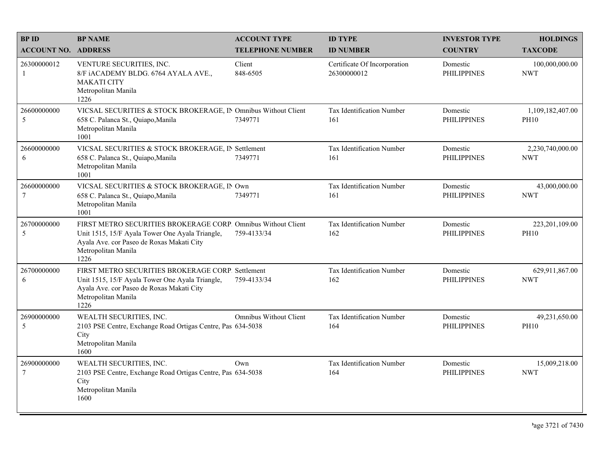| <b>BPID</b>                    | <b>BP NAME</b>                                                                                                                                                                               | <b>ACCOUNT TYPE</b>           | <b>ID TYPE</b>                              | <b>INVESTOR TYPE</b>           | <b>HOLDINGS</b>                 |
|--------------------------------|----------------------------------------------------------------------------------------------------------------------------------------------------------------------------------------------|-------------------------------|---------------------------------------------|--------------------------------|---------------------------------|
| <b>ACCOUNT NO. ADDRESS</b>     |                                                                                                                                                                                              | <b>TELEPHONE NUMBER</b>       | <b>ID NUMBER</b>                            | <b>COUNTRY</b>                 | <b>TAXCODE</b>                  |
| 26300000012<br>-1              | VENTURE SECURITIES, INC.<br>8/F iACADEMY BLDG. 6764 AYALA AVE.,<br><b>MAKATI CITY</b><br>Metropolitan Manila<br>1226                                                                         | Client<br>848-6505            | Certificate Of Incorporation<br>26300000012 | Domestic<br><b>PHILIPPINES</b> | 100,000,000.00<br><b>NWT</b>    |
| 26600000000<br>5               | VICSAL SECURITIES & STOCK BROKERAGE, IN Omnibus Without Client<br>658 C. Palanca St., Quiapo, Manila<br>Metropolitan Manila<br>1001                                                          | 7349771                       | Tax Identification Number<br>161            | Domestic<br><b>PHILIPPINES</b> | 1,109,182,407.00<br><b>PH10</b> |
| 26600000000<br>6               | VICSAL SECURITIES & STOCK BROKERAGE, IN Settlement<br>658 C. Palanca St., Quiapo, Manila<br>Metropolitan Manila<br>1001                                                                      | 7349771                       | Tax Identification Number<br>161            | Domestic<br><b>PHILIPPINES</b> | 2,230,740,000.00<br><b>NWT</b>  |
| 26600000000<br>$7\phantom{.0}$ | VICSAL SECURITIES & STOCK BROKERAGE, IN Own<br>658 C. Palanca St., Quiapo, Manila<br>Metropolitan Manila<br>1001                                                                             | 7349771                       | Tax Identification Number<br>161            | Domestic<br><b>PHILIPPINES</b> | 43,000,000.00<br><b>NWT</b>     |
| 26700000000<br>5               | FIRST METRO SECURITIES BROKERAGE CORP. Omnibus Without Client<br>Unit 1515, 15/F Ayala Tower One Ayala Triangle,<br>Ayala Ave. cor Paseo de Roxas Makati City<br>Metropolitan Manila<br>1226 | 759-4133/34                   | Tax Identification Number<br>162            | Domestic<br><b>PHILIPPINES</b> | 223,201,109.00<br><b>PH10</b>   |
| 26700000000<br>6               | FIRST METRO SECURITIES BROKERAGE CORP. Settlement<br>Unit 1515, 15/F Ayala Tower One Ayala Triangle,<br>Ayala Ave. cor Paseo de Roxas Makati City<br>Metropolitan Manila<br>1226             | 759-4133/34                   | Tax Identification Number<br>162            | Domestic<br><b>PHILIPPINES</b> | 629,911,867.00<br><b>NWT</b>    |
| 26900000000<br>5               | WEALTH SECURITIES, INC.<br>2103 PSE Centre, Exchange Road Ortigas Centre, Pas 634-5038<br>City<br>Metropolitan Manila<br>1600                                                                | <b>Omnibus Without Client</b> | Tax Identification Number<br>164            | Domestic<br><b>PHILIPPINES</b> | 49,231,650.00<br><b>PH10</b>    |
| 26900000000<br>$7\phantom{.0}$ | WEALTH SECURITIES, INC.<br>2103 PSE Centre, Exchange Road Ortigas Centre, Pas 634-5038<br>City<br>Metropolitan Manila<br>1600                                                                | Own                           | Tax Identification Number<br>164            | Domestic<br><b>PHILIPPINES</b> | 15,009,218.00<br><b>NWT</b>     |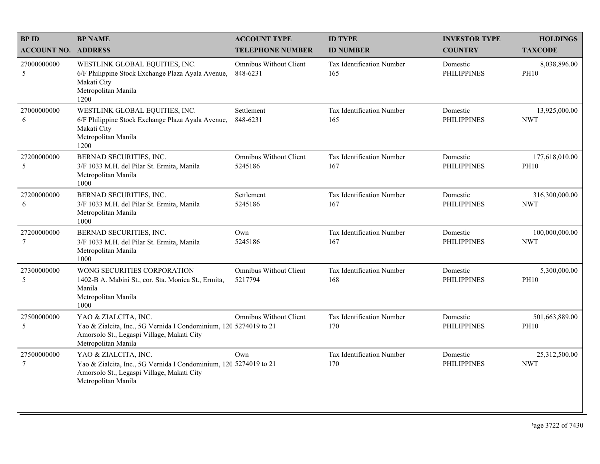| <b>BPID</b>                    | <b>BP NAME</b>                                                                                                                                                 | <b>ACCOUNT TYPE</b>                       | <b>ID TYPE</b>                          | <b>INVESTOR TYPE</b>           | <b>HOLDINGS</b>               |
|--------------------------------|----------------------------------------------------------------------------------------------------------------------------------------------------------------|-------------------------------------------|-----------------------------------------|--------------------------------|-------------------------------|
| <b>ACCOUNT NO. ADDRESS</b>     |                                                                                                                                                                | <b>TELEPHONE NUMBER</b>                   | <b>ID NUMBER</b>                        | <b>COUNTRY</b>                 | <b>TAXCODE</b>                |
| 27000000000<br>5               | WESTLINK GLOBAL EQUITIES, INC.<br>6/F Philippine Stock Exchange Plaza Ayala Avenue,<br>Makati City<br>Metropolitan Manila<br>1200                              | <b>Omnibus Without Client</b><br>848-6231 | <b>Tax Identification Number</b><br>165 | Domestic<br><b>PHILIPPINES</b> | 8,038,896.00<br><b>PH10</b>   |
| 27000000000<br>6               | WESTLINK GLOBAL EQUITIES, INC.<br>6/F Philippine Stock Exchange Plaza Ayala Avenue,<br>Makati City<br>Metropolitan Manila<br>1200                              | Settlement<br>848-6231                    | Tax Identification Number<br>165        | Domestic<br><b>PHILIPPINES</b> | 13,925,000.00<br><b>NWT</b>   |
| 27200000000<br>5               | BERNAD SECURITIES, INC.<br>3/F 1033 M.H. del Pilar St. Ermita, Manila<br>Metropolitan Manila<br>1000                                                           | <b>Omnibus Without Client</b><br>5245186  | Tax Identification Number<br>167        | Domestic<br><b>PHILIPPINES</b> | 177,618,010.00<br><b>PH10</b> |
| 27200000000<br>6               | BERNAD SECURITIES, INC.<br>3/F 1033 M.H. del Pilar St. Ermita, Manila<br>Metropolitan Manila<br>1000                                                           | Settlement<br>5245186                     | Tax Identification Number<br>167        | Domestic<br><b>PHILIPPINES</b> | 316,300,000.00<br><b>NWT</b>  |
| 27200000000<br>$7\phantom{.0}$ | BERNAD SECURITIES, INC.<br>3/F 1033 M.H. del Pilar St. Ermita, Manila<br>Metropolitan Manila<br>1000                                                           | Own<br>5245186                            | Tax Identification Number<br>167        | Domestic<br><b>PHILIPPINES</b> | 100,000,000.00<br><b>NWT</b>  |
| 27300000000<br>5               | WONG SECURITIES CORPORATION<br>1402-B A. Mabini St., cor. Sta. Monica St., Ermita,<br>Manila<br>Metropolitan Manila<br>1000                                    | <b>Omnibus Without Client</b><br>5217794  | Tax Identification Number<br>168        | Domestic<br><b>PHILIPPINES</b> | 5,300,000.00<br><b>PH10</b>   |
| 27500000000<br>5               | YAO & ZIALCITA, INC.<br>Yao & Zialcita, Inc., 5G Vernida I Condominium, 120 5274019 to 21<br>Amorsolo St., Legaspi Village, Makati City<br>Metropolitan Manila | <b>Omnibus Without Client</b>             | Tax Identification Number<br>170        | Domestic<br><b>PHILIPPINES</b> | 501,663,889.00<br><b>PH10</b> |
| 27500000000<br>$7\phantom{.0}$ | YAO & ZIALCITA, INC.<br>Yao & Zialcita, Inc., 5G Vernida I Condominium, 120 5274019 to 21<br>Amorsolo St., Legaspi Village, Makati City<br>Metropolitan Manila | Own                                       | Tax Identification Number<br>170        | Domestic<br><b>PHILIPPINES</b> | 25,312,500.00<br><b>NWT</b>   |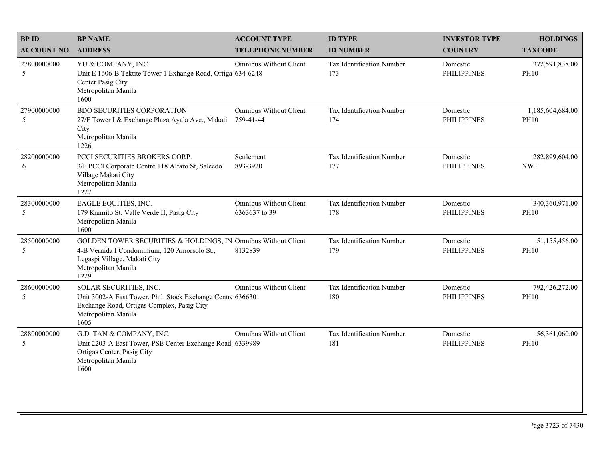| <b>BPID</b>                | <b>BP NAME</b>                                                                                                                                                               | <b>ACCOUNT TYPE</b>                            | <b>ID TYPE</b>                   | <b>INVESTOR TYPE</b>           | <b>HOLDINGS</b>                 |
|----------------------------|------------------------------------------------------------------------------------------------------------------------------------------------------------------------------|------------------------------------------------|----------------------------------|--------------------------------|---------------------------------|
| <b>ACCOUNT NO. ADDRESS</b> |                                                                                                                                                                              | <b>TELEPHONE NUMBER</b>                        | <b>ID NUMBER</b>                 | <b>COUNTRY</b>                 | <b>TAXCODE</b>                  |
| 27800000000<br>5           | YU & COMPANY, INC.<br>Unit E 1606-B Tektite Tower 1 Exhange Road, Ortiga 634-6248<br>Center Pasig City<br>Metropolitan Manila<br>1600                                        | <b>Omnibus Without Client</b>                  | Tax Identification Number<br>173 | Domestic<br><b>PHILIPPINES</b> | 372,591,838.00<br><b>PH10</b>   |
| 27900000000<br>5           | <b>BDO SECURITIES CORPORATION</b><br>27/F Tower I & Exchange Plaza Ayala Ave., Makati<br>City<br>Metropolitan Manila<br>1226                                                 | <b>Omnibus Without Client</b><br>759-41-44     | Tax Identification Number<br>174 | Domestic<br><b>PHILIPPINES</b> | 1,185,604,684.00<br><b>PH10</b> |
| 28200000000<br>6           | PCCI SECURITIES BROKERS CORP.<br>3/F PCCI Corporate Centre 118 Alfaro St, Salcedo<br>Village Makati City<br>Metropolitan Manila<br>1227                                      | Settlement<br>893-3920                         | Tax Identification Number<br>177 | Domestic<br><b>PHILIPPINES</b> | 282,899,604.00<br><b>NWT</b>    |
| 28300000000<br>5           | EAGLE EQUITIES, INC.<br>179 Kaimito St. Valle Verde II, Pasig City<br>Metropolitan Manila<br>1600                                                                            | <b>Omnibus Without Client</b><br>6363637 to 39 | Tax Identification Number<br>178 | Domestic<br><b>PHILIPPINES</b> | 340,360,971.00<br><b>PH10</b>   |
| 28500000000<br>5           | GOLDEN TOWER SECURITIES & HOLDINGS, IN Omnibus Without Client<br>4-B Vernida I Condominium, 120 Amorsolo St.,<br>Legaspi Village, Makati City<br>Metropolitan Manila<br>1229 | 8132839                                        | Tax Identification Number<br>179 | Domestic<br><b>PHILIPPINES</b> | 51,155,456.00<br><b>PH10</b>    |
| 28600000000<br>5           | SOLAR SECURITIES, INC.<br>Unit 3002-A East Tower, Phil. Stock Exchange Centre 6366301<br>Exchange Road, Ortigas Complex, Pasig City<br>Metropolitan Manila<br>1605           | <b>Omnibus Without Client</b>                  | Tax Identification Number<br>180 | Domestic<br><b>PHILIPPINES</b> | 792,426,272.00<br><b>PH10</b>   |
| 28800000000<br>5           | G.D. TAN & COMPANY, INC.<br>Unit 2203-A East Tower, PSE Center Exchange Road, 6339989<br>Ortigas Center, Pasig City<br>Metropolitan Manila<br>1600                           | <b>Omnibus Without Client</b>                  | Tax Identification Number<br>181 | Domestic<br><b>PHILIPPINES</b> | 56,361,060.00<br><b>PH10</b>    |
|                            |                                                                                                                                                                              |                                                |                                  |                                |                                 |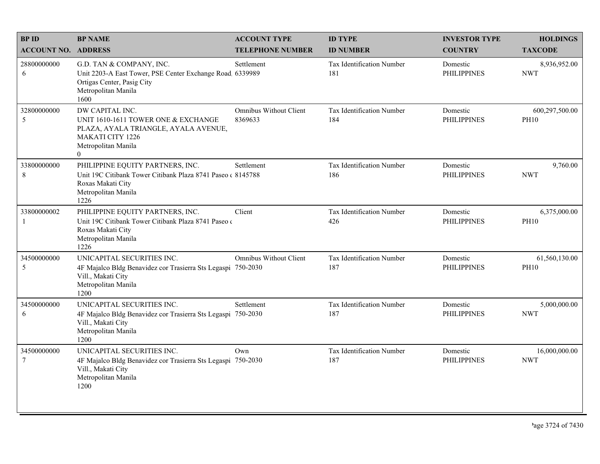| <b>BPID</b><br><b>ACCOUNT NO. ADDRESS</b> | <b>BP NAME</b>                                                                                                                                               | <b>ACCOUNT TYPE</b><br><b>TELEPHONE NUMBER</b> | <b>ID TYPE</b><br><b>ID NUMBER</b>      | <b>INVESTOR TYPE</b><br><b>COUNTRY</b> | <b>HOLDINGS</b><br><b>TAXCODE</b> |
|-------------------------------------------|--------------------------------------------------------------------------------------------------------------------------------------------------------------|------------------------------------------------|-----------------------------------------|----------------------------------------|-----------------------------------|
| 28800000000<br>6                          | G.D. TAN & COMPANY, INC.<br>Unit 2203-A East Tower, PSE Center Exchange Road, 6339989<br>Ortigas Center, Pasig City<br>Metropolitan Manila<br>1600           | Settlement                                     | <b>Tax Identification Number</b><br>181 | Domestic<br><b>PHILIPPINES</b>         | 8,936,952.00<br><b>NWT</b>        |
| 32800000000<br>5                          | DW CAPITAL INC.<br>UNIT 1610-1611 TOWER ONE & EXCHANGE<br>PLAZA, AYALA TRIANGLE, AYALA AVENUE,<br><b>MAKATI CITY 1226</b><br>Metropolitan Manila<br>$\theta$ | <b>Omnibus Without Client</b><br>8369633       | Tax Identification Number<br>184        | Domestic<br><b>PHILIPPINES</b>         | 600,297,500.00<br><b>PH10</b>     |
| 33800000000<br>8                          | PHILIPPINE EQUITY PARTNERS, INC.<br>Unit 19C Citibank Tower Citibank Plaza 8741 Paseo (8145788)<br>Roxas Makati City<br>Metropolitan Manila<br>1226          | Settlement                                     | Tax Identification Number<br>186        | Domestic<br><b>PHILIPPINES</b>         | 9,760.00<br><b>NWT</b>            |
| 33800000002<br>-1                         | PHILIPPINE EQUITY PARTNERS, INC.<br>Unit 19C Citibank Tower Citibank Plaza 8741 Paseo o<br>Roxas Makati City<br>Metropolitan Manila<br>1226                  | Client                                         | Tax Identification Number<br>426        | Domestic<br><b>PHILIPPINES</b>         | 6,375,000.00<br><b>PH10</b>       |
| 34500000000<br>5                          | UNICAPITAL SECURITIES INC.<br>4F Majalco Bldg Benavidez cor Trasierra Sts Legaspi 750-2030<br>Vill., Makati City<br>Metropolitan Manila<br>1200              | <b>Omnibus Without Client</b>                  | Tax Identification Number<br>187        | Domestic<br><b>PHILIPPINES</b>         | 61,560,130.00<br><b>PH10</b>      |
| 34500000000<br>6                          | UNICAPITAL SECURITIES INC.<br>4F Majalco Bldg Benavidez cor Trasierra Sts Legaspi 750-2030<br>Vill., Makati City<br>Metropolitan Manila<br>1200              | Settlement                                     | Tax Identification Number<br>187        | Domestic<br><b>PHILIPPINES</b>         | 5,000,000.00<br><b>NWT</b>        |
| 34500000000<br>$\tau$                     | UNICAPITAL SECURITIES INC.<br>4F Majalco Bldg Benavidez cor Trasierra Sts Legaspi 750-2030<br>Vill., Makati City<br>Metropolitan Manila<br>1200              | Own                                            | Tax Identification Number<br>187        | Domestic<br><b>PHILIPPINES</b>         | 16,000,000.00<br><b>NWT</b>       |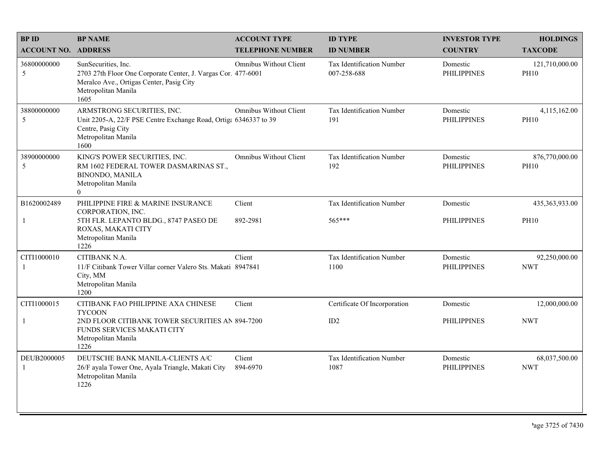| <b>BPID</b>                | <b>BP NAME</b>                                                                                                                                                  | <b>ACCOUNT TYPE</b>           | <b>ID TYPE</b>                                  | <b>INVESTOR TYPE</b>           | <b>HOLDINGS</b>               |
|----------------------------|-----------------------------------------------------------------------------------------------------------------------------------------------------------------|-------------------------------|-------------------------------------------------|--------------------------------|-------------------------------|
| <b>ACCOUNT NO. ADDRESS</b> |                                                                                                                                                                 | <b>TELEPHONE NUMBER</b>       | <b>ID NUMBER</b>                                | <b>COUNTRY</b>                 | <b>TAXCODE</b>                |
| 36800000000<br>5           | SunSecurities, Inc.<br>2703 27th Floor One Corporate Center, J. Vargas Cor. 477-6001<br>Meralco Ave., Ortigas Center, Pasig City<br>Metropolitan Manila<br>1605 | <b>Omnibus Without Client</b> | <b>Tax Identification Number</b><br>007-258-688 | Domestic<br><b>PHILIPPINES</b> | 121,710,000.00<br><b>PH10</b> |
| 38800000000<br>5           | ARMSTRONG SECURITIES, INC.<br>Unit 2205-A, 22/F PSE Centre Exchange Road, Ortiga 6346337 to 39<br>Centre, Pasig City<br>Metropolitan Manila<br>1600             | <b>Omnibus Without Client</b> | Tax Identification Number<br>191                | Domestic<br><b>PHILIPPINES</b> | 4,115,162.00<br><b>PH10</b>   |
| 38900000000<br>5           | KING'S POWER SECURITIES, INC.<br>RM 1602 FEDERAL TOWER DASMARINAS ST.,<br><b>BINONDO, MANILA</b><br>Metropolitan Manila<br>$\theta$                             | <b>Omnibus Without Client</b> | Tax Identification Number<br>192                | Domestic<br><b>PHILIPPINES</b> | 876,770,000.00<br><b>PH10</b> |
| B1620002489                | PHILIPPINE FIRE & MARINE INSURANCE<br>CORPORATION, INC.                                                                                                         | Client                        | <b>Tax Identification Number</b>                | Domestic                       | 435,363,933.00                |
| -1                         | 5TH FLR. LEPANTO BLDG., 8747 PASEO DE<br>ROXAS, MAKATI CITY<br>Metropolitan Manila<br>1226                                                                      | 892-2981                      | 565***                                          | <b>PHILIPPINES</b>             | <b>PH10</b>                   |
| CITI1000010<br>-1          | CITIBANK N.A.<br>11/F Citibank Tower Villar corner Valero Sts. Makati 8947841<br>City, MM<br>Metropolitan Manila<br>1200                                        | Client                        | Tax Identification Number<br>1100               | Domestic<br><b>PHILIPPINES</b> | 92,250,000.00<br><b>NWT</b>   |
| CITI1000015                | CITIBANK FAO PHILIPPINE AXA CHINESE<br><b>TYCOON</b>                                                                                                            | Client                        | Certificate Of Incorporation                    | Domestic                       | 12,000,000.00                 |
| -1                         | 2ND FLOOR CITIBANK TOWER SECURITIES AN 894-7200<br>FUNDS SERVICES MAKATI CITY<br>Metropolitan Manila<br>1226                                                    |                               | ID2                                             | <b>PHILIPPINES</b>             | <b>NWT</b>                    |
| DEUB2000005<br>-1          | DEUTSCHE BANK MANILA-CLIENTS A/C<br>26/F ayala Tower One, Ayala Triangle, Makati City<br>Metropolitan Manila<br>1226                                            | Client<br>894-6970            | Tax Identification Number<br>1087               | Domestic<br><b>PHILIPPINES</b> | 68,037,500.00<br><b>NWT</b>   |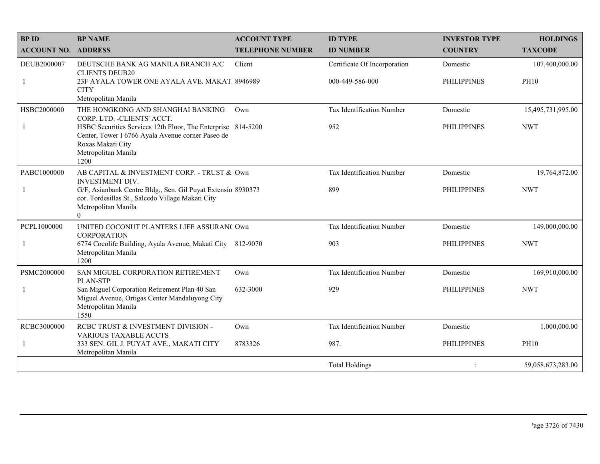| <b>BPID</b>                | <b>BP NAME</b>                                                                                                                                                        | <b>ACCOUNT TYPE</b>     | <b>ID TYPE</b>                   | <b>INVESTOR TYPE</b> | <b>HOLDINGS</b>   |
|----------------------------|-----------------------------------------------------------------------------------------------------------------------------------------------------------------------|-------------------------|----------------------------------|----------------------|-------------------|
| <b>ACCOUNT NO. ADDRESS</b> |                                                                                                                                                                       | <b>TELEPHONE NUMBER</b> | <b>ID NUMBER</b>                 | <b>COUNTRY</b>       | <b>TAXCODE</b>    |
| DEUB2000007                | DEUTSCHE BANK AG MANILA BRANCH A/C<br><b>CLIENTS DEUB20</b>                                                                                                           | Client                  | Certificate Of Incorporation     | Domestic             | 107,400,000.00    |
| $\mathbf{1}$               | 23F AYALA TOWER ONE AYALA AVE. MAKAT 8946989<br><b>CITY</b><br>Metropolitan Manila                                                                                    |                         | 000-449-586-000                  | <b>PHILIPPINES</b>   | <b>PH10</b>       |
| HSBC2000000                | THE HONGKONG AND SHANGHAI BANKING<br>CORP. LTD. - CLIENTS' ACCT.                                                                                                      | Own                     | Tax Identification Number        | Domestic             | 15,495,731,995.00 |
| -1                         | HSBC Securities Services 12th Floor, The Enterprise 814-5200<br>Center, Tower I 6766 Ayala Avenue corner Paseo de<br>Roxas Makati City<br>Metropolitan Manila<br>1200 |                         | 952                              | <b>PHILIPPINES</b>   | <b>NWT</b>        |
| PABC1000000                | AB CAPITAL & INVESTMENT CORP. - TRUST & Own<br><b>INVESTMENT DIV.</b>                                                                                                 |                         | <b>Tax Identification Number</b> | Domestic             | 19,764,872.00     |
| $\overline{1}$             | G/F, Asianbank Centre Bldg., Sen. Gil Puyat Extensio 8930373<br>cor. Tordesillas St., Salcedo Village Makati City<br>Metropolitan Manila<br>$\theta$                  |                         | 899                              | <b>PHILIPPINES</b>   | <b>NWT</b>        |
| PCPL1000000                | UNITED COCONUT PLANTERS LIFE ASSURAN( Own<br><b>CORPORATION</b>                                                                                                       |                         | <b>Tax Identification Number</b> | Domestic             | 149,000,000.00    |
| -1                         | 6774 Cocolife Building, Ayala Avenue, Makati City 812-9070<br>Metropolitan Manila<br>1200                                                                             |                         | 903                              | <b>PHILIPPINES</b>   | <b>NWT</b>        |
| PSMC2000000                | SAN MIGUEL CORPORATION RETIREMENT<br><b>PLAN-STP</b>                                                                                                                  | Own                     | Tax Identification Number        | Domestic             | 169,910,000.00    |
| -1                         | San Miguel Corporation Retirement Plan 40 San<br>Miguel Avenue, Ortigas Center Mandaluyong City<br>Metropolitan Manila<br>1550                                        | 632-3000                | 929                              | <b>PHILIPPINES</b>   | <b>NWT</b>        |
| RCBC3000000                | RCBC TRUST & INVESTMENT DIVISION -<br><b>VARIOUS TAXABLE ACCTS</b>                                                                                                    | Own                     | <b>Tax Identification Number</b> | Domestic             | 1,000,000.00      |
| -1                         | 333 SEN. GIL J. PUYAT AVE., MAKATI CITY<br>Metropolitan Manila                                                                                                        | 8783326                 | 987.                             | <b>PHILIPPINES</b>   | <b>PH10</b>       |
|                            |                                                                                                                                                                       |                         | <b>Total Holdings</b>            |                      | 59,058,673,283.00 |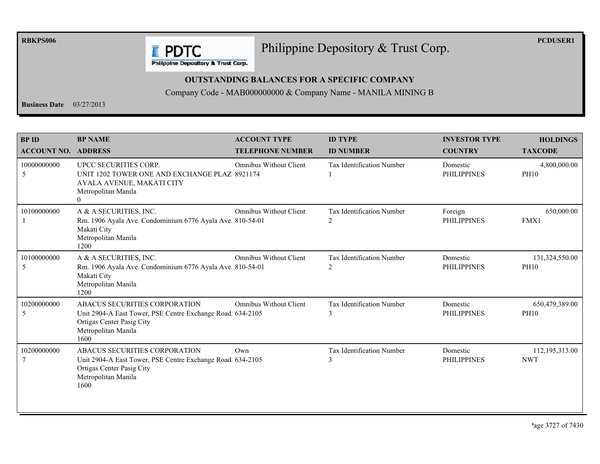**RBKPS006** 

Philippine Depository & Trust Corp.

**PCDUSER1** 

**E** PDTC Philippine Depository & Trust Corp.

#### **OUTSTANDING BALANCES FOR A SPECIFIC COMPANY**

Company Code - MAB000000000 & Company Name - MANILA MINING B

**Business Date**  $03/27/2013$ 

| <b>BPID</b><br><b>ACCOUNT NO.</b> | <b>BP NAME</b><br><b>ADDRESS</b>                                                                                                                       | <b>ACCOUNT TYPE</b><br><b>TELEPHONE NUMBER</b> | <b>ID TYPE</b><br><b>ID NUMBER</b>    | <b>INVESTOR TYPE</b><br><b>COUNTRY</b> | <b>HOLDINGS</b><br><b>TAXCODE</b> |
|-----------------------------------|--------------------------------------------------------------------------------------------------------------------------------------------------------|------------------------------------------------|---------------------------------------|----------------------------------------|-----------------------------------|
| 10000000000<br>5                  | UPCC SECURITIES CORP.<br>UNIT 1202 TOWER ONE AND EXCHANGE PLAZ 8921174<br>AYALA AVENUE, MAKATI CITY<br>Metropolitan Manila<br>$\overline{0}$           | <b>Omnibus Without Client</b>                  | <b>Tax Identification Number</b>      | Domestic<br><b>PHILIPPINES</b>         | 4,800,000.00<br><b>PH10</b>       |
| 10100000000                       | A & A SECURITIES, INC.<br>Rm. 1906 Ayala Ave. Condominium 6776 Ayala Ave. 810-54-01<br>Makati City<br>Metropolitan Manila<br>1200                      | <b>Omnibus Without Client</b>                  | <b>Tax Identification Number</b><br>2 | Foreign<br><b>PHILIPPINES</b>          | 650,000.00<br>FMX1                |
| 10100000000<br>5                  | A & A SECURITIES, INC.<br>Rm. 1906 Ayala Ave. Condominium 6776 Ayala Ave. 810-54-01<br>Makati City<br>Metropolitan Manila<br>1200                      | Omnibus Without Client                         | <b>Tax Identification Number</b><br>2 | Domestic<br><b>PHILIPPINES</b>         | 131,324,550.00<br><b>PH10</b>     |
| 10200000000<br>5                  | ABACUS SECURITIES CORPORATION<br>Unit 2904-A East Tower, PSE Centre Exchange Road 634-2105<br>Ortigas Center Pasig City<br>Metropolitan Manila<br>1600 | <b>Omnibus Without Client</b>                  | <b>Tax Identification Number</b><br>3 | Domestic<br><b>PHILIPPINES</b>         | 650,479,389.00<br><b>PH10</b>     |
| 10200000000                       | ABACUS SECURITIES CORPORATION<br>Unit 2904-A East Tower, PSE Centre Exchange Road 634-2105<br>Ortigas Center Pasig City<br>Metropolitan Manila<br>1600 | Own                                            | Tax Identification Number<br>3        | Domestic<br><b>PHILIPPINES</b>         | 112,195,313.00<br><b>NWT</b>      |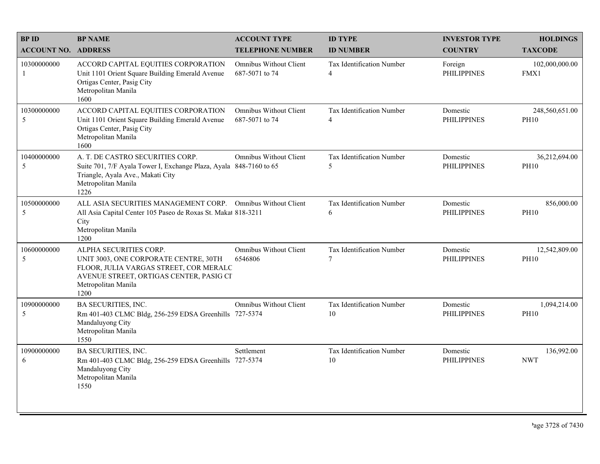| <b>BPID</b>                | <b>BP NAME</b>                                                                                                                                                                      | <b>ACCOUNT TYPE</b>                             | <b>ID TYPE</b>                              | <b>INVESTOR TYPE</b>           | <b>HOLDINGS</b>               |
|----------------------------|-------------------------------------------------------------------------------------------------------------------------------------------------------------------------------------|-------------------------------------------------|---------------------------------------------|--------------------------------|-------------------------------|
| <b>ACCOUNT NO. ADDRESS</b> |                                                                                                                                                                                     | <b>TELEPHONE NUMBER</b>                         | <b>ID NUMBER</b>                            | <b>COUNTRY</b>                 | <b>TAXCODE</b>                |
| 10300000000<br>-1          | ACCORD CAPITAL EQUITIES CORPORATION<br>Unit 1101 Orient Square Building Emerald Avenue<br>Ortigas Center, Pasig City<br>Metropolitan Manila<br>1600                                 | <b>Omnibus Without Client</b><br>687-5071 to 74 | Tax Identification Number<br>$\overline{4}$ | Foreign<br><b>PHILIPPINES</b>  | 102,000,000.00<br>FMX1        |
| 10300000000<br>5           | ACCORD CAPITAL EQUITIES CORPORATION<br>Unit 1101 Orient Square Building Emerald Avenue<br>Ortigas Center, Pasig City<br>Metropolitan Manila<br>1600                                 | <b>Omnibus Without Client</b><br>687-5071 to 74 | Tax Identification Number<br>$\overline{4}$ | Domestic<br><b>PHILIPPINES</b> | 248,560,651.00<br><b>PH10</b> |
| 10400000000<br>5           | A. T. DE CASTRO SECURITIES CORP.<br>Suite 701, 7/F Ayala Tower I, Exchange Plaza, Ayala 848-7160 to 65<br>Triangle, Ayala Ave., Makati City<br>Metropolitan Manila<br>1226          | <b>Omnibus Without Client</b>                   | Tax Identification Number<br>5              | Domestic<br><b>PHILIPPINES</b> | 36,212,694.00<br><b>PH10</b>  |
| 10500000000<br>5           | ALL ASIA SECURITIES MANAGEMENT CORP. Omnibus Without Client<br>All Asia Capital Center 105 Paseo de Roxas St. Makat 818-3211<br>City<br>Metropolitan Manila<br>1200                 |                                                 | Tax Identification Number<br>6              | Domestic<br><b>PHILIPPINES</b> | 856,000.00<br><b>PH10</b>     |
| 10600000000<br>5           | ALPHA SECURITIES CORP.<br>UNIT 3003, ONE CORPORATE CENTRE, 30TH<br>FLOOR, JULIA VARGAS STREET, COR MERALC<br>AVENUE STREET, ORTIGAS CENTER, PASIG CI<br>Metropolitan Manila<br>1200 | <b>Omnibus Without Client</b><br>6546806        | Tax Identification Number<br>7              | Domestic<br><b>PHILIPPINES</b> | 12,542,809.00<br><b>PH10</b>  |
| 10900000000<br>5           | <b>BA SECURITIES, INC.</b><br>Rm 401-403 CLMC Bldg, 256-259 EDSA Greenhills 727-5374<br>Mandaluyong City<br>Metropolitan Manila<br>1550                                             | <b>Omnibus Without Client</b>                   | Tax Identification Number<br>10             | Domestic<br><b>PHILIPPINES</b> | 1,094,214.00<br><b>PH10</b>   |
| 10900000000<br>6           | BA SECURITIES, INC.<br>Rm 401-403 CLMC Bldg, 256-259 EDSA Greenhills 727-5374<br>Mandaluyong City<br>Metropolitan Manila<br>1550                                                    | Settlement                                      | Tax Identification Number<br>10             | Domestic<br><b>PHILIPPINES</b> | 136,992.00<br><b>NWT</b>      |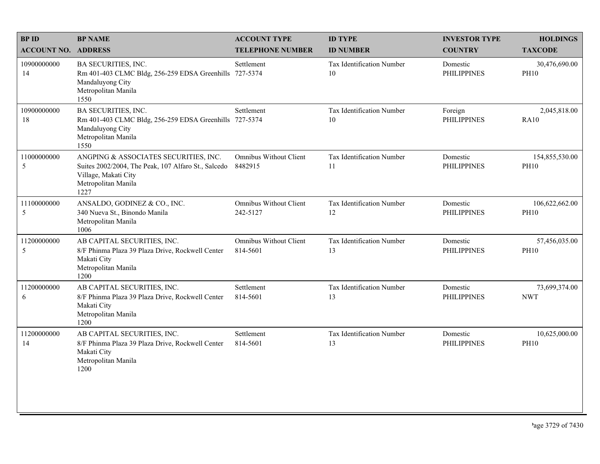| <b>BPID</b>                | <b>BP NAME</b>                                                                                                                                      | <b>ACCOUNT TYPE</b>                       | <b>ID TYPE</b>                  | <b>INVESTOR TYPE</b>           | <b>HOLDINGS</b>               |
|----------------------------|-----------------------------------------------------------------------------------------------------------------------------------------------------|-------------------------------------------|---------------------------------|--------------------------------|-------------------------------|
| <b>ACCOUNT NO. ADDRESS</b> |                                                                                                                                                     | <b>TELEPHONE NUMBER</b>                   | <b>ID NUMBER</b>                | <b>COUNTRY</b>                 | <b>TAXCODE</b>                |
| 10900000000<br>14          | BA SECURITIES, INC.<br>Rm 401-403 CLMC Bldg, 256-259 EDSA Greenhills<br>Mandaluyong City<br>Metropolitan Manila<br>1550                             | Settlement<br>727-5374                    | Tax Identification Number<br>10 | Domestic<br><b>PHILIPPINES</b> | 30,476,690.00<br><b>PH10</b>  |
| 10900000000<br>18          | BA SECURITIES, INC.<br>Rm 401-403 CLMC Bldg, 256-259 EDSA Greenhills 727-5374<br>Mandaluyong City<br>Metropolitan Manila<br>1550                    | Settlement                                | Tax Identification Number<br>10 | Foreign<br><b>PHILIPPINES</b>  | 2,045,818.00<br><b>RA10</b>   |
| 11000000000<br>5           | ANGPING & ASSOCIATES SECURITIES, INC.<br>Suites 2002/2004, The Peak, 107 Alfaro St., Salcedo<br>Village, Makati City<br>Metropolitan Manila<br>1227 | <b>Omnibus Without Client</b><br>8482915  | Tax Identification Number<br>11 | Domestic<br><b>PHILIPPINES</b> | 154,855,530.00<br><b>PH10</b> |
| 11100000000<br>5           | ANSALDO, GODINEZ & CO., INC.<br>340 Nueva St., Binondo Manila<br>Metropolitan Manila<br>1006                                                        | <b>Omnibus Without Client</b><br>242-5127 | Tax Identification Number<br>12 | Domestic<br><b>PHILIPPINES</b> | 106,622,662.00<br><b>PH10</b> |
| 11200000000<br>5           | AB CAPITAL SECURITIES, INC.<br>8/F Phinma Plaza 39 Plaza Drive, Rockwell Center<br>Makati City<br>Metropolitan Manila<br>1200                       | Omnibus Without Client<br>814-5601        | Tax Identification Number<br>13 | Domestic<br><b>PHILIPPINES</b> | 57,456,035.00<br><b>PH10</b>  |
| 11200000000<br>6           | AB CAPITAL SECURITIES, INC.<br>8/F Phinma Plaza 39 Plaza Drive, Rockwell Center<br>Makati City<br>Metropolitan Manila<br>1200                       | Settlement<br>814-5601                    | Tax Identification Number<br>13 | Domestic<br><b>PHILIPPINES</b> | 73,699,374.00<br><b>NWT</b>   |
| 11200000000<br>14          | AB CAPITAL SECURITIES, INC.<br>8/F Phinma Plaza 39 Plaza Drive, Rockwell Center<br>Makati City<br>Metropolitan Manila<br>1200                       | Settlement<br>814-5601                    | Tax Identification Number<br>13 | Domestic<br><b>PHILIPPINES</b> | 10,625,000.00<br><b>PH10</b>  |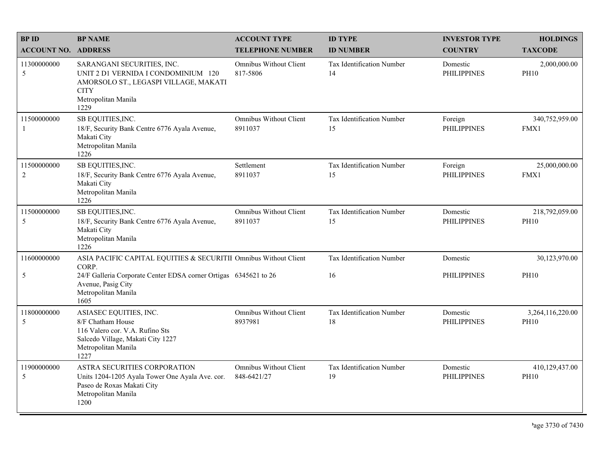| <b>BPID</b><br><b>ACCOUNT NO. ADDRESS</b> | <b>BP NAME</b>                                                                                                                                           | <b>ACCOUNT TYPE</b><br><b>TELEPHONE NUMBER</b> | <b>ID TYPE</b><br><b>ID NUMBER</b>     | <b>INVESTOR TYPE</b><br><b>COUNTRY</b> | <b>HOLDINGS</b><br><b>TAXCODE</b> |
|-------------------------------------------|----------------------------------------------------------------------------------------------------------------------------------------------------------|------------------------------------------------|----------------------------------------|----------------------------------------|-----------------------------------|
| 11300000000<br>5                          | SARANGANI SECURITIES, INC.<br>UNIT 2 D1 VERNIDA I CONDOMINIUM 120<br>AMORSOLO ST., LEGASPI VILLAGE, MAKATI<br><b>CITY</b><br>Metropolitan Manila<br>1229 | Omnibus Without Client<br>817-5806             | Tax Identification Number<br>14        | Domestic<br><b>PHILIPPINES</b>         | 2,000,000.00<br><b>PH10</b>       |
| 11500000000<br>-1                         | SB EQUITIES, INC.<br>18/F, Security Bank Centre 6776 Ayala Avenue,<br>Makati City<br>Metropolitan Manila<br>1226                                         | Omnibus Without Client<br>8911037              | Tax Identification Number<br>15        | Foreign<br><b>PHILIPPINES</b>          | 340,752,959.00<br>FMX1            |
| 11500000000<br>$\overline{2}$             | SB EQUITIES, INC.<br>18/F, Security Bank Centre 6776 Ayala Avenue,<br>Makati City<br>Metropolitan Manila<br>1226                                         | Settlement<br>8911037                          | <b>Tax Identification Number</b><br>15 | Foreign<br><b>PHILIPPINES</b>          | 25,000,000.00<br>FMX1             |
| 11500000000<br>5                          | SB EQUITIES, INC.<br>18/F, Security Bank Centre 6776 Ayala Avenue,<br>Makati City<br>Metropolitan Manila<br>1226                                         | Omnibus Without Client<br>8911037              | Tax Identification Number<br>15        | Domestic<br><b>PHILIPPINES</b>         | 218,792,059.00<br><b>PH10</b>     |
| 11600000000                               | ASIA PACIFIC CAPITAL EQUITIES & SECURITII Omnibus Without Client<br>CORP.                                                                                |                                                | <b>Tax Identification Number</b>       | Domestic                               | 30,123,970.00                     |
| 5                                         | 24/F Galleria Corporate Center EDSA corner Ortigas 6345621 to 26<br>Avenue, Pasig City<br>Metropolitan Manila<br>1605                                    |                                                | 16                                     | <b>PHILIPPINES</b>                     | <b>PH10</b>                       |
| 11800000000<br>5                          | ASIASEC EQUITIES, INC.<br>8/F Chatham House<br>116 Valero cor. V.A. Rufino Sts<br>Salcedo Village, Makati City 1227<br>Metropolitan Manila<br>1227       | Omnibus Without Client<br>8937981              | <b>Tax Identification Number</b><br>18 | Domestic<br><b>PHILIPPINES</b>         | 3,264,116,220.00<br><b>PH10</b>   |
| 11900000000<br>5                          | ASTRA SECURITIES CORPORATION<br>Units 1204-1205 Ayala Tower One Ayala Ave. cor.<br>Paseo de Roxas Makati City<br>Metropolitan Manila<br>1200             | <b>Omnibus Without Client</b><br>848-6421/27   | Tax Identification Number<br>19        | Domestic<br><b>PHILIPPINES</b>         | 410,129,437.00<br><b>PH10</b>     |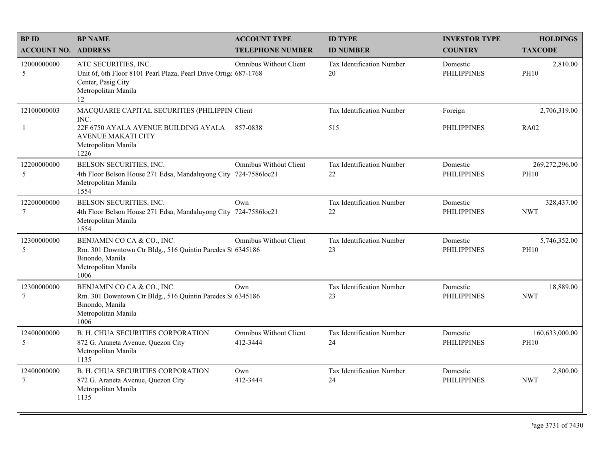| <b>BPID</b>                 | <b>BP NAME</b>                                                                                                                                                      | <b>ACCOUNT TYPE</b>                       | <b>ID TYPE</b>                      | <b>INVESTOR TYPE</b>           | <b>HOLDINGS</b>               |
|-----------------------------|---------------------------------------------------------------------------------------------------------------------------------------------------------------------|-------------------------------------------|-------------------------------------|--------------------------------|-------------------------------|
| <b>ACCOUNT NO. ADDRESS</b>  |                                                                                                                                                                     | <b>TELEPHONE NUMBER</b>                   | <b>ID NUMBER</b>                    | <b>COUNTRY</b>                 | <b>TAXCODE</b>                |
| 12000000000<br>5            | ATC SECURITIES, INC.<br>Unit 6f, 6th Floor 8101 Pearl Plaza, Pearl Drive Ortiga 687-1768<br>Center, Pasig City<br>Metropolitan Manila<br>12                         | Omnibus Without Client                    | Tax Identification Number<br>20     | Domestic<br><b>PHILIPPINES</b> | 2,810.00<br><b>PH10</b>       |
| 12100000003<br>$\mathbf{1}$ | MACQUARIE CAPITAL SECURITIES (PHILIPPIN Client<br>INC.<br>22F 6750 AYALA AVENUE BUILDING AYALA 857-0838<br><b>AVENUE MAKATI CITY</b><br>Metropolitan Manila<br>1226 |                                           | Tax Identification Number<br>515    | Foreign<br><b>PHILIPPINES</b>  | 2,706,319.00<br><b>RA02</b>   |
| 12200000000<br>5            | BELSON SECURITIES, INC.<br>4th Floor Belson House 271 Edsa, Mandaluyong City 724-7586loc21<br>Metropolitan Manila<br>1554                                           | <b>Omnibus Without Client</b>             | Tax Identification Number<br>$22\,$ | Domestic<br><b>PHILIPPINES</b> | 269,272,296.00<br><b>PH10</b> |
| 12200000000<br>7            | BELSON SECURITIES, INC.<br>4th Floor Belson House 271 Edsa, Mandaluyong City 724-7586loc21<br>Metropolitan Manila<br>1554                                           | Own                                       | Tax Identification Number<br>22     | Domestic<br><b>PHILIPPINES</b> | 328,437.00<br><b>NWT</b>      |
| 12300000000<br>5            | BENJAMIN CO CA & CO., INC.<br>Rm. 301 Downtown Ctr Bldg., 516 Quintin Paredes St 6345186<br>Binondo, Manila<br>Metropolitan Manila<br>1006                          | <b>Omnibus Without Client</b>             | Tax Identification Number<br>23     | Domestic<br><b>PHILIPPINES</b> | 5,746,352.00<br><b>PH10</b>   |
| 12300000000<br>7            | BENJAMIN CO CA & CO., INC.<br>Rm. 301 Downtown Ctr Bldg., 516 Quintin Paredes St 6345186<br>Binondo, Manila<br>Metropolitan Manila<br>1006                          | Own                                       | Tax Identification Number<br>23     | Domestic<br><b>PHILIPPINES</b> | 18,889.00<br><b>NWT</b>       |
| 12400000000<br>5            | <b>B. H. CHUA SECURITIES CORPORATION</b><br>872 G. Araneta Avenue, Quezon City<br>Metropolitan Manila<br>1135                                                       | <b>Omnibus Without Client</b><br>412-3444 | Tax Identification Number<br>24     | Domestic<br><b>PHILIPPINES</b> | 160,633,000.00<br><b>PH10</b> |
| 12400000000<br>7            | <b>B. H. CHUA SECURITIES CORPORATION</b><br>872 G. Araneta Avenue, Quezon City<br>Metropolitan Manila<br>1135                                                       | Own<br>412-3444                           | Tax Identification Number<br>24     | Domestic<br><b>PHILIPPINES</b> | 2,800.00<br><b>NWT</b>        |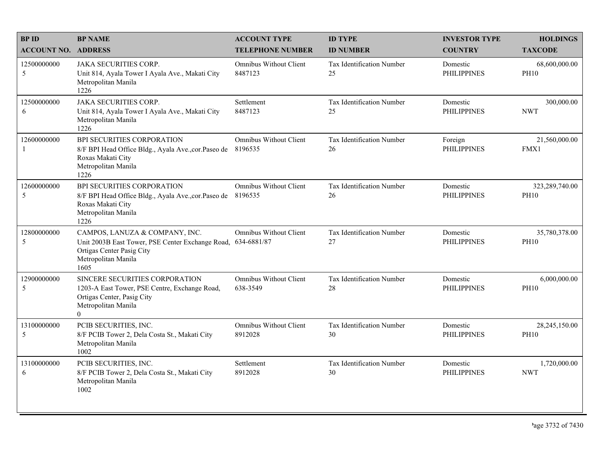| <b>BPID</b>                | <b>BP NAME</b>                                                                                                                                             | <b>ACCOUNT TYPE</b>                       | <b>ID TYPE</b>                  | <b>INVESTOR TYPE</b>           | <b>HOLDINGS</b>               |
|----------------------------|------------------------------------------------------------------------------------------------------------------------------------------------------------|-------------------------------------------|---------------------------------|--------------------------------|-------------------------------|
| <b>ACCOUNT NO. ADDRESS</b> |                                                                                                                                                            | <b>TELEPHONE NUMBER</b>                   | <b>ID NUMBER</b>                | <b>COUNTRY</b>                 | <b>TAXCODE</b>                |
| 12500000000<br>5           | <b>JAKA SECURITIES CORP.</b><br>Unit 814, Ayala Tower I Ayala Ave., Makati City<br>Metropolitan Manila<br>1226                                             | Omnibus Without Client<br>8487123         | Tax Identification Number<br>25 | Domestic<br><b>PHILIPPINES</b> | 68,600,000.00<br><b>PH10</b>  |
| 12500000000<br>6           | <b>JAKA SECURITIES CORP.</b><br>Unit 814, Ayala Tower I Ayala Ave., Makati City<br>Metropolitan Manila<br>1226                                             | Settlement<br>8487123                     | Tax Identification Number<br>25 | Domestic<br><b>PHILIPPINES</b> | 300,000.00<br><b>NWT</b>      |
| 12600000000<br>-1          | BPI SECURITIES CORPORATION<br>8/F BPI Head Office Bldg., Ayala Ave., cor. Paseo de<br>Roxas Makati City<br>Metropolitan Manila<br>1226                     | Omnibus Without Client<br>8196535         | Tax Identification Number<br>26 | Foreign<br><b>PHILIPPINES</b>  | 21,560,000.00<br>FMX1         |
| 12600000000<br>5           | <b>BPI SECURITIES CORPORATION</b><br>8/F BPI Head Office Bldg., Ayala Ave., cor. Paseo de 8196535<br>Roxas Makati City<br>Metropolitan Manila<br>1226      | <b>Omnibus Without Client</b>             | Tax Identification Number<br>26 | Domestic<br><b>PHILIPPINES</b> | 323,289,740.00<br><b>PH10</b> |
| 12800000000<br>5           | CAMPOS, LANUZA & COMPANY, INC.<br>Unit 2003B East Tower, PSE Center Exchange Road, 634-6881/87<br>Ortigas Center Pasig City<br>Metropolitan Manila<br>1605 | <b>Omnibus Without Client</b>             | Tax Identification Number<br>27 | Domestic<br><b>PHILIPPINES</b> | 35,780,378.00<br><b>PH10</b>  |
| 12900000000<br>5           | SINCERE SECURITIES CORPORATION<br>1203-A East Tower, PSE Centre, Exchange Road,<br>Ortigas Center, Pasig City<br>Metropolitan Manila<br>$\theta$           | <b>Omnibus Without Client</b><br>638-3549 | Tax Identification Number<br>28 | Domestic<br><b>PHILIPPINES</b> | 6,000,000.00<br><b>PH10</b>   |
| 13100000000<br>5           | PCIB SECURITIES, INC.<br>8/F PCIB Tower 2, Dela Costa St., Makati City<br>Metropolitan Manila<br>1002                                                      | <b>Omnibus Without Client</b><br>8912028  | Tax Identification Number<br>30 | Domestic<br><b>PHILIPPINES</b> | 28,245,150.00<br><b>PH10</b>  |
| 13100000000<br>6           | PCIB SECURITIES, INC.<br>8/F PCIB Tower 2, Dela Costa St., Makati City<br>Metropolitan Manila<br>1002                                                      | Settlement<br>8912028                     | Tax Identification Number<br>30 | Domestic<br><b>PHILIPPINES</b> | 1,720,000.00<br><b>NWT</b>    |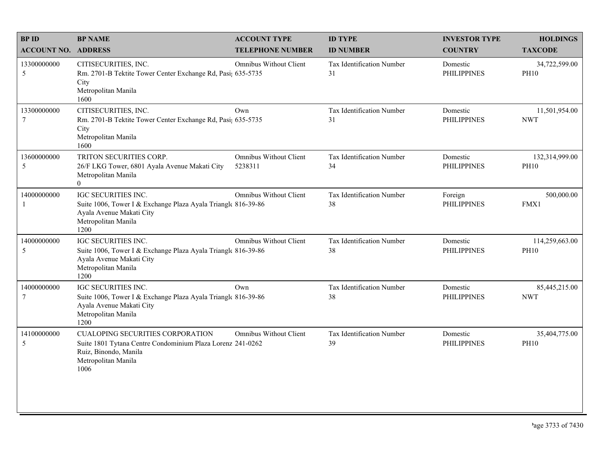| <b>BPID</b>                    | <b>BP NAME</b>                                                                                                                                                | <b>ACCOUNT TYPE</b>                      | <b>ID TYPE</b>                  | <b>INVESTOR TYPE</b>           | <b>HOLDINGS</b>               |
|--------------------------------|---------------------------------------------------------------------------------------------------------------------------------------------------------------|------------------------------------------|---------------------------------|--------------------------------|-------------------------------|
| <b>ACCOUNT NO. ADDRESS</b>     |                                                                                                                                                               | <b>TELEPHONE NUMBER</b>                  | <b>ID NUMBER</b>                | <b>COUNTRY</b>                 | <b>TAXCODE</b>                |
| 13300000000<br>5               | CITISECURITIES, INC.<br>Rm. 2701-B Tektite Tower Center Exchange Rd, Pasi; 635-5735<br>City<br>Metropolitan Manila<br>1600                                    | Omnibus Without Client                   | Tax Identification Number<br>31 | Domestic<br><b>PHILIPPINES</b> | 34,722,599.00<br><b>PH10</b>  |
| 13300000000<br>$7\phantom{.0}$ | CITISECURITIES, INC.<br>Rm. 2701-B Tektite Tower Center Exchange Rd, Pasi; 635-5735<br>City<br>Metropolitan Manila<br>1600                                    | Own                                      | Tax Identification Number<br>31 | Domestic<br><b>PHILIPPINES</b> | 11,501,954.00<br><b>NWT</b>   |
| 13600000000<br>5               | TRITON SECURITIES CORP.<br>26/F LKG Tower, 6801 Ayala Avenue Makati City<br>Metropolitan Manila<br>$\overline{0}$                                             | <b>Omnibus Without Client</b><br>5238311 | Tax Identification Number<br>34 | Domestic<br><b>PHILIPPINES</b> | 132,314,999.00<br><b>PH10</b> |
| 14000000000<br>-1              | IGC SECURITIES INC.<br>Suite 1006, Tower I & Exchange Plaza Ayala Triangle 816-39-86<br>Ayala Avenue Makati City<br>Metropolitan Manila<br>1200               | <b>Omnibus Without Client</b>            | Tax Identification Number<br>38 | Foreign<br><b>PHILIPPINES</b>  | 500,000.00<br>FMX1            |
| 14000000000<br>5               | IGC SECURITIES INC.<br>Suite 1006, Tower I & Exchange Plaza Ayala Triangle 816-39-86<br>Ayala Avenue Makati City<br>Metropolitan Manila<br>1200               | Omnibus Without Client                   | Tax Identification Number<br>38 | Domestic<br><b>PHILIPPINES</b> | 114,259,663.00<br><b>PH10</b> |
| 14000000000<br>$\tau$          | <b>IGC SECURITIES INC.</b><br>Suite 1006, Tower I & Exchange Plaza Ayala Triangle 816-39-86<br>Ayala Avenue Makati City<br>Metropolitan Manila<br>1200        | Own                                      | Tax Identification Number<br>38 | Domestic<br><b>PHILIPPINES</b> | 85,445,215.00<br><b>NWT</b>   |
| 14100000000<br>5               | <b>CUALOPING SECURITIES CORPORATION</b><br>Suite 1801 Tytana Centre Condominium Plaza Lorenz 241-0262<br>Ruiz, Binondo, Manila<br>Metropolitan Manila<br>1006 | Omnibus Without Client                   | Tax Identification Number<br>39 | Domestic<br><b>PHILIPPINES</b> | 35,404,775.00<br><b>PH10</b>  |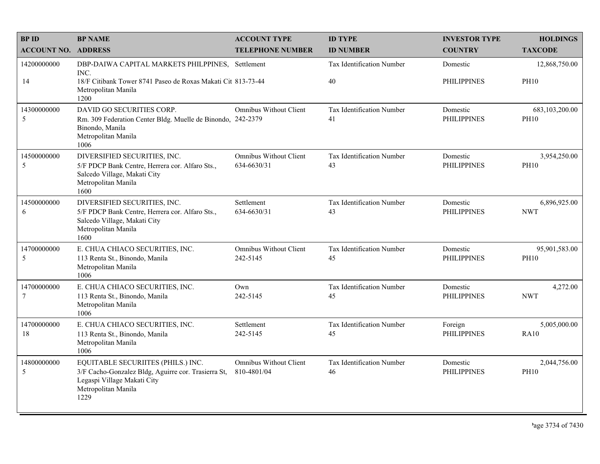| <b>BPID</b>                    | <b>BP NAME</b>                                                                                                                                          | <b>ACCOUNT TYPE</b>                          | <b>ID TYPE</b>                  | <b>INVESTOR TYPE</b>           | <b>HOLDINGS</b>               |
|--------------------------------|---------------------------------------------------------------------------------------------------------------------------------------------------------|----------------------------------------------|---------------------------------|--------------------------------|-------------------------------|
| <b>ACCOUNT NO. ADDRESS</b>     |                                                                                                                                                         | <b>TELEPHONE NUMBER</b>                      | <b>ID NUMBER</b>                | <b>COUNTRY</b>                 | <b>TAXCODE</b>                |
| 14200000000                    | DBP-DAIWA CAPITAL MARKETS PHILPPINES, Settlement<br>INC.                                                                                                |                                              | Tax Identification Number       | Domestic                       | 12,868,750.00                 |
| 14                             | 18/F Citibank Tower 8741 Paseo de Roxas Makati Cit 813-73-44<br>Metropolitan Manila<br>1200                                                             |                                              | 40                              | <b>PHILIPPINES</b>             | <b>PH10</b>                   |
| 14300000000<br>5               | DAVID GO SECURITIES CORP.<br>Rm. 309 Federation Center Bldg. Muelle de Binondo, 242-2379<br>Binondo, Manila<br>Metropolitan Manila<br>1006              | <b>Omnibus Without Client</b>                | Tax Identification Number<br>41 | Domestic<br><b>PHILIPPINES</b> | 683,103,200.00<br><b>PH10</b> |
| 14500000000<br>5               | DIVERSIFIED SECURITIES, INC.<br>5/F PDCP Bank Centre, Herrera cor. Alfaro Sts.,<br>Salcedo Village, Makati City<br>Metropolitan Manila<br>1600          | <b>Omnibus Without Client</b><br>634-6630/31 | Tax Identification Number<br>43 | Domestic<br><b>PHILIPPINES</b> | 3,954,250.00<br><b>PH10</b>   |
| 14500000000<br>6               | DIVERSIFIED SECURITIES, INC.<br>5/F PDCP Bank Centre, Herrera cor. Alfaro Sts.,<br>Salcedo Village, Makati City<br>Metropolitan Manila<br>1600          | Settlement<br>634-6630/31                    | Tax Identification Number<br>43 | Domestic<br><b>PHILIPPINES</b> | 6,896,925.00<br><b>NWT</b>    |
| 14700000000<br>5               | E. CHUA CHIACO SECURITIES, INC.<br>113 Renta St., Binondo, Manila<br>Metropolitan Manila<br>1006                                                        | <b>Omnibus Without Client</b><br>242-5145    | Tax Identification Number<br>45 | Domestic<br><b>PHILIPPINES</b> | 95,901,583.00<br><b>PH10</b>  |
| 14700000000<br>$7\phantom{.0}$ | E. CHUA CHIACO SECURITIES, INC.<br>113 Renta St., Binondo, Manila<br>Metropolitan Manila<br>1006                                                        | Own<br>242-5145                              | Tax Identification Number<br>45 | Domestic<br><b>PHILIPPINES</b> | 4,272.00<br><b>NWT</b>        |
| 14700000000<br>18              | E. CHUA CHIACO SECURITIES, INC.<br>113 Renta St., Binondo, Manila<br>Metropolitan Manila<br>1006                                                        | Settlement<br>242-5145                       | Tax Identification Number<br>45 | Foreign<br><b>PHILIPPINES</b>  | 5,005,000.00<br>RA10          |
| 14800000000<br>5               | EQUITABLE SECURIITES (PHILS.) INC.<br>3/F Cacho-Gonzalez Bldg, Aguirre cor. Trasierra St,<br>Legaspi Village Makati City<br>Metropolitan Manila<br>1229 | <b>Omnibus Without Client</b><br>810-4801/04 | Tax Identification Number<br>46 | Domestic<br><b>PHILIPPINES</b> | 2,044,756.00<br><b>PH10</b>   |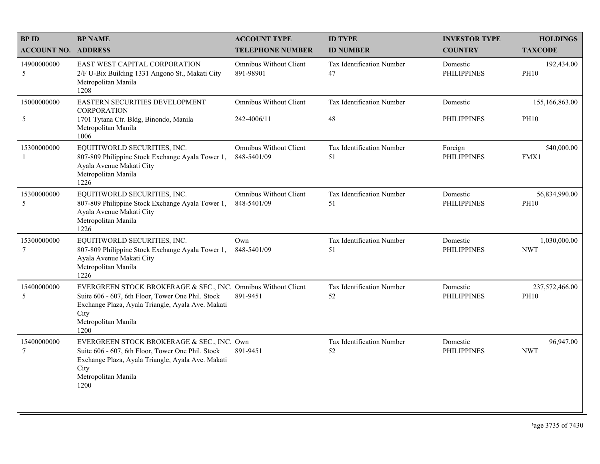| <b>BPID</b>                   | <b>BP NAME</b>                                                                                                                                                                                                 | <b>ACCOUNT TYPE</b>                          | <b>ID TYPE</b>                  | <b>INVESTOR TYPE</b>           | <b>HOLDINGS</b>               |
|-------------------------------|----------------------------------------------------------------------------------------------------------------------------------------------------------------------------------------------------------------|----------------------------------------------|---------------------------------|--------------------------------|-------------------------------|
| <b>ACCOUNT NO. ADDRESS</b>    |                                                                                                                                                                                                                | <b>TELEPHONE NUMBER</b>                      | <b>ID NUMBER</b>                | <b>COUNTRY</b>                 | <b>TAXCODE</b>                |
| 14900000000<br>5              | <b>EAST WEST CAPITAL CORPORATION</b><br>2/F U-Bix Building 1331 Angono St., Makati City<br>Metropolitan Manila<br>1208                                                                                         | Omnibus Without Client<br>891-98901          | Tax Identification Number<br>47 | Domestic<br><b>PHILIPPINES</b> | 192,434.00<br><b>PH10</b>     |
| 15000000000                   | EASTERN SECURITIES DEVELOPMENT<br><b>CORPORATION</b>                                                                                                                                                           | Omnibus Without Client                       | Tax Identification Number       | Domestic                       | 155,166,863.00                |
| 5                             | 1701 Tytana Ctr. Bldg, Binondo, Manila<br>Metropolitan Manila<br>1006                                                                                                                                          | 242-4006/11                                  | 48                              | <b>PHILIPPINES</b>             | <b>PH10</b>                   |
| 15300000000<br>-1             | EQUITIWORLD SECURITIES, INC.<br>807-809 Philippine Stock Exchange Ayala Tower 1,<br>Ayala Avenue Makati City<br>Metropolitan Manila<br>1226                                                                    | <b>Omnibus Without Client</b><br>848-5401/09 | Tax Identification Number<br>51 | Foreign<br><b>PHILIPPINES</b>  | 540,000.00<br>FMX1            |
| 15300000000<br>5              | EQUITIWORLD SECURITIES, INC.<br>807-809 Philippine Stock Exchange Ayala Tower 1,<br>Ayala Avenue Makati City<br>Metropolitan Manila<br>1226                                                                    | <b>Omnibus Without Client</b><br>848-5401/09 | Tax Identification Number<br>51 | Domestic<br><b>PHILIPPINES</b> | 56,834,990.00<br><b>PH10</b>  |
| 15300000000<br>$\tau$         | EQUITIWORLD SECURITIES, INC.<br>807-809 Philippine Stock Exchange Ayala Tower 1,<br>Ayala Avenue Makati City<br>Metropolitan Manila<br>1226                                                                    | Own<br>848-5401/09                           | Tax Identification Number<br>51 | Domestic<br><b>PHILIPPINES</b> | 1,030,000.00<br><b>NWT</b>    |
| 15400000000<br>5              | EVERGREEN STOCK BROKERAGE & SEC., INC. Omnibus Without Client<br>Suite 606 - 607, 6th Floor, Tower One Phil. Stock<br>Exchange Plaza, Ayala Triangle, Ayala Ave. Makati<br>City<br>Metropolitan Manila<br>1200 | 891-9451                                     | Tax Identification Number<br>52 | Domestic<br><b>PHILIPPINES</b> | 237,572,466.00<br><b>PH10</b> |
| 15400000000<br>$\overline{7}$ | EVERGREEN STOCK BROKERAGE & SEC., INC. Own<br>Suite 606 - 607, 6th Floor, Tower One Phil. Stock<br>Exchange Plaza, Ayala Triangle, Ayala Ave. Makati<br>City<br>Metropolitan Manila<br>1200                    | 891-9451                                     | Tax Identification Number<br>52 | Domestic<br><b>PHILIPPINES</b> | 96,947.00<br><b>NWT</b>       |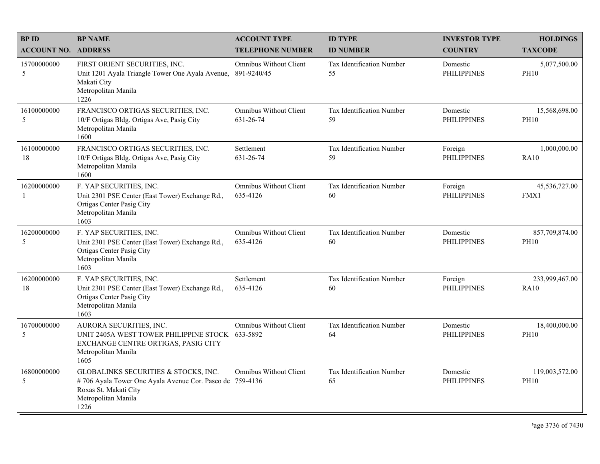| <b>BPID</b><br><b>ACCOUNT NO. ADDRESS</b> | <b>BP NAME</b>                                                                                                                                           | <b>ACCOUNT TYPE</b><br><b>TELEPHONE NUMBER</b> | <b>ID TYPE</b><br><b>ID NUMBER</b> | <b>INVESTOR TYPE</b><br><b>COUNTRY</b> | <b>HOLDINGS</b><br><b>TAXCODE</b> |
|-------------------------------------------|----------------------------------------------------------------------------------------------------------------------------------------------------------|------------------------------------------------|------------------------------------|----------------------------------------|-----------------------------------|
| 15700000000<br>5                          | FIRST ORIENT SECURITIES, INC.<br>Unit 1201 Ayala Triangle Tower One Ayala Avenue,<br>Makati City<br>Metropolitan Manila<br>1226                          | <b>Omnibus Without Client</b><br>891-9240/45   | Tax Identification Number<br>55    | Domestic<br><b>PHILIPPINES</b>         | 5,077,500.00<br><b>PH10</b>       |
| 16100000000<br>5                          | FRANCISCO ORTIGAS SECURITIES, INC.<br>10/F Ortigas Bldg. Ortigas Ave, Pasig City<br>Metropolitan Manila<br>1600                                          | <b>Omnibus Without Client</b><br>631-26-74     | Tax Identification Number<br>59    | Domestic<br><b>PHILIPPINES</b>         | 15,568,698.00<br><b>PH10</b>      |
| 16100000000<br>18                         | FRANCISCO ORTIGAS SECURITIES, INC.<br>10/F Ortigas Bldg. Ortigas Ave, Pasig City<br>Metropolitan Manila<br>1600                                          | Settlement<br>631-26-74                        | Tax Identification Number<br>59    | Foreign<br><b>PHILIPPINES</b>          | 1,000,000.00<br>RA10              |
| 16200000000<br>-1                         | F. YAP SECURITIES, INC.<br>Unit 2301 PSE Center (East Tower) Exchange Rd.,<br>Ortigas Center Pasig City<br>Metropolitan Manila<br>1603                   | <b>Omnibus Without Client</b><br>635-4126      | Tax Identification Number<br>60    | Foreign<br><b>PHILIPPINES</b>          | 45,536,727.00<br>FMX1             |
| 16200000000<br>5                          | F. YAP SECURITIES, INC.<br>Unit 2301 PSE Center (East Tower) Exchange Rd.,<br>Ortigas Center Pasig City<br>Metropolitan Manila<br>1603                   | <b>Omnibus Without Client</b><br>635-4126      | Tax Identification Number<br>60    | Domestic<br><b>PHILIPPINES</b>         | 857,709,874.00<br><b>PH10</b>     |
| 16200000000<br>18                         | F. YAP SECURITIES, INC.<br>Unit 2301 PSE Center (East Tower) Exchange Rd.,<br>Ortigas Center Pasig City<br>Metropolitan Manila<br>1603                   | Settlement<br>635-4126                         | Tax Identification Number<br>60    | Foreign<br><b>PHILIPPINES</b>          | 233,999,467.00<br><b>RA10</b>     |
| 16700000000<br>5                          | AURORA SECURITIES, INC.<br>UNIT 2405A WEST TOWER PHILIPPINE STOCK 633-5892<br>EXCHANGE CENTRE ORTIGAS, PASIG CITY<br>Metropolitan Manila<br>1605         | <b>Omnibus Without Client</b>                  | Tax Identification Number<br>64    | Domestic<br><b>PHILIPPINES</b>         | 18,400,000.00<br><b>PH10</b>      |
| 16800000000<br>5                          | GLOBALINKS SECURITIES & STOCKS, INC.<br>#706 Ayala Tower One Ayala Avenue Cor. Paseo de 759-4136<br>Roxas St. Makati City<br>Metropolitan Manila<br>1226 | Omnibus Without Client                         | Tax Identification Number<br>65    | Domestic<br><b>PHILIPPINES</b>         | 119,003,572.00<br><b>PH10</b>     |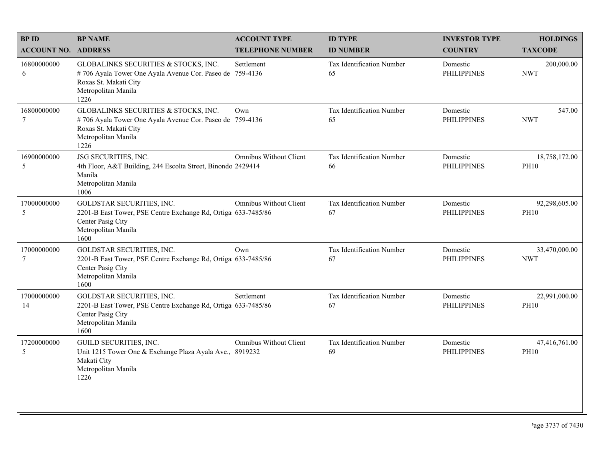| <b>BPID</b>                | <b>BP NAME</b>                                                                                                                                           | <b>ACCOUNT TYPE</b>           | <b>ID TYPE</b>                  | <b>INVESTOR TYPE</b>           | <b>HOLDINGS</b>              |
|----------------------------|----------------------------------------------------------------------------------------------------------------------------------------------------------|-------------------------------|---------------------------------|--------------------------------|------------------------------|
| <b>ACCOUNT NO. ADDRESS</b> |                                                                                                                                                          | <b>TELEPHONE NUMBER</b>       | <b>ID NUMBER</b>                | <b>COUNTRY</b>                 | <b>TAXCODE</b>               |
| 16800000000<br>6           | GLOBALINKS SECURITIES & STOCKS, INC.<br>#706 Ayala Tower One Ayala Avenue Cor. Paseo de 759-4136<br>Roxas St. Makati City<br>Metropolitan Manila<br>1226 | Settlement                    | Tax Identification Number<br>65 | Domestic<br><b>PHILIPPINES</b> | 200,000.00<br><b>NWT</b>     |
| 16800000000<br>$\tau$      | GLOBALINKS SECURITIES & STOCKS, INC.<br>#706 Ayala Tower One Ayala Avenue Cor. Paseo de 759-4136<br>Roxas St. Makati City<br>Metropolitan Manila<br>1226 | Own                           | Tax Identification Number<br>65 | Domestic<br><b>PHILIPPINES</b> | 547.00<br><b>NWT</b>         |
| 16900000000<br>5           | JSG SECURITIES, INC.<br>4th Floor, A&T Building, 244 Escolta Street, Binondo 2429414<br>Manila<br>Metropolitan Manila<br>1006                            | <b>Omnibus Without Client</b> | Tax Identification Number<br>66 | Domestic<br><b>PHILIPPINES</b> | 18,758,172.00<br><b>PH10</b> |
| 17000000000<br>5           | GOLDSTAR SECURITIES, INC.<br>2201-B East Tower, PSE Centre Exchange Rd, Ortiga 633-7485/86<br>Center Pasig City<br>Metropolitan Manila<br>1600           | <b>Omnibus Without Client</b> | Tax Identification Number<br>67 | Domestic<br><b>PHILIPPINES</b> | 92,298,605.00<br><b>PH10</b> |
| 17000000000<br>7           | GOLDSTAR SECURITIES, INC.<br>2201-B East Tower, PSE Centre Exchange Rd, Ortiga 633-7485/86<br>Center Pasig City<br>Metropolitan Manila<br>1600           | Own                           | Tax Identification Number<br>67 | Domestic<br><b>PHILIPPINES</b> | 33,470,000.00<br><b>NWT</b>  |
| 17000000000<br>14          | GOLDSTAR SECURITIES, INC.<br>2201-B East Tower, PSE Centre Exchange Rd, Ortiga 633-7485/86<br>Center Pasig City<br>Metropolitan Manila<br>1600           | Settlement                    | Tax Identification Number<br>67 | Domestic<br><b>PHILIPPINES</b> | 22,991,000.00<br><b>PH10</b> |
| 17200000000<br>5           | GUILD SECURITIES, INC.<br>Unit 1215 Tower One & Exchange Plaza Ayala Ave., 8919232<br>Makati City<br>Metropolitan Manila<br>1226                         | Omnibus Without Client        | Tax Identification Number<br>69 | Domestic<br><b>PHILIPPINES</b> | 47,416,761.00<br><b>PH10</b> |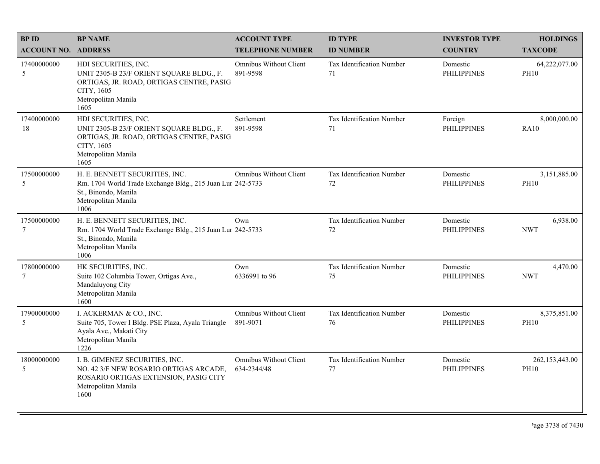| <b>BPID</b>                    | <b>BP NAME</b>                                                                                                                                            | <b>ACCOUNT TYPE</b>                          | <b>ID TYPE</b>                  | <b>INVESTOR TYPE</b>           | <b>HOLDINGS</b>               |
|--------------------------------|-----------------------------------------------------------------------------------------------------------------------------------------------------------|----------------------------------------------|---------------------------------|--------------------------------|-------------------------------|
| <b>ACCOUNT NO. ADDRESS</b>     |                                                                                                                                                           | <b>TELEPHONE NUMBER</b>                      | <b>ID NUMBER</b>                | <b>COUNTRY</b>                 | <b>TAXCODE</b>                |
| 17400000000<br>5               | HDI SECURITIES, INC.<br>UNIT 2305-B 23/F ORIENT SQUARE BLDG., F.<br>ORTIGAS, JR. ROAD, ORTIGAS CENTRE, PASIG<br>CITY, 1605<br>Metropolitan Manila<br>1605 | Omnibus Without Client<br>891-9598           | Tax Identification Number<br>71 | Domestic<br><b>PHILIPPINES</b> | 64,222,077.00<br><b>PH10</b>  |
| 17400000000<br>18              | HDI SECURITIES, INC.<br>UNIT 2305-B 23/F ORIENT SQUARE BLDG., F.<br>ORTIGAS, JR. ROAD, ORTIGAS CENTRE, PASIG<br>CITY, 1605<br>Metropolitan Manila<br>1605 | Settlement<br>891-9598                       | Tax Identification Number<br>71 | Foreign<br><b>PHILIPPINES</b>  | 8,000,000.00<br><b>RA10</b>   |
| 17500000000<br>5               | H. E. BENNETT SECURITIES, INC.<br>Rm. 1704 World Trade Exchange Bldg., 215 Juan Lur 242-5733<br>St., Binondo, Manila<br>Metropolitan Manila<br>1006       | <b>Omnibus Without Client</b>                | Tax Identification Number<br>72 | Domestic<br><b>PHILIPPINES</b> | 3,151,885.00<br><b>PH10</b>   |
| 17500000000<br>$7\phantom{.0}$ | H. E. BENNETT SECURITIES, INC.<br>Rm. 1704 World Trade Exchange Bldg., 215 Juan Lur 242-5733<br>St., Binondo, Manila<br>Metropolitan Manila<br>1006       | Own                                          | Tax Identification Number<br>72 | Domestic<br><b>PHILIPPINES</b> | 6,938.00<br><b>NWT</b>        |
| 17800000000<br>$7\phantom{.0}$ | HK SECURITIES, INC.<br>Suite 102 Columbia Tower, Ortigas Ave.,<br>Mandaluyong City<br>Metropolitan Manila<br>1600                                         | Own<br>6336991 to 96                         | Tax Identification Number<br>75 | Domestic<br><b>PHILIPPINES</b> | 4,470.00<br><b>NWT</b>        |
| 17900000000<br>5               | I. ACKERMAN & CO., INC.<br>Suite 705, Tower I Bldg. PSE Plaza, Ayala Triangle<br>Ayala Ave., Makati City<br>Metropolitan Manila<br>1226                   | <b>Omnibus Without Client</b><br>891-9071    | Tax Identification Number<br>76 | Domestic<br><b>PHILIPPINES</b> | 8,375,851.00<br><b>PH10</b>   |
| 18000000000<br>5               | I. B. GIMENEZ SECURITIES, INC.<br>NO. 42 3/F NEW ROSARIO ORTIGAS ARCADE,<br>ROSARIO ORTIGAS EXTENSION, PASIG CITY<br>Metropolitan Manila<br>1600          | <b>Omnibus Without Client</b><br>634-2344/48 | Tax Identification Number<br>77 | Domestic<br><b>PHILIPPINES</b> | 262,153,443.00<br><b>PH10</b> |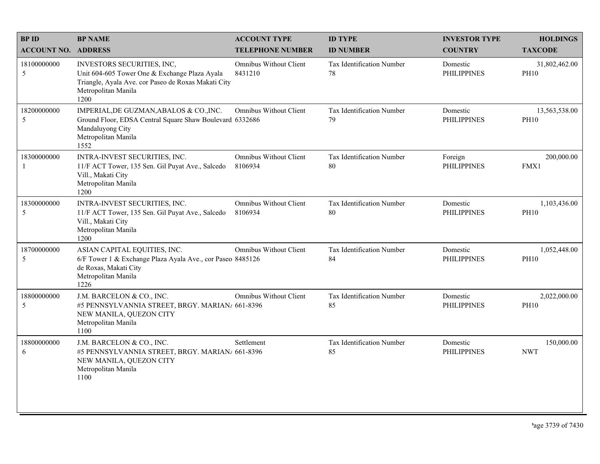| <b>BPID</b>                | <b>BP NAME</b>                                                                                                                                                    | <b>ACCOUNT TYPE</b>                      | <b>ID TYPE</b>                  | <b>INVESTOR TYPE</b>           | <b>HOLDINGS</b>              |
|----------------------------|-------------------------------------------------------------------------------------------------------------------------------------------------------------------|------------------------------------------|---------------------------------|--------------------------------|------------------------------|
| <b>ACCOUNT NO. ADDRESS</b> |                                                                                                                                                                   | <b>TELEPHONE NUMBER</b>                  | <b>ID NUMBER</b>                | <b>COUNTRY</b>                 | <b>TAXCODE</b>               |
| 18100000000<br>5           | INVESTORS SECURITIES, INC,<br>Unit 604-605 Tower One & Exchange Plaza Ayala<br>Triangle, Ayala Ave. cor Paseo de Roxas Makati City<br>Metropolitan Manila<br>1200 | Omnibus Without Client<br>8431210        | Tax Identification Number<br>78 | Domestic<br><b>PHILIPPINES</b> | 31,802,462.00<br><b>PH10</b> |
| 18200000000<br>5           | IMPERIAL, DE GUZMAN, ABALOS & CO., INC.<br>Ground Floor, EDSA Central Square Shaw Boulevard 6332686<br>Mandaluyong City<br>Metropolitan Manila<br>1552            | Omnibus Without Client                   | Tax Identification Number<br>79 | Domestic<br><b>PHILIPPINES</b> | 13,563,538.00<br><b>PH10</b> |
| 18300000000<br>1           | INTRA-INVEST SECURITIES, INC.<br>11/F ACT Tower, 135 Sen. Gil Puyat Ave., Salcedo<br>Vill., Makati City<br>Metropolitan Manila<br>1200                            | <b>Omnibus Without Client</b><br>8106934 | Tax Identification Number<br>80 | Foreign<br><b>PHILIPPINES</b>  | 200,000.00<br>FMX1           |
| 18300000000<br>5           | INTRA-INVEST SECURITIES, INC.<br>11/F ACT Tower, 135 Sen. Gil Puyat Ave., Salcedo<br>Vill., Makati City<br>Metropolitan Manila<br>1200                            | <b>Omnibus Without Client</b><br>8106934 | Tax Identification Number<br>80 | Domestic<br><b>PHILIPPINES</b> | 1,103,436.00<br><b>PH10</b>  |
| 18700000000<br>5           | ASIAN CAPITAL EQUITIES, INC.<br>6/F Tower 1 & Exchange Plaza Ayala Ave., cor Paseo 8485126<br>de Roxas, Makati City<br>Metropolitan Manila<br>1226                | <b>Omnibus Without Client</b>            | Tax Identification Number<br>84 | Domestic<br><b>PHILIPPINES</b> | 1,052,448.00<br><b>PH10</b>  |
| 18800000000<br>5           | J.M. BARCELON & CO., INC.<br>#5 PENNSYLVANNIA STREET, BRGY. MARIAN/ 661-8396<br>NEW MANILA, QUEZON CITY<br>Metropolitan Manila<br>1100                            | <b>Omnibus Without Client</b>            | Tax Identification Number<br>85 | Domestic<br><b>PHILIPPINES</b> | 2,022,000.00<br><b>PH10</b>  |
| 18800000000<br>6           | J.M. BARCELON & CO., INC.<br>#5 PENNSYLVANNIA STREET, BRGY. MARIAN/ 661-8396<br>NEW MANILA, QUEZON CITY<br>Metropolitan Manila<br>1100                            | Settlement                               | Tax Identification Number<br>85 | Domestic<br><b>PHILIPPINES</b> | 150,000.00<br><b>NWT</b>     |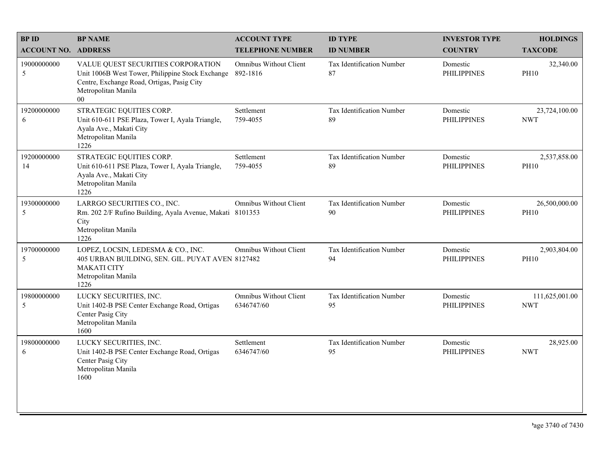| <b>BPID</b>                | <b>BP NAME</b>                                                                                                                                                        | <b>ACCOUNT TYPE</b>                         | <b>ID TYPE</b>                         | <b>INVESTOR TYPE</b>           | <b>HOLDINGS</b>              |
|----------------------------|-----------------------------------------------------------------------------------------------------------------------------------------------------------------------|---------------------------------------------|----------------------------------------|--------------------------------|------------------------------|
| <b>ACCOUNT NO. ADDRESS</b> |                                                                                                                                                                       | <b>TELEPHONE NUMBER</b>                     | <b>ID NUMBER</b>                       | <b>COUNTRY</b>                 | <b>TAXCODE</b>               |
| 19000000000<br>5           | VALUE QUEST SECURITIES CORPORATION<br>Unit 1006B West Tower, Philippine Stock Exchange<br>Centre, Exchange Road, Ortigas, Pasig City<br>Metropolitan Manila<br>$00\,$ | <b>Omnibus Without Client</b><br>892-1816   | <b>Tax Identification Number</b><br>87 | Domestic<br><b>PHILIPPINES</b> | 32,340.00<br><b>PH10</b>     |
| 19200000000<br>6           | STRATEGIC EQUITIES CORP.<br>Unit 610-611 PSE Plaza, Tower I, Ayala Triangle,<br>Ayala Ave., Makati City<br>Metropolitan Manila<br>1226                                | Settlement<br>759-4055                      | Tax Identification Number<br>89        | Domestic<br><b>PHILIPPINES</b> | 23,724,100.00<br><b>NWT</b>  |
| 19200000000<br>14          | STRATEGIC EQUITIES CORP.<br>Unit 610-611 PSE Plaza, Tower I, Ayala Triangle,<br>Ayala Ave., Makati City<br>Metropolitan Manila<br>1226                                | Settlement<br>759-4055                      | Tax Identification Number<br>89        | Domestic<br><b>PHILIPPINES</b> | 2,537,858.00<br><b>PH10</b>  |
| 19300000000<br>5           | LARRGO SECURITIES CO., INC.<br>Rm. 202 2/F Rufino Building, Ayala Avenue, Makati 8101353<br>City<br>Metropolitan Manila<br>1226                                       | <b>Omnibus Without Client</b>               | Tax Identification Number<br>90        | Domestic<br><b>PHILIPPINES</b> | 26,500,000.00<br><b>PH10</b> |
| 19700000000<br>5           | LOPEZ, LOCSIN, LEDESMA & CO., INC.<br>405 URBAN BUILDING, SEN. GIL. PUYAT AVEN 8127482<br><b>MAKATI CITY</b><br>Metropolitan Manila<br>1226                           | <b>Omnibus Without Client</b>               | Tax Identification Number<br>94        | Domestic<br><b>PHILIPPINES</b> | 2,903,804.00<br><b>PH10</b>  |
| 19800000000<br>5           | LUCKY SECURITIES, INC.<br>Unit 1402-B PSE Center Exchange Road, Ortigas<br>Center Pasig City<br>Metropolitan Manila<br>1600                                           | <b>Omnibus Without Client</b><br>6346747/60 | Tax Identification Number<br>95        | Domestic<br><b>PHILIPPINES</b> | 111,625,001.00<br><b>NWT</b> |
| 19800000000<br>6           | LUCKY SECURITIES, INC.<br>Unit 1402-B PSE Center Exchange Road, Ortigas<br>Center Pasig City<br>Metropolitan Manila<br>1600                                           | Settlement<br>6346747/60                    | Tax Identification Number<br>95        | Domestic<br><b>PHILIPPINES</b> | 28,925.00<br><b>NWT</b>      |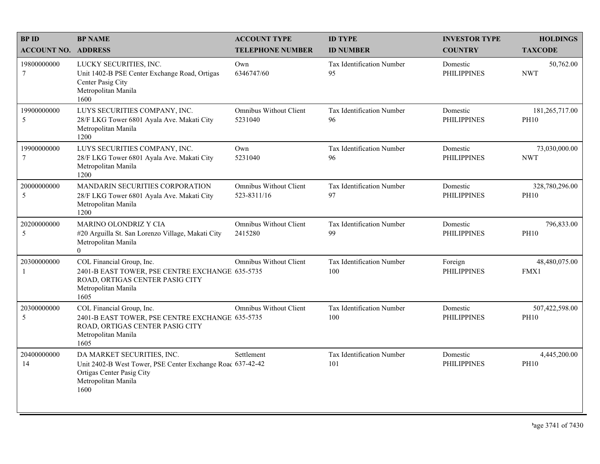| <b>BPID</b><br><b>ACCOUNT NO. ADDRESS</b> | <b>BP NAME</b>                                                                                                                                       | <b>ACCOUNT TYPE</b><br><b>TELEPHONE NUMBER</b> | <b>ID TYPE</b><br><b>ID NUMBER</b> | <b>INVESTOR TYPE</b><br><b>COUNTRY</b> | <b>HOLDINGS</b><br><b>TAXCODE</b> |
|-------------------------------------------|------------------------------------------------------------------------------------------------------------------------------------------------------|------------------------------------------------|------------------------------------|----------------------------------------|-----------------------------------|
| 19800000000<br>$7\phantom{.0}$            | LUCKY SECURITIES, INC.<br>Unit 1402-B PSE Center Exchange Road, Ortigas<br>Center Pasig City<br>Metropolitan Manila<br>1600                          | Own<br>6346747/60                              | Tax Identification Number<br>95    | Domestic<br><b>PHILIPPINES</b>         | 50,762.00<br><b>NWT</b>           |
| 19900000000<br>5                          | LUYS SECURITIES COMPANY, INC.<br>28/F LKG Tower 6801 Ayala Ave. Makati City<br>Metropolitan Manila<br>1200                                           | Omnibus Without Client<br>5231040              | Tax Identification Number<br>96    | Domestic<br><b>PHILIPPINES</b>         | 181,265,717.00<br><b>PH10</b>     |
| 19900000000<br>$\tau$                     | LUYS SECURITIES COMPANY, INC.<br>28/F LKG Tower 6801 Ayala Ave. Makati City<br>Metropolitan Manila<br>1200                                           | Own<br>5231040                                 | Tax Identification Number<br>96    | Domestic<br><b>PHILIPPINES</b>         | 73,030,000.00<br><b>NWT</b>       |
| 20000000000<br>5                          | MANDARIN SECURITIES CORPORATION<br>28/F LKG Tower 6801 Ayala Ave. Makati City<br>Metropolitan Manila<br>1200                                         | <b>Omnibus Without Client</b><br>523-8311/16   | Tax Identification Number<br>97    | Domestic<br><b>PHILIPPINES</b>         | 328,780,296.00<br><b>PH10</b>     |
| 20200000000<br>5                          | MARINO OLONDRIZ Y CIA<br>#20 Arguilla St. San Lorenzo Village, Makati City<br>Metropolitan Manila<br>$\theta$                                        | Omnibus Without Client<br>2415280              | Tax Identification Number<br>99    | Domestic<br><b>PHILIPPINES</b>         | 796,833.00<br><b>PH10</b>         |
| 20300000000                               | COL Financial Group, Inc.<br>2401-B EAST TOWER, PSE CENTRE EXCHANGE 635-5735<br>ROAD, ORTIGAS CENTER PASIG CITY<br>Metropolitan Manila<br>1605       | <b>Omnibus Without Client</b>                  | Tax Identification Number<br>100   | Foreign<br><b>PHILIPPINES</b>          | 48,480,075.00<br>FMX1             |
| 20300000000<br>5                          | COL Financial Group, Inc.<br>2401-B EAST TOWER, PSE CENTRE EXCHANGE 635-5735<br>ROAD, ORTIGAS CENTER PASIG CITY<br>Metropolitan Manila<br>1605       | <b>Omnibus Without Client</b>                  | Tax Identification Number<br>100   | Domestic<br><b>PHILIPPINES</b>         | 507,422,598.00<br><b>PH10</b>     |
| 20400000000<br>14                         | DA MARKET SECURITIES, INC.<br>Unit 2402-B West Tower, PSE Center Exchange Roac 637-42-42<br>Ortigas Center Pasig City<br>Metropolitan Manila<br>1600 | Settlement                                     | Tax Identification Number<br>101   | Domestic<br><b>PHILIPPINES</b>         | 4,445,200.00<br><b>PH10</b>       |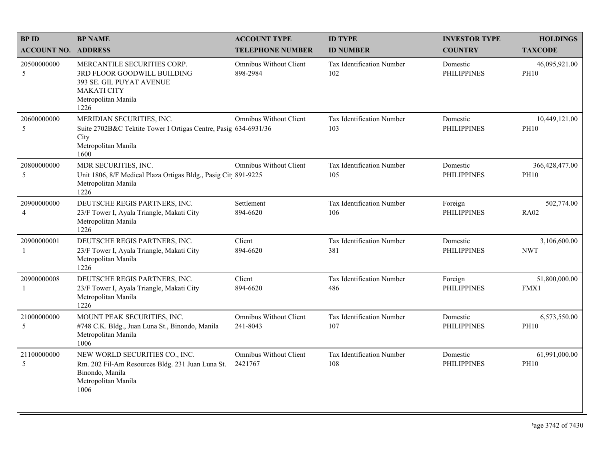| <b>BPID</b>                   | <b>BP NAME</b>                                                                                                                              | <b>ACCOUNT TYPE</b>                       | <b>ID TYPE</b>                          | <b>INVESTOR TYPE</b>           | <b>HOLDINGS</b>               |
|-------------------------------|---------------------------------------------------------------------------------------------------------------------------------------------|-------------------------------------------|-----------------------------------------|--------------------------------|-------------------------------|
| <b>ACCOUNT NO. ADDRESS</b>    |                                                                                                                                             | <b>TELEPHONE NUMBER</b>                   | <b>ID NUMBER</b>                        | <b>COUNTRY</b>                 | <b>TAXCODE</b>                |
| 20500000000<br>5              | MERCANTILE SECURITIES CORP.<br>3RD FLOOR GOODWILL BUILDING<br>393 SE. GIL PUYAT AVENUE<br><b>MAKATI CITY</b><br>Metropolitan Manila<br>1226 | <b>Omnibus Without Client</b><br>898-2984 | Tax Identification Number<br>102        | Domestic<br><b>PHILIPPINES</b> | 46,095,921.00<br><b>PH10</b>  |
| 20600000000<br>5              | MERIDIAN SECURITIES, INC.<br>Suite 2702B&C Tektite Tower I Ortigas Centre, Pasig 634-6931/36<br>City<br>Metropolitan Manila<br>1600         | <b>Omnibus Without Client</b>             | Tax Identification Number<br>103        | Domestic<br><b>PHILIPPINES</b> | 10,449,121.00<br><b>PH10</b>  |
| 20800000000<br>5              | MDR SECURITIES, INC.<br>Unit 1806, 8/F Medical Plaza Ortigas Bldg., Pasig Cit 891-9225<br>Metropolitan Manila<br>1226                       | <b>Omnibus Without Client</b>             | <b>Tax Identification Number</b><br>105 | Domestic<br><b>PHILIPPINES</b> | 366,428,477.00<br><b>PH10</b> |
| 20900000000<br>$\overline{4}$ | DEUTSCHE REGIS PARTNERS, INC.<br>23/F Tower I, Ayala Triangle, Makati City<br>Metropolitan Manila<br>1226                                   | Settlement<br>894-6620                    | Tax Identification Number<br>106        | Foreign<br><b>PHILIPPINES</b>  | 502,774.00<br><b>RA02</b>     |
| 20900000001<br>1              | DEUTSCHE REGIS PARTNERS, INC.<br>23/F Tower I, Ayala Triangle, Makati City<br>Metropolitan Manila<br>1226                                   | Client<br>894-6620                        | Tax Identification Number<br>381        | Domestic<br><b>PHILIPPINES</b> | 3,106,600.00<br><b>NWT</b>    |
| 20900000008<br>-1             | DEUTSCHE REGIS PARTNERS, INC.<br>23/F Tower I, Ayala Triangle, Makati City<br>Metropolitan Manila<br>1226                                   | Client<br>894-6620                        | Tax Identification Number<br>486        | Foreign<br><b>PHILIPPINES</b>  | 51,800,000.00<br>FMX1         |
| 21000000000<br>5              | MOUNT PEAK SECURITIES, INC.<br>#748 C.K. Bldg., Juan Luna St., Binondo, Manila<br>Metropolitan Manila<br>1006                               | Omnibus Without Client<br>241-8043        | Tax Identification Number<br>107        | Domestic<br><b>PHILIPPINES</b> | 6,573,550.00<br><b>PH10</b>   |
| 21100000000<br>5              | NEW WORLD SECURITIES CO., INC.<br>Rm. 202 Fil-Am Resources Bldg. 231 Juan Luna St.<br>Binondo, Manila<br>Metropolitan Manila<br>1006        | <b>Omnibus Without Client</b><br>2421767  | Tax Identification Number<br>108        | Domestic<br><b>PHILIPPINES</b> | 61,991,000.00<br><b>PH10</b>  |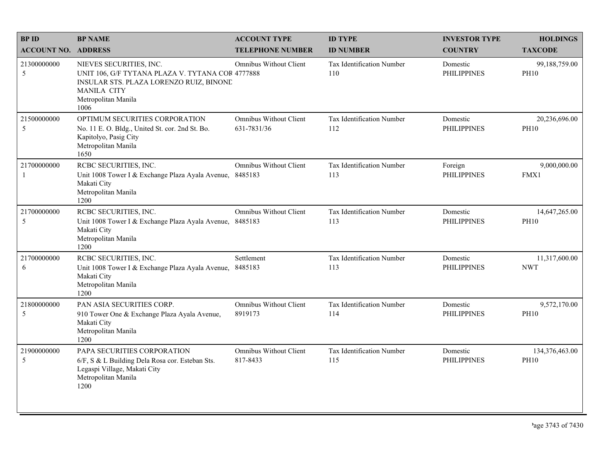| <b>BPID</b>                | <b>BP NAME</b>                                                                                                                                                              | <b>ACCOUNT TYPE</b>                       | <b>ID TYPE</b>                   | <b>INVESTOR TYPE</b>           | <b>HOLDINGS</b>               |
|----------------------------|-----------------------------------------------------------------------------------------------------------------------------------------------------------------------------|-------------------------------------------|----------------------------------|--------------------------------|-------------------------------|
| <b>ACCOUNT NO. ADDRESS</b> |                                                                                                                                                                             | <b>TELEPHONE NUMBER</b>                   | <b>ID NUMBER</b>                 | <b>COUNTRY</b>                 | <b>TAXCODE</b>                |
| 21300000000<br>5           | NIEVES SECURITIES, INC.<br>UNIT 106, G/F TYTANA PLAZA V. TYTANA COR 4777888<br>INSULAR STS. PLAZA LORENZO RUIZ, BINONE<br><b>MANILA CITY</b><br>Metropolitan Manila<br>1006 | Omnibus Without Client                    | Tax Identification Number<br>110 | Domestic<br><b>PHILIPPINES</b> | 99,188,759.00<br><b>PH10</b>  |
| 21500000000<br>5           | OPTIMUM SECURITIES CORPORATION<br>No. 11 E. O. Bldg., United St. cor. 2nd St. Bo.<br>Kapitolyo, Pasig City<br>Metropolitan Manila<br>1650                                   | Omnibus Without Client<br>631-7831/36     | Tax Identification Number<br>112 | Domestic<br><b>PHILIPPINES</b> | 20,236,696.00<br><b>PH10</b>  |
| 21700000000<br>-1          | RCBC SECURITIES, INC.<br>Unit 1008 Tower I & Exchange Plaza Ayala Avenue, 8485183<br>Makati City<br>Metropolitan Manila<br>1200                                             | <b>Omnibus Without Client</b>             | Tax Identification Number<br>113 | Foreign<br><b>PHILIPPINES</b>  | 9,000,000.00<br>FMX1          |
| 21700000000<br>5           | RCBC SECURITIES, INC.<br>Unit 1008 Tower I & Exchange Plaza Ayala Avenue, 8485183<br>Makati City<br>Metropolitan Manila<br>1200                                             | Omnibus Without Client                    | Tax Identification Number<br>113 | Domestic<br><b>PHILIPPINES</b> | 14,647,265.00<br><b>PH10</b>  |
| 21700000000<br>6           | RCBC SECURITIES, INC.<br>Unit 1008 Tower I & Exchange Plaza Ayala Avenue,<br>Makati City<br>Metropolitan Manila<br>1200                                                     | Settlement<br>8485183                     | Tax Identification Number<br>113 | Domestic<br><b>PHILIPPINES</b> | 11,317,600.00<br><b>NWT</b>   |
| 21800000000<br>5           | PAN ASIA SECURITIES CORP.<br>910 Tower One & Exchange Plaza Ayala Avenue,<br>Makati City<br>Metropolitan Manila<br>1200                                                     | <b>Omnibus Without Client</b><br>8919173  | Tax Identification Number<br>114 | Domestic<br><b>PHILIPPINES</b> | 9,572,170.00<br><b>PH10</b>   |
| 21900000000<br>5           | PAPA SECURITIES CORPORATION<br>6/F, S & L Building Dela Rosa cor. Esteban Sts.<br>Legaspi Village, Makati City<br>Metropolitan Manila<br>1200                               | <b>Omnibus Without Client</b><br>817-8433 | Tax Identification Number<br>115 | Domestic<br><b>PHILIPPINES</b> | 134,376,463.00<br><b>PH10</b> |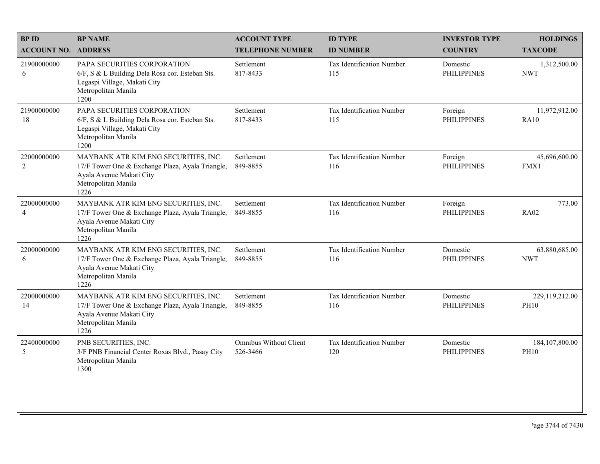| <b>BPID</b>                   | <b>BP NAME</b>                                                                                                                                      | <b>ACCOUNT TYPE</b>                       | <b>ID TYPE</b>                   | <b>INVESTOR TYPE</b>           | <b>HOLDINGS</b>                 |
|-------------------------------|-----------------------------------------------------------------------------------------------------------------------------------------------------|-------------------------------------------|----------------------------------|--------------------------------|---------------------------------|
| <b>ACCOUNT NO. ADDRESS</b>    |                                                                                                                                                     | <b>TELEPHONE NUMBER</b>                   | <b>ID NUMBER</b>                 | <b>COUNTRY</b>                 | <b>TAXCODE</b>                  |
| 21900000000<br>6              | PAPA SECURITIES CORPORATION<br>6/F, S & L Building Dela Rosa cor. Esteban Sts.<br>Legaspi Village, Makati City<br>Metropolitan Manila<br>1200       | Settlement<br>817-8433                    | Tax Identification Number<br>115 | Domestic<br><b>PHILIPPINES</b> | 1,312,500.00<br><b>NWT</b>      |
| 21900000000<br>18             | PAPA SECURITIES CORPORATION<br>6/F, S & L Building Dela Rosa cor. Esteban Sts.<br>Legaspi Village, Makati City<br>Metropolitan Manila<br>1200       | Settlement<br>817-8433                    | Tax Identification Number<br>115 | Foreign<br><b>PHILIPPINES</b>  | 11,972,912.00<br><b>RA10</b>    |
| 22000000000<br>$\sqrt{2}$     | MAYBANK ATR KIM ENG SECURITIES, INC.<br>17/F Tower One & Exchange Plaza, Ayala Triangle,<br>Ayala Avenue Makati City<br>Metropolitan Manila<br>1226 | Settlement<br>849-8855                    | Tax Identification Number<br>116 | Foreign<br><b>PHILIPPINES</b>  | 45,696,600.00<br>FMX1           |
| 22000000000<br>$\overline{4}$ | MAYBANK ATR KIM ENG SECURITIES, INC.<br>17/F Tower One & Exchange Plaza, Ayala Triangle,<br>Ayala Avenue Makati City<br>Metropolitan Manila<br>1226 | Settlement<br>849-8855                    | Tax Identification Number<br>116 | Foreign<br><b>PHILIPPINES</b>  | 773.00<br><b>RA02</b>           |
| 22000000000<br>6              | MAYBANK ATR KIM ENG SECURITIES, INC.<br>17/F Tower One & Exchange Plaza, Ayala Triangle,<br>Ayala Avenue Makati City<br>Metropolitan Manila<br>1226 | Settlement<br>849-8855                    | Tax Identification Number<br>116 | Domestic<br><b>PHILIPPINES</b> | 63,880,685.00<br><b>NWT</b>     |
| 22000000000<br>14             | MAYBANK ATR KIM ENG SECURITIES, INC.<br>17/F Tower One & Exchange Plaza, Ayala Triangle,<br>Ayala Avenue Makati City<br>Metropolitan Manila<br>1226 | Settlement<br>849-8855                    | Tax Identification Number<br>116 | Domestic<br><b>PHILIPPINES</b> | 229,119,212.00<br><b>PH10</b>   |
| 22400000000<br>5              | PNB SECURITIES, INC.<br>3/F PNB Financial Center Roxas Blvd., Pasay City<br>Metropolitan Manila<br>1300                                             | <b>Omnibus Without Client</b><br>526-3466 | Tax Identification Number<br>120 | Domestic<br><b>PHILIPPINES</b> | 184, 107, 800.00<br><b>PH10</b> |
|                               |                                                                                                                                                     |                                           |                                  |                                |                                 |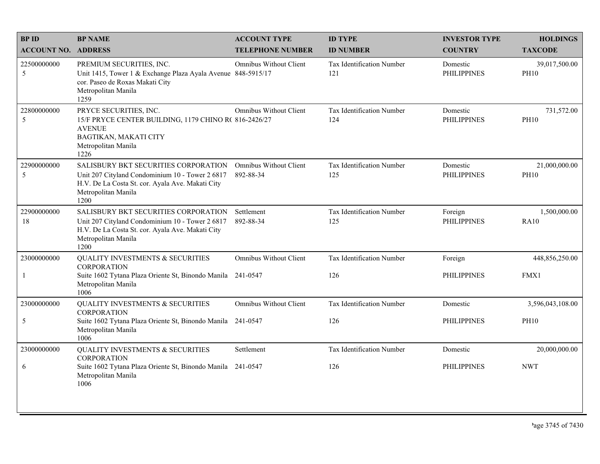| <b>BPID</b>                | <b>BP NAME</b>                                                                                                                                                             | <b>ACCOUNT TYPE</b>                        | <b>ID TYPE</b>                   | <b>INVESTOR TYPE</b>           | <b>HOLDINGS</b>              |
|----------------------------|----------------------------------------------------------------------------------------------------------------------------------------------------------------------------|--------------------------------------------|----------------------------------|--------------------------------|------------------------------|
| <b>ACCOUNT NO. ADDRESS</b> |                                                                                                                                                                            | <b>TELEPHONE NUMBER</b>                    | <b>ID NUMBER</b>                 | <b>COUNTRY</b>                 | <b>TAXCODE</b>               |
| 22500000000<br>5           | PREMIUM SECURITIES, INC.<br>Unit 1415, Tower 1 & Exchange Plaza Ayala Avenue 848-5915/17<br>cor. Paseo de Roxas Makati City<br>Metropolitan Manila<br>1259                 | Omnibus Without Client                     | Tax Identification Number<br>121 | Domestic<br><b>PHILIPPINES</b> | 39,017,500.00<br><b>PH10</b> |
| 22800000000<br>5           | PRYCE SECURITIES, INC.<br>15/F PRYCE CENTER BUILDING, 1179 CHINO R(816-2426/27<br><b>AVENUE</b><br>BAGTIKAN, MAKATI CITY<br>Metropolitan Manila<br>1226                    | <b>Omnibus Without Client</b>              | Tax Identification Number<br>124 | Domestic<br><b>PHILIPPINES</b> | 731,572.00<br><b>PH10</b>    |
| 22900000000<br>5           | SALISBURY BKT SECURITIES CORPORATION<br>Unit 207 Cityland Condominium 10 - Tower 2 6817<br>H.V. De La Costa St. cor. Ayala Ave. Makati City<br>Metropolitan Manila<br>1200 | <b>Omnibus Without Client</b><br>892-88-34 | Tax Identification Number<br>125 | Domestic<br><b>PHILIPPINES</b> | 21,000,000.00<br><b>PH10</b> |
| 22900000000<br>18          | SALISBURY BKT SECURITIES CORPORATION<br>Unit 207 Cityland Condominium 10 - Tower 2 6817<br>H.V. De La Costa St. cor. Ayala Ave. Makati City<br>Metropolitan Manila<br>1200 | Settlement<br>892-88-34                    | Tax Identification Number<br>125 | Foreign<br><b>PHILIPPINES</b>  | 1,500,000.00<br><b>RA10</b>  |
| 23000000000                | <b>QUALITY INVESTMENTS &amp; SECURITIES</b><br><b>CORPORATION</b>                                                                                                          | <b>Omnibus Without Client</b>              | Tax Identification Number        | Foreign                        | 448,856,250.00               |
| -1                         | Suite 1602 Tytana Plaza Oriente St, Binondo Manila 241-0547<br>Metropolitan Manila<br>1006                                                                                 |                                            | 126                              | <b>PHILIPPINES</b>             | FMX1                         |
| 23000000000                | <b>QUALITY INVESTMENTS &amp; SECURITIES</b><br><b>CORPORATION</b>                                                                                                          | <b>Omnibus Without Client</b>              | Tax Identification Number        | Domestic                       | 3,596,043,108.00             |
| 5                          | Suite 1602 Tytana Plaza Oriente St, Binondo Manila 241-0547<br>Metropolitan Manila<br>1006                                                                                 |                                            | 126                              | <b>PHILIPPINES</b>             | <b>PH10</b>                  |
| 23000000000                | <b>QUALITY INVESTMENTS &amp; SECURITIES</b><br><b>CORPORATION</b>                                                                                                          | Settlement                                 | Tax Identification Number        | Domestic                       | 20,000,000.00                |
| 6                          | Suite 1602 Tytana Plaza Oriente St, Binondo Manila 241-0547<br>Metropolitan Manila<br>1006                                                                                 |                                            | 126                              | <b>PHILIPPINES</b>             | <b>NWT</b>                   |
|                            |                                                                                                                                                                            |                                            |                                  |                                |                              |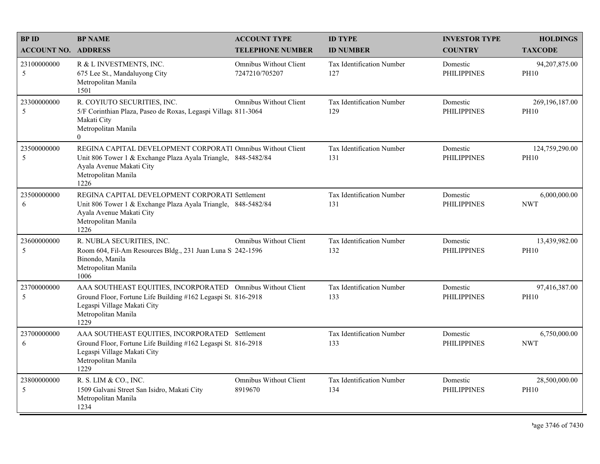| <b>BPID</b>                | <b>BP NAME</b>                                                                                                                                                                             | <b>ACCOUNT TYPE</b>                             | <b>ID TYPE</b>                          | <b>INVESTOR TYPE</b>           | <b>HOLDINGS</b>               |
|----------------------------|--------------------------------------------------------------------------------------------------------------------------------------------------------------------------------------------|-------------------------------------------------|-----------------------------------------|--------------------------------|-------------------------------|
| <b>ACCOUNT NO. ADDRESS</b> |                                                                                                                                                                                            | <b>TELEPHONE NUMBER</b>                         | <b>ID NUMBER</b>                        | <b>COUNTRY</b>                 | <b>TAXCODE</b>                |
| 23100000000<br>5           | R & L INVESTMENTS, INC.<br>675 Lee St., Mandaluyong City<br>Metropolitan Manila<br>1501                                                                                                    | <b>Omnibus Without Client</b><br>7247210/705207 | Tax Identification Number<br>127        | Domestic<br><b>PHILIPPINES</b> | 94,207,875.00<br><b>PH10</b>  |
| 23300000000<br>5           | R. COYIUTO SECURITIES, INC.<br>5/F Corinthian Plaza, Paseo de Roxas, Legaspi Village 811-3064<br>Makati City<br>Metropolitan Manila<br>$\Omega$                                            | <b>Omnibus Without Client</b>                   | Tax Identification Number<br>129        | Domestic<br><b>PHILIPPINES</b> | 269,196,187.00<br><b>PH10</b> |
| 23500000000<br>5           | REGINA CAPITAL DEVELOPMENT CORPORATI Omnibus Without Client<br>Unit 806 Tower 1 & Exchange Plaza Ayala Triangle, 848-5482/84<br>Ayala Avenue Makati City<br>Metropolitan Manila<br>1226    |                                                 | Tax Identification Number<br>131        | Domestic<br><b>PHILIPPINES</b> | 124,759,290.00<br><b>PH10</b> |
| 23500000000<br>6           | REGINA CAPITAL DEVELOPMENT CORPORATI Settlement<br>Unit 806 Tower 1 & Exchange Plaza Ayala Triangle, 848-5482/84<br>Ayala Avenue Makati City<br>Metropolitan Manila<br>1226                |                                                 | Tax Identification Number<br>131        | Domestic<br><b>PHILIPPINES</b> | 6,000,000.00<br><b>NWT</b>    |
| 23600000000<br>5           | R. NUBLA SECURITIES, INC.<br>Room 604, Fil-Am Resources Bldg., 231 Juan Luna S 242-1596<br>Binondo, Manila<br>Metropolitan Manila<br>1006                                                  | <b>Omnibus Without Client</b>                   | Tax Identification Number<br>132        | Domestic<br><b>PHILIPPINES</b> | 13,439,982.00<br><b>PH10</b>  |
| 23700000000<br>5           | AAA SOUTHEAST EQUITIES, INCORPORATED Omnibus Without Client<br>Ground Floor, Fortune Life Building #162 Legaspi St. 816-2918<br>Legaspi Village Makati City<br>Metropolitan Manila<br>1229 |                                                 | Tax Identification Number<br>133        | Domestic<br><b>PHILIPPINES</b> | 97,416,387.00<br><b>PH10</b>  |
| 23700000000<br>6           | AAA SOUTHEAST EQUITIES, INCORPORATED Settlement<br>Ground Floor, Fortune Life Building #162 Legaspi St. 816-2918<br>Legaspi Village Makati City<br>Metropolitan Manila<br>1229             |                                                 | Tax Identification Number<br>133        | Domestic<br><b>PHILIPPINES</b> | 6,750,000.00<br><b>NWT</b>    |
| 23800000000<br>5           | R. S. LIM & CO., INC.<br>1509 Galvani Street San Isidro, Makati City<br>Metropolitan Manila<br>1234                                                                                        | <b>Omnibus Without Client</b><br>8919670        | <b>Tax Identification Number</b><br>134 | Domestic<br><b>PHILIPPINES</b> | 28,500,000.00<br><b>PH10</b>  |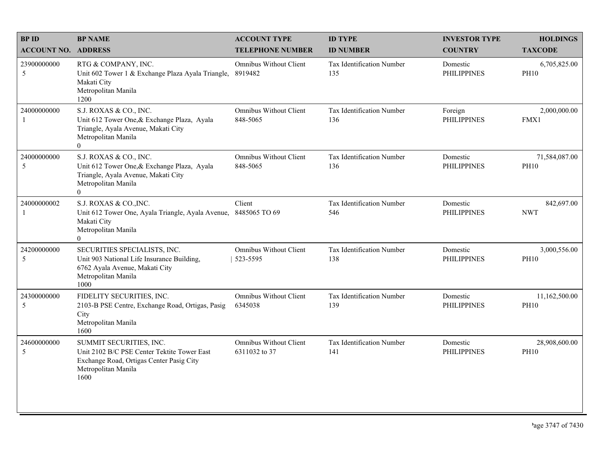| <b>BPID</b>                 | <b>BP NAME</b>                                                                                                                                        | <b>ACCOUNT TYPE</b>                            | <b>ID TYPE</b>                   | <b>INVESTOR TYPE</b>           | <b>HOLDINGS</b>              |
|-----------------------------|-------------------------------------------------------------------------------------------------------------------------------------------------------|------------------------------------------------|----------------------------------|--------------------------------|------------------------------|
| <b>ACCOUNT NO. ADDRESS</b>  |                                                                                                                                                       | <b>TELEPHONE NUMBER</b>                        | <b>ID NUMBER</b>                 | <b>COUNTRY</b>                 | <b>TAXCODE</b>               |
| 23900000000<br>5            | RTG & COMPANY, INC.<br>Unit 602 Tower 1 & Exchange Plaza Ayala Triangle,<br>Makati City<br>Metropolitan Manila<br>1200                                | Omnibus Without Client<br>8919482              | Tax Identification Number<br>135 | Domestic<br><b>PHILIPPINES</b> | 6,705,825.00<br><b>PH10</b>  |
| 24000000000<br>$\mathbf{1}$ | S.J. ROXAS & CO., INC.<br>Unit 612 Tower One, & Exchange Plaza, Ayala<br>Triangle, Ayala Avenue, Makati City<br>Metropolitan Manila<br>$\overline{0}$ | <b>Omnibus Without Client</b><br>848-5065      | Tax Identification Number<br>136 | Foreign<br><b>PHILIPPINES</b>  | 2,000,000.00<br>FMX1         |
| 24000000000<br>5            | S.J. ROXAS & CO., INC.<br>Unit 612 Tower One, & Exchange Plaza, Ayala<br>Triangle, Ayala Avenue, Makati City<br>Metropolitan Manila<br>$\overline{0}$ | <b>Omnibus Without Client</b><br>848-5065      | Tax Identification Number<br>136 | Domestic<br><b>PHILIPPINES</b> | 71,584,087.00<br><b>PH10</b> |
| 24000000002<br>-1           | S.J. ROXAS & CO., INC.<br>Unit 612 Tower One, Ayala Triangle, Ayala Avenue,<br>Makati City<br>Metropolitan Manila<br>$\Omega$                         | Client<br>8485065 TO 69                        | Tax Identification Number<br>546 | Domestic<br><b>PHILIPPINES</b> | 842,697.00<br><b>NWT</b>     |
| 24200000000<br>5            | SECURITIES SPECIALISTS, INC.<br>Unit 903 National Life Insurance Building,<br>6762 Ayala Avenue, Makati City<br>Metropolitan Manila<br>1000           | <b>Omnibus Without Client</b><br>523-5595      | Tax Identification Number<br>138 | Domestic<br><b>PHILIPPINES</b> | 3,000,556.00<br><b>PH10</b>  |
| 24300000000<br>5            | FIDELITY SECURITIES, INC.<br>2103-B PSE Centre, Exchange Road, Ortigas, Pasig<br>City<br>Metropolitan Manila<br>1600                                  | <b>Omnibus Without Client</b><br>6345038       | Tax Identification Number<br>139 | Domestic<br><b>PHILIPPINES</b> | 11,162,500.00<br><b>PH10</b> |
| 24600000000<br>5            | SUMMIT SECURITIES, INC.<br>Unit 2102 B/C PSE Center Tektite Tower East<br>Exchange Road, Ortigas Center Pasig City<br>Metropolitan Manila<br>1600     | <b>Omnibus Without Client</b><br>6311032 to 37 | Tax Identification Number<br>141 | Domestic<br><b>PHILIPPINES</b> | 28,908,600.00<br><b>PH10</b> |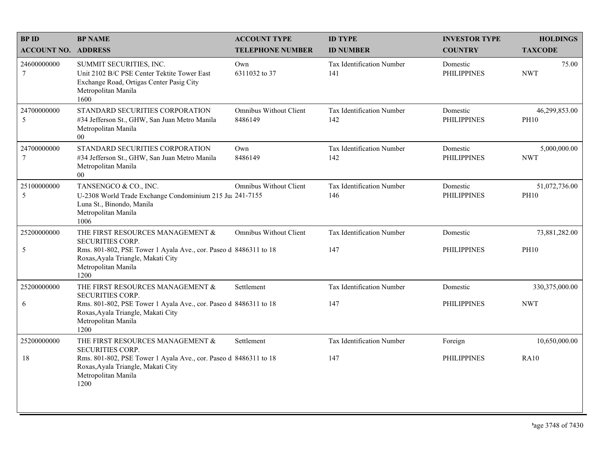| <b>BPID</b>                    | <b>BP NAME</b>                                                                                                                                    | <b>ACCOUNT TYPE</b>                      | <b>ID TYPE</b>                   | <b>INVESTOR TYPE</b>           | <b>HOLDINGS</b>              |
|--------------------------------|---------------------------------------------------------------------------------------------------------------------------------------------------|------------------------------------------|----------------------------------|--------------------------------|------------------------------|
| <b>ACCOUNT NO. ADDRESS</b>     |                                                                                                                                                   | <b>TELEPHONE NUMBER</b>                  | <b>ID NUMBER</b>                 | <b>COUNTRY</b>                 | <b>TAXCODE</b>               |
| 24600000000<br>$7\phantom{.0}$ | SUMMIT SECURITIES, INC.<br>Unit 2102 B/C PSE Center Tektite Tower East<br>Exchange Road, Ortigas Center Pasig City<br>Metropolitan Manila<br>1600 | Own<br>6311032 to 37                     | Tax Identification Number<br>141 | Domestic<br><b>PHILIPPINES</b> | 75.00<br><b>NWT</b>          |
| 24700000000<br>5               | STANDARD SECURITIES CORPORATION<br>#34 Jefferson St., GHW, San Juan Metro Manila<br>Metropolitan Manila<br>$00\,$                                 | <b>Omnibus Without Client</b><br>8486149 | Tax Identification Number<br>142 | Domestic<br><b>PHILIPPINES</b> | 46,299,853.00<br><b>PH10</b> |
| 24700000000<br>$\overline{7}$  | STANDARD SECURITIES CORPORATION<br>#34 Jefferson St., GHW, San Juan Metro Manila<br>Metropolitan Manila<br>$00\,$                                 | Own<br>8486149                           | Tax Identification Number<br>142 | Domestic<br><b>PHILIPPINES</b> | 5,000,000.00<br><b>NWT</b>   |
| 25100000000<br>5               | TANSENGCO & CO., INC.<br>U-2308 World Trade Exchange Condominium 215 Ju: 241-7155<br>Luna St., Binondo, Manila<br>Metropolitan Manila<br>1006     | Omnibus Without Client                   | Tax Identification Number<br>146 | Domestic<br><b>PHILIPPINES</b> | 51,072,736.00<br><b>PH10</b> |
| 25200000000                    | THE FIRST RESOURCES MANAGEMENT &<br><b>SECURITIES CORP.</b>                                                                                       | <b>Omnibus Without Client</b>            | Tax Identification Number        | Domestic                       | 73,881,282.00                |
| 5                              | Rms. 801-802, PSE Tower 1 Ayala Ave., cor. Paseo d 8486311 to 18<br>Roxas, Ayala Triangle, Makati City<br>Metropolitan Manila<br>1200             |                                          | 147                              | <b>PHILIPPINES</b>             | <b>PH10</b>                  |
| 25200000000                    | THE FIRST RESOURCES MANAGEMENT &<br><b>SECURITIES CORP.</b>                                                                                       | Settlement                               | Tax Identification Number        | Domestic                       | 330,375,000.00               |
| 6                              | Rms. 801-802, PSE Tower 1 Ayala Ave., cor. Paseo d 8486311 to 18<br>Roxas, Ayala Triangle, Makati City<br>Metropolitan Manila<br>1200             |                                          | 147                              | <b>PHILIPPINES</b>             | <b>NWT</b>                   |
| 25200000000                    | THE FIRST RESOURCES MANAGEMENT &<br><b>SECURITIES CORP.</b>                                                                                       | Settlement                               | Tax Identification Number        | Foreign                        | 10,650,000.00                |
| 18                             | Rms. 801-802, PSE Tower 1 Ayala Ave., cor. Paseo d 8486311 to 18<br>Roxas, Ayala Triangle, Makati City<br>Metropolitan Manila<br>1200             |                                          | 147                              | <b>PHILIPPINES</b>             | <b>RA10</b>                  |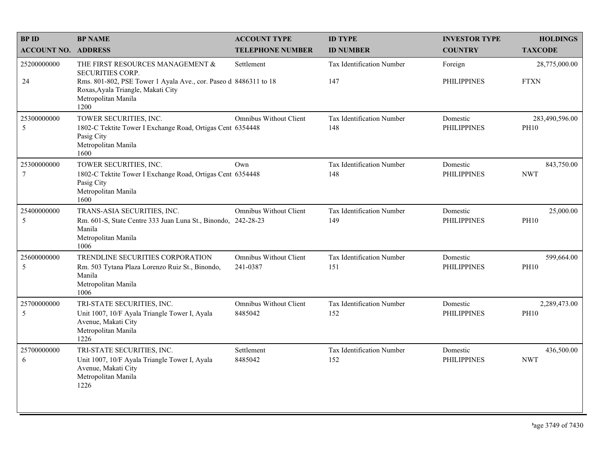| <b>BPID</b>                | <b>BP NAME</b>                                                                                                                        | <b>ACCOUNT TYPE</b>                      | <b>ID TYPE</b>                   | <b>INVESTOR TYPE</b>           | <b>HOLDINGS</b>               |
|----------------------------|---------------------------------------------------------------------------------------------------------------------------------------|------------------------------------------|----------------------------------|--------------------------------|-------------------------------|
| <b>ACCOUNT NO. ADDRESS</b> |                                                                                                                                       | <b>TELEPHONE NUMBER</b>                  | <b>ID NUMBER</b>                 | <b>COUNTRY</b>                 | <b>TAXCODE</b>                |
| 25200000000<br>24          | THE FIRST RESOURCES MANAGEMENT &<br><b>SECURITIES CORP.</b><br>Rms. 801-802, PSE Tower 1 Ayala Ave., cor. Paseo d 8486311 to 18       | Settlement                               | Tax Identification Number<br>147 | Foreign<br><b>PHILIPPINES</b>  | 28,775,000.00<br><b>FTXN</b>  |
|                            | Roxas, Ayala Triangle, Makati City<br>Metropolitan Manila<br>1200                                                                     |                                          |                                  |                                |                               |
| 25300000000<br>5           | TOWER SECURITIES, INC.<br>1802-C Tektite Tower I Exchange Road, Ortigas Cent 6354448<br>Pasig City<br>Metropolitan Manila<br>1600     | <b>Omnibus Without Client</b>            | Tax Identification Number<br>148 | Domestic<br><b>PHILIPPINES</b> | 283,490,596.00<br><b>PH10</b> |
| 25300000000<br>$\tau$      | TOWER SECURITIES, INC.<br>1802-C Tektite Tower I Exchange Road, Ortigas Cent 6354448<br>Pasig City<br>Metropolitan Manila<br>1600     | Own                                      | Tax Identification Number<br>148 | Domestic<br><b>PHILIPPINES</b> | 843,750.00<br><b>NWT</b>      |
| 25400000000<br>5           | TRANS-ASIA SECURITIES, INC.<br>Rm. 601-S, State Centre 333 Juan Luna St., Binondo, 242-28-23<br>Manila<br>Metropolitan Manila<br>1006 | Omnibus Without Client                   | Tax Identification Number<br>149 | Domestic<br><b>PHILIPPINES</b> | 25,000.00<br><b>PH10</b>      |
| 25600000000<br>5           | TRENDLINE SECURITIES CORPORATION<br>Rm. 503 Tytana Plaza Lorenzo Ruiz St., Binondo,<br>Manila<br>Metropolitan Manila<br>1006          | Omnibus Without Client<br>241-0387       | Tax Identification Number<br>151 | Domestic<br><b>PHILIPPINES</b> | 599,664.00<br><b>PH10</b>     |
| 25700000000<br>5           | TRI-STATE SECURITIES, INC.<br>Unit 1007, 10/F Ayala Triangle Tower I, Ayala<br>Avenue, Makati City<br>Metropolitan Manila<br>1226     | <b>Omnibus Without Client</b><br>8485042 | Tax Identification Number<br>152 | Domestic<br><b>PHILIPPINES</b> | 2,289,473.00<br><b>PH10</b>   |
| 25700000000<br>6           | TRI-STATE SECURITIES, INC.<br>Unit 1007, 10/F Ayala Triangle Tower I, Ayala<br>Avenue, Makati City<br>Metropolitan Manila<br>1226     | Settlement<br>8485042                    | Tax Identification Number<br>152 | Domestic<br><b>PHILIPPINES</b> | 436,500.00<br><b>NWT</b>      |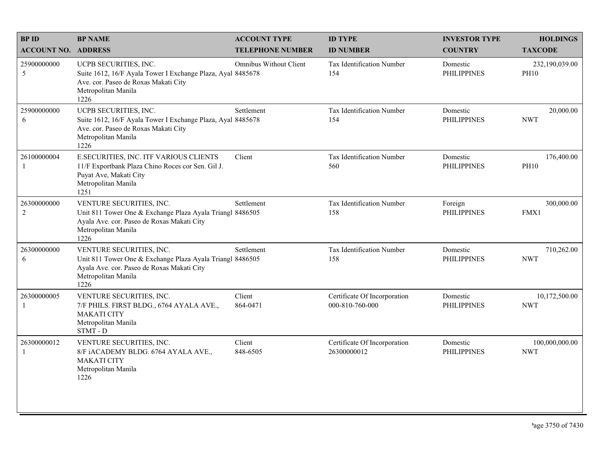| <b>BPID</b>                | <b>BP NAME</b>                                                                                                                                                     | <b>ACCOUNT TYPE</b>     | <b>ID TYPE</b>                                  | <b>INVESTOR TYPE</b>           | <b>HOLDINGS</b>               |
|----------------------------|--------------------------------------------------------------------------------------------------------------------------------------------------------------------|-------------------------|-------------------------------------------------|--------------------------------|-------------------------------|
| <b>ACCOUNT NO. ADDRESS</b> |                                                                                                                                                                    | <b>TELEPHONE NUMBER</b> | <b>ID NUMBER</b>                                | <b>COUNTRY</b>                 | <b>TAXCODE</b>                |
| 25900000000<br>5           | UCPB SECURITIES, INC.<br>Suite 1612, 16/F Ayala Tower I Exchange Plaza, Ayal 8485678<br>Ave. cor. Paseo de Roxas Makati City<br>Metropolitan Manila<br>1226        | Omnibus Without Client  | Tax Identification Number<br>154                | Domestic<br><b>PHILIPPINES</b> | 232,190,039.00<br><b>PH10</b> |
| 25900000000<br>6           | UCPB SECURITIES, INC.<br>Suite 1612, 16/F Ayala Tower I Exchange Plaza, Ayal 8485678<br>Ave. cor. Paseo de Roxas Makati City<br>Metropolitan Manila<br>1226        | Settlement              | Tax Identification Number<br>154                | Domestic<br><b>PHILIPPINES</b> | 20,000.00<br><b>NWT</b>       |
| 26100000004<br>-1          | E.SECURITIES, INC. ITF VARIOUS CLIENTS<br>11/F Exportbank Plaza Chino Roces cor Sen. Gil J.<br>Puyat Ave, Makati City<br>Metropolitan Manila<br>1251               | Client                  | Tax Identification Number<br>560                | Domestic<br><b>PHILIPPINES</b> | 176,400.00<br><b>PH10</b>     |
| 26300000000<br>$\sqrt{2}$  | VENTURE SECURITIES, INC.<br>Unit 811 Tower One & Exchange Plaza Ayala Triangl 8486505<br>Ayala Ave. cor. Paseo de Roxas Makati City<br>Metropolitan Manila<br>1226 | Settlement              | Tax Identification Number<br>158                | Foreign<br><b>PHILIPPINES</b>  | 300,000.00<br>FMX1            |
| 26300000000<br>6           | VENTURE SECURITIES, INC.<br>Unit 811 Tower One & Exchange Plaza Ayala Triangl 8486505<br>Ayala Ave. cor. Paseo de Roxas Makati City<br>Metropolitan Manila<br>1226 | Settlement              | Tax Identification Number<br>158                | Domestic<br><b>PHILIPPINES</b> | 710,262.00<br><b>NWT</b>      |
| 26300000005<br>-1          | VENTURE SECURITIES, INC.<br>7/F PHILS. FIRST BLDG., 6764 AYALA AVE.,<br><b>MAKATI CITY</b><br>Metropolitan Manila<br>STMT - D                                      | Client<br>864-0471      | Certificate Of Incorporation<br>000-810-760-000 | Domestic<br><b>PHILIPPINES</b> | 10,172,500.00<br><b>NWT</b>   |
| 26300000012<br>1           | VENTURE SECURITIES, INC.<br>8/F iACADEMY BLDG. 6764 AYALA AVE.,<br><b>MAKATI CITY</b><br>Metropolitan Manila<br>1226                                               | Client<br>848-6505      | Certificate Of Incorporation<br>26300000012     | Domestic<br><b>PHILIPPINES</b> | 100,000,000.00<br><b>NWT</b>  |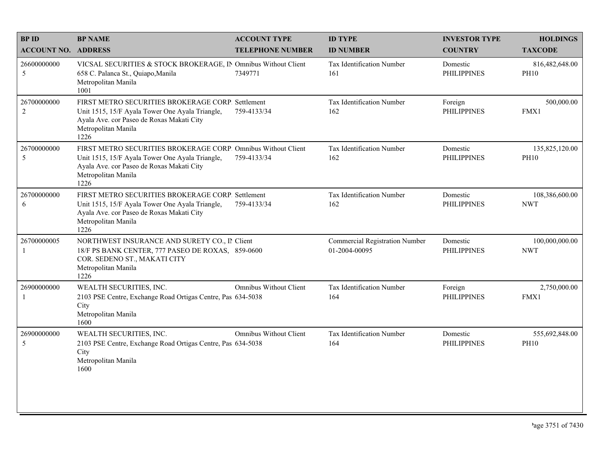| <b>BPID</b>                | <b>BP NAME</b>                                                                                                                                                                               | <b>ACCOUNT TYPE</b>           | <b>ID TYPE</b>                                         | <b>INVESTOR TYPE</b>           | <b>HOLDINGS</b>               |
|----------------------------|----------------------------------------------------------------------------------------------------------------------------------------------------------------------------------------------|-------------------------------|--------------------------------------------------------|--------------------------------|-------------------------------|
| <b>ACCOUNT NO. ADDRESS</b> |                                                                                                                                                                                              | <b>TELEPHONE NUMBER</b>       | <b>ID NUMBER</b>                                       | <b>COUNTRY</b>                 | <b>TAXCODE</b>                |
| 26600000000<br>5           | VICSAL SECURITIES & STOCK BROKERAGE, IN Omnibus Without Client<br>658 C. Palanca St., Quiapo, Manila<br>Metropolitan Manila<br>1001                                                          | 7349771                       | Tax Identification Number<br>161                       | Domestic<br><b>PHILIPPINES</b> | 816,482,648.00<br><b>PH10</b> |
| 26700000000<br>$\sqrt{2}$  | FIRST METRO SECURITIES BROKERAGE CORP. Settlement<br>Unit 1515, 15/F Ayala Tower One Ayala Triangle,<br>Ayala Ave. cor Paseo de Roxas Makati City<br>Metropolitan Manila<br>1226             | 759-4133/34                   | Tax Identification Number<br>162                       | Foreign<br><b>PHILIPPINES</b>  | 500,000.00<br>FMX1            |
| 26700000000<br>5           | FIRST METRO SECURITIES BROKERAGE CORP. Omnibus Without Client<br>Unit 1515, 15/F Ayala Tower One Ayala Triangle,<br>Ayala Ave. cor Paseo de Roxas Makati City<br>Metropolitan Manila<br>1226 | 759-4133/34                   | Tax Identification Number<br>162                       | Domestic<br><b>PHILIPPINES</b> | 135,825,120.00<br><b>PH10</b> |
| 26700000000<br>6           | FIRST METRO SECURITIES BROKERAGE CORP. Settlement<br>Unit 1515, 15/F Ayala Tower One Ayala Triangle,<br>Ayala Ave. cor Paseo de Roxas Makati City<br>Metropolitan Manila<br>1226             | 759-4133/34                   | Tax Identification Number<br>162                       | Domestic<br><b>PHILIPPINES</b> | 108,386,600.00<br><b>NWT</b>  |
| 26700000005                | NORTHWEST INSURANCE AND SURETY CO., II Client<br>18/F PS BANK CENTER, 777 PASEO DE ROXAS, 859-0600<br>COR. SEDENO ST., MAKATI CITY<br>Metropolitan Manila<br>1226                            |                               | <b>Commercial Registration Number</b><br>01-2004-00095 | Domestic<br><b>PHILIPPINES</b> | 100,000,000.00<br><b>NWT</b>  |
| 26900000000                | WEALTH SECURITIES, INC.<br>2103 PSE Centre, Exchange Road Ortigas Centre, Pas 634-5038<br>City<br>Metropolitan Manila<br>1600                                                                | <b>Omnibus Without Client</b> | Tax Identification Number<br>164                       | Foreign<br><b>PHILIPPINES</b>  | 2,750,000.00<br>FMX1          |
| 26900000000<br>5           | WEALTH SECURITIES, INC.<br>2103 PSE Centre, Exchange Road Ortigas Centre, Pas 634-5038<br>City<br>Metropolitan Manila<br>1600                                                                | <b>Omnibus Without Client</b> | Tax Identification Number<br>164                       | Domestic<br><b>PHILIPPINES</b> | 555,692,848.00<br><b>PH10</b> |
|                            |                                                                                                                                                                                              |                               |                                                        |                                |                               |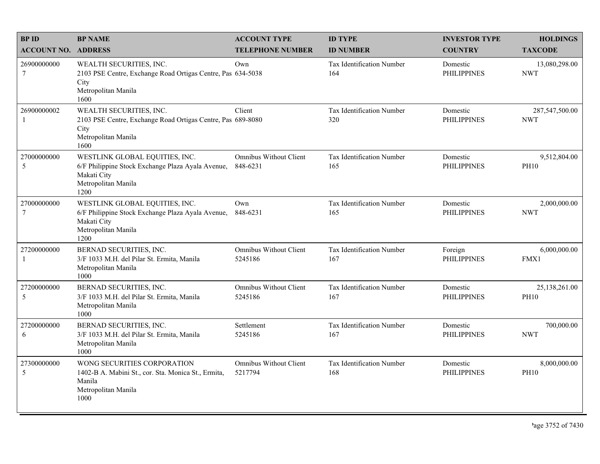| <b>BPID</b>                    | <b>BP NAME</b>                                                                                                                    | <b>ACCOUNT TYPE</b>                       | <b>ID TYPE</b>                   | <b>INVESTOR TYPE</b>           | <b>HOLDINGS</b>              |
|--------------------------------|-----------------------------------------------------------------------------------------------------------------------------------|-------------------------------------------|----------------------------------|--------------------------------|------------------------------|
| <b>ACCOUNT NO. ADDRESS</b>     |                                                                                                                                   | <b>TELEPHONE NUMBER</b>                   | <b>ID NUMBER</b>                 | <b>COUNTRY</b>                 | <b>TAXCODE</b>               |
| 26900000000<br>7               | WEALTH SECURITIES, INC.<br>2103 PSE Centre, Exchange Road Ortigas Centre, Pas 634-5038<br>City<br>Metropolitan Manila<br>1600     | Own                                       | Tax Identification Number<br>164 | Domestic<br><b>PHILIPPINES</b> | 13,080,298.00<br><b>NWT</b>  |
| 26900000002                    | WEALTH SECURITIES, INC.<br>2103 PSE Centre, Exchange Road Ortigas Centre, Pas 689-8080<br>City<br>Metropolitan Manila<br>1600     | Client                                    | Tax Identification Number<br>320 | Domestic<br><b>PHILIPPINES</b> | 287,547,500.00<br><b>NWT</b> |
| 27000000000<br>5               | WESTLINK GLOBAL EQUITIES, INC.<br>6/F Philippine Stock Exchange Plaza Ayala Avenue,<br>Makati City<br>Metropolitan Manila<br>1200 | <b>Omnibus Without Client</b><br>848-6231 | Tax Identification Number<br>165 | Domestic<br><b>PHILIPPINES</b> | 9,512,804.00<br><b>PH10</b>  |
| 27000000000<br>$7\phantom{.0}$ | WESTLINK GLOBAL EQUITIES, INC.<br>6/F Philippine Stock Exchange Plaza Ayala Avenue,<br>Makati City<br>Metropolitan Manila<br>1200 | Own<br>848-6231                           | Tax Identification Number<br>165 | Domestic<br><b>PHILIPPINES</b> | 2,000,000.00<br><b>NWT</b>   |
| 27200000000<br>-1              | BERNAD SECURITIES, INC.<br>3/F 1033 M.H. del Pilar St. Ermita, Manila<br>Metropolitan Manila<br>1000                              | Omnibus Without Client<br>5245186         | Tax Identification Number<br>167 | Foreign<br><b>PHILIPPINES</b>  | 6,000,000.00<br>FMX1         |
| 27200000000<br>5               | BERNAD SECURITIES, INC.<br>3/F 1033 M.H. del Pilar St. Ermita, Manila<br>Metropolitan Manila<br>1000                              | <b>Omnibus Without Client</b><br>5245186  | Tax Identification Number<br>167 | Domestic<br><b>PHILIPPINES</b> | 25,138,261.00<br><b>PH10</b> |
| 27200000000<br>6               | BERNAD SECURITIES, INC.<br>3/F 1033 M.H. del Pilar St. Ermita, Manila<br>Metropolitan Manila<br>1000                              | Settlement<br>5245186                     | Tax Identification Number<br>167 | Domestic<br><b>PHILIPPINES</b> | 700,000.00<br><b>NWT</b>     |
| 27300000000<br>5               | WONG SECURITIES CORPORATION<br>1402-B A. Mabini St., cor. Sta. Monica St., Ermita,<br>Manila<br>Metropolitan Manila<br>1000       | <b>Omnibus Without Client</b><br>5217794  | Tax Identification Number<br>168 | Domestic<br><b>PHILIPPINES</b> | 8,000,000.00<br><b>PH10</b>  |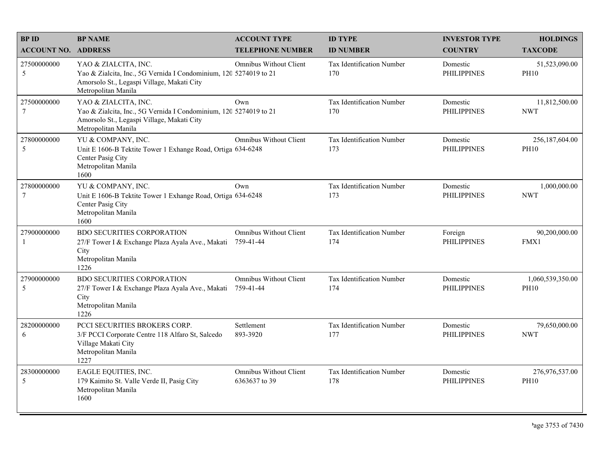| <b>BPID</b>                    | <b>BP NAME</b>                                                                                                                                                 | <b>ACCOUNT TYPE</b>                        | <b>ID TYPE</b>                   | <b>INVESTOR TYPE</b>           | <b>HOLDINGS</b>                 |
|--------------------------------|----------------------------------------------------------------------------------------------------------------------------------------------------------------|--------------------------------------------|----------------------------------|--------------------------------|---------------------------------|
| <b>ACCOUNT NO. ADDRESS</b>     |                                                                                                                                                                | <b>TELEPHONE NUMBER</b>                    | <b>ID NUMBER</b>                 | <b>COUNTRY</b>                 | <b>TAXCODE</b>                  |
| 27500000000<br>5               | YAO & ZIALCITA, INC.<br>Yao & Zialcita, Inc., 5G Vernida I Condominium, 120 5274019 to 21<br>Amorsolo St., Legaspi Village, Makati City<br>Metropolitan Manila | <b>Omnibus Without Client</b>              | Tax Identification Number<br>170 | Domestic<br><b>PHILIPPINES</b> | 51,523,090.00<br><b>PH10</b>    |
| 27500000000<br>$7\phantom{.0}$ | YAO & ZIALCITA, INC.<br>Yao & Zialcita, Inc., 5G Vernida I Condominium, 120 5274019 to 21<br>Amorsolo St., Legaspi Village, Makati City<br>Metropolitan Manila | Own                                        | Tax Identification Number<br>170 | Domestic<br><b>PHILIPPINES</b> | 11,812,500.00<br><b>NWT</b>     |
| 27800000000<br>5               | YU & COMPANY, INC.<br>Unit E 1606-B Tektite Tower 1 Exhange Road, Ortiga 634-6248<br>Center Pasig City<br>Metropolitan Manila<br>1600                          | Omnibus Without Client                     | Tax Identification Number<br>173 | Domestic<br><b>PHILIPPINES</b> | 256,187,604.00<br><b>PH10</b>   |
| 27800000000<br>$\overline{7}$  | YU & COMPANY, INC.<br>Unit E 1606-B Tektite Tower 1 Exhange Road, Ortiga 634-6248<br>Center Pasig City<br>Metropolitan Manila<br>1600                          | Own                                        | Tax Identification Number<br>173 | Domestic<br><b>PHILIPPINES</b> | 1,000,000.00<br><b>NWT</b>      |
| 27900000000<br>$\overline{1}$  | <b>BDO SECURITIES CORPORATION</b><br>27/F Tower I & Exchange Plaza Ayala Ave., Makati<br>City<br>Metropolitan Manila<br>1226                                   | Omnibus Without Client<br>759-41-44        | Tax Identification Number<br>174 | Foreign<br><b>PHILIPPINES</b>  | 90,200,000.00<br>FMX1           |
| 27900000000<br>5               | <b>BDO SECURITIES CORPORATION</b><br>27/F Tower I & Exchange Plaza Ayala Ave., Makati<br>City<br>Metropolitan Manila<br>1226                                   | <b>Omnibus Without Client</b><br>759-41-44 | Tax Identification Number<br>174 | Domestic<br><b>PHILIPPINES</b> | 1,060,539,350.00<br><b>PH10</b> |
| 28200000000<br>6               | PCCI SECURITIES BROKERS CORP.<br>3/F PCCI Corporate Centre 118 Alfaro St, Salcedo<br>Village Makati City<br>Metropolitan Manila<br>1227                        | Settlement<br>893-3920                     | Tax Identification Number<br>177 | Domestic<br><b>PHILIPPINES</b> | 79,650,000.00<br><b>NWT</b>     |
| 28300000000<br>5               | EAGLE EQUITIES, INC.<br>179 Kaimito St. Valle Verde II, Pasig City<br>Metropolitan Manila<br>1600                                                              | Omnibus Without Client<br>6363637 to 39    | Tax Identification Number<br>178 | Domestic<br><b>PHILIPPINES</b> | 276,976,537.00<br><b>PH10</b>   |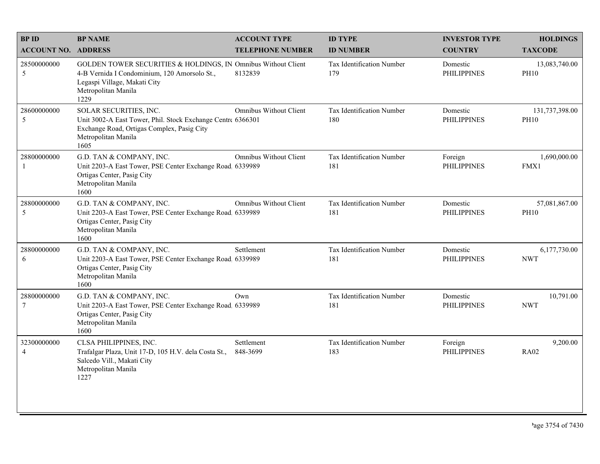| <b>BPID</b>                   | <b>BP NAME</b>                                                                                                                                                               | <b>ACCOUNT TYPE</b>           | <b>ID TYPE</b>                   | <b>INVESTOR TYPE</b>           | <b>HOLDINGS</b>               |
|-------------------------------|------------------------------------------------------------------------------------------------------------------------------------------------------------------------------|-------------------------------|----------------------------------|--------------------------------|-------------------------------|
| <b>ACCOUNT NO. ADDRESS</b>    |                                                                                                                                                                              | <b>TELEPHONE NUMBER</b>       | <b>ID NUMBER</b>                 | <b>COUNTRY</b>                 | <b>TAXCODE</b>                |
| 28500000000<br>5              | GOLDEN TOWER SECURITIES & HOLDINGS, IN Omnibus Without Client<br>4-B Vernida I Condominium, 120 Amorsolo St.,<br>Legaspi Village, Makati City<br>Metropolitan Manila<br>1229 | 8132839                       | Tax Identification Number<br>179 | Domestic<br><b>PHILIPPINES</b> | 13,083,740.00<br><b>PH10</b>  |
| 28600000000<br>5              | SOLAR SECURITIES, INC.<br>Unit 3002-A East Tower, Phil. Stock Exchange Centre 6366301<br>Exchange Road, Ortigas Complex, Pasig City<br>Metropolitan Manila<br>1605           | Omnibus Without Client        | Tax Identification Number<br>180 | Domestic<br><b>PHILIPPINES</b> | 131,737,398.00<br><b>PH10</b> |
| 28800000000<br>-1             | G.D. TAN & COMPANY, INC.<br>Unit 2203-A East Tower, PSE Center Exchange Road 6339989<br>Ortigas Center, Pasig City<br>Metropolitan Manila<br>1600                            | <b>Omnibus Without Client</b> | Tax Identification Number<br>181 | Foreign<br><b>PHILIPPINES</b>  | 1,690,000.00<br>FMX1          |
| 28800000000<br>5              | G.D. TAN & COMPANY, INC.<br>Unit 2203-A East Tower, PSE Center Exchange Road 6339989<br>Ortigas Center, Pasig City<br>Metropolitan Manila<br>1600                            | <b>Omnibus Without Client</b> | Tax Identification Number<br>181 | Domestic<br><b>PHILIPPINES</b> | 57,081,867.00<br><b>PH10</b>  |
| 28800000000<br>6              | G.D. TAN & COMPANY, INC.<br>Unit 2203-A East Tower, PSE Center Exchange Road, 6339989<br>Ortigas Center, Pasig City<br>Metropolitan Manila<br>1600                           | Settlement                    | Tax Identification Number<br>181 | Domestic<br><b>PHILIPPINES</b> | 6,177,730.00<br><b>NWT</b>    |
| 28800000000<br>$\tau$         | G.D. TAN & COMPANY, INC.<br>Unit 2203-A East Tower, PSE Center Exchange Road 6339989<br>Ortigas Center, Pasig City<br>Metropolitan Manila<br>1600                            | Own                           | Tax Identification Number<br>181 | Domestic<br><b>PHILIPPINES</b> | 10,791.00<br><b>NWT</b>       |
| 32300000000<br>$\overline{4}$ | CLSA PHILIPPINES, INC.<br>Trafalgar Plaza, Unit 17-D, 105 H.V. dela Costa St.,<br>Salcedo Vill., Makati City<br>Metropolitan Manila<br>1227                                  | Settlement<br>848-3699        | Tax Identification Number<br>183 | Foreign<br><b>PHILIPPINES</b>  | 9,200.00<br><b>RA02</b>       |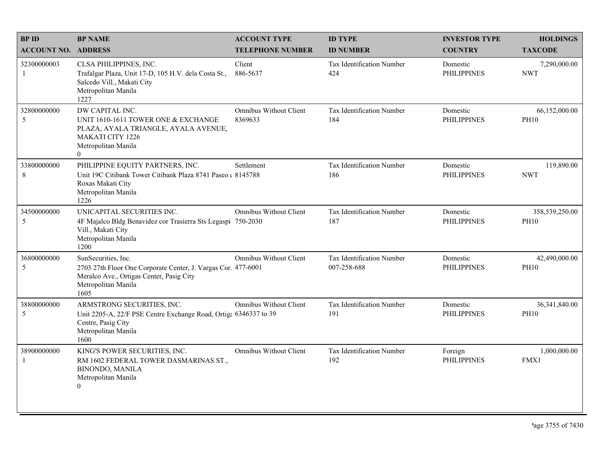| <b>BPID</b>                | <b>BP NAME</b>                                                                                                                                                  | <b>ACCOUNT TYPE</b>                      | <b>ID TYPE</b>                           | <b>INVESTOR TYPE</b>           | <b>HOLDINGS</b>               |
|----------------------------|-----------------------------------------------------------------------------------------------------------------------------------------------------------------|------------------------------------------|------------------------------------------|--------------------------------|-------------------------------|
| <b>ACCOUNT NO. ADDRESS</b> |                                                                                                                                                                 | <b>TELEPHONE NUMBER</b>                  | <b>ID NUMBER</b>                         | <b>COUNTRY</b>                 | <b>TAXCODE</b>                |
| 32300000003<br>-1          | CLSA PHILIPPINES, INC.<br>Trafalgar Plaza, Unit 17-D, 105 H.V. dela Costa St.,<br>Salcedo Vill., Makati City<br>Metropolitan Manila<br>1227                     | Client<br>886-5637                       | Tax Identification Number<br>424         | Domestic<br><b>PHILIPPINES</b> | 7,290,000.00<br><b>NWT</b>    |
| 32800000000<br>5           | DW CAPITAL INC.<br>UNIT 1610-1611 TOWER ONE & EXCHANGE<br>PLAZA, AYALA TRIANGLE, AYALA AVENUE,<br><b>MAKATI CITY 1226</b><br>Metropolitan Manila<br>$\theta$    | <b>Omnibus Without Client</b><br>8369633 | Tax Identification Number<br>184         | Domestic<br><b>PHILIPPINES</b> | 66,152,000.00<br><b>PH10</b>  |
| 33800000000<br>8           | PHILIPPINE EQUITY PARTNERS, INC.<br>Unit 19C Citibank Tower Citibank Plaza 8741 Paseo c 8145788<br>Roxas Makati City<br>Metropolitan Manila<br>1226             | Settlement                               | Tax Identification Number<br>186         | Domestic<br><b>PHILIPPINES</b> | 119,890.00<br><b>NWT</b>      |
| 34500000000<br>5           | UNICAPITAL SECURITIES INC.<br>4F Majalco Bldg Benavidez cor Trasierra Sts Legaspi 750-2030<br>Vill., Makati City<br>Metropolitan Manila<br>1200                 | <b>Omnibus Without Client</b>            | Tax Identification Number<br>187         | Domestic<br><b>PHILIPPINES</b> | 358,539,250.00<br><b>PH10</b> |
| 36800000000<br>5           | SunSecurities, Inc.<br>2703 27th Floor One Corporate Center, J. Vargas Cor. 477-6001<br>Meralco Ave., Ortigas Center, Pasig City<br>Metropolitan Manila<br>1605 | <b>Omnibus Without Client</b>            | Tax Identification Number<br>007-258-688 | Domestic<br><b>PHILIPPINES</b> | 42,490,000.00<br><b>PH10</b>  |
| 38800000000<br>5           | ARMSTRONG SECURITIES, INC.<br>Unit 2205-A, 22/F PSE Centre Exchange Road, Ortiga 6346337 to 39<br>Centre, Pasig City<br>Metropolitan Manila<br>1600             | <b>Omnibus Without Client</b>            | Tax Identification Number<br>191         | Domestic<br><b>PHILIPPINES</b> | 36,341,840.00<br><b>PH10</b>  |
| 38900000000<br>1           | KING'S POWER SECURITIES, INC.<br>RM 1602 FEDERAL TOWER DASMARINAS ST.,<br><b>BINONDO, MANILA</b><br>Metropolitan Manila<br>$\overline{0}$                       | <b>Omnibus Without Client</b>            | Tax Identification Number<br>192         | Foreign<br><b>PHILIPPINES</b>  | 1,000,000.00<br>FMX1          |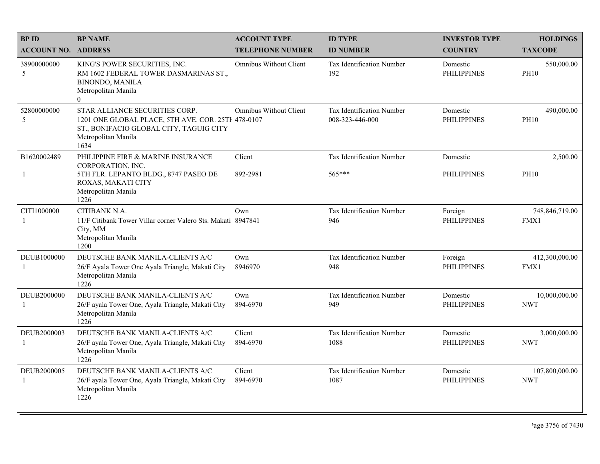| <b>BPID</b>                   | <b>BP NAME</b>                                                                                                                                                 | <b>ACCOUNT TYPE</b>           | <b>ID TYPE</b>                               | <b>INVESTOR TYPE</b>           | <b>HOLDINGS</b>              |
|-------------------------------|----------------------------------------------------------------------------------------------------------------------------------------------------------------|-------------------------------|----------------------------------------------|--------------------------------|------------------------------|
| <b>ACCOUNT NO. ADDRESS</b>    |                                                                                                                                                                | <b>TELEPHONE NUMBER</b>       | <b>ID NUMBER</b>                             | <b>COUNTRY</b>                 | <b>TAXCODE</b>               |
| 38900000000<br>5              | KING'S POWER SECURITIES, INC.<br>RM 1602 FEDERAL TOWER DASMARINAS ST.,<br><b>BINONDO, MANILA</b><br>Metropolitan Manila<br>$\overline{0}$                      | <b>Omnibus Without Client</b> | <b>Tax Identification Number</b><br>192      | Domestic<br><b>PHILIPPINES</b> | 550,000.00<br><b>PH10</b>    |
| 52800000000<br>5              | STAR ALLIANCE SECURITIES CORP.<br>1201 ONE GLOBAL PLACE, 5TH AVE. COR. 25TH 478-0107<br>ST., BONIFACIO GLOBAL CITY, TAGUIG CITY<br>Metropolitan Manila<br>1634 | Omnibus Without Client        | Tax Identification Number<br>008-323-446-000 | Domestic<br><b>PHILIPPINES</b> | 490,000.00<br><b>PH10</b>    |
| B1620002489                   | PHILIPPINE FIRE & MARINE INSURANCE<br>CORPORATION, INC.                                                                                                        | Client                        | Tax Identification Number                    | Domestic                       | 2,500.00                     |
| -1                            | 5TH FLR. LEPANTO BLDG., 8747 PASEO DE<br>ROXAS, MAKATI CITY<br>Metropolitan Manila<br>1226                                                                     | 892-2981                      | 565***                                       | <b>PHILIPPINES</b>             | <b>PH10</b>                  |
| CITI1000000<br>$\mathbf{1}$   | CITIBANK N.A.<br>11/F Citibank Tower Villar corner Valero Sts. Makati 8947841<br>City, MM<br>Metropolitan Manila<br>1200                                       | Own                           | Tax Identification Number<br>946             | Foreign<br><b>PHILIPPINES</b>  | 748,846,719.00<br>FMX1       |
| DEUB1000000<br>$\overline{1}$ | DEUTSCHE BANK MANILA-CLIENTS A/C<br>26/F Ayala Tower One Ayala Triangle, Makati City<br>Metropolitan Manila<br>1226                                            | Own<br>8946970                | Tax Identification Number<br>948             | Foreign<br><b>PHILIPPINES</b>  | 412,300,000.00<br>FMX1       |
| DEUB2000000<br>-1             | DEUTSCHE BANK MANILA-CLIENTS A/C<br>26/F ayala Tower One, Ayala Triangle, Makati City<br>Metropolitan Manila<br>1226                                           | Own<br>894-6970               | Tax Identification Number<br>949             | Domestic<br><b>PHILIPPINES</b> | 10,000,000.00<br><b>NWT</b>  |
| DEUB2000003                   | DEUTSCHE BANK MANILA-CLIENTS A/C<br>26/F ayala Tower One, Ayala Triangle, Makati City<br>Metropolitan Manila<br>1226                                           | Client<br>894-6970            | Tax Identification Number<br>1088            | Domestic<br><b>PHILIPPINES</b> | 3,000,000.00<br><b>NWT</b>   |
| DEUB2000005<br>$\mathbf{1}$   | DEUTSCHE BANK MANILA-CLIENTS A/C<br>26/F ayala Tower One, Ayala Triangle, Makati City<br>Metropolitan Manila<br>1226                                           | Client<br>894-6970            | Tax Identification Number<br>1087            | Domestic<br><b>PHILIPPINES</b> | 107,800,000.00<br><b>NWT</b> |